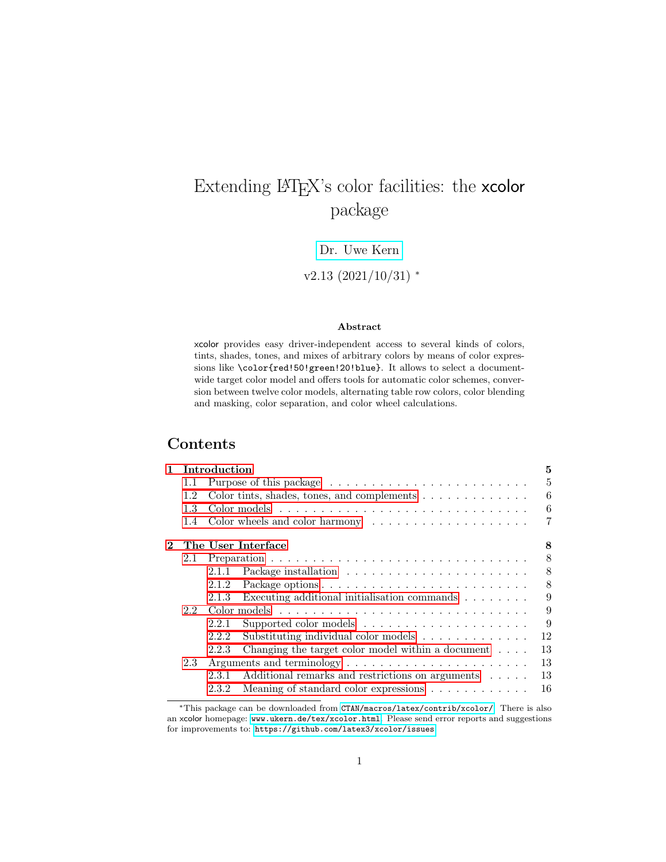## <span id="page-0-0"></span>Extending LATEX's color facilities: the xcolor package

### [Dr. Uwe Kern](mailto:xcolor@ukern.de)

### $v2.13$  (2021/10/31) \*

#### Abstract

xcolor provides easy driver-independent access to several kinds of colors, tints, shades, tones, and mixes of arbitrary colors by means of color expressions like \color{red!50!green!20!blue}. It allows to select a documentwide target color model and offers tools for automatic color schemes, conversion between twelve color models, alternating table row colors, color blending and masking, color separation, and color wheel calculations.

### Contents

| 1.       |     | Introduction                                                                    | 5  |
|----------|-----|---------------------------------------------------------------------------------|----|
|          | 1.1 | Purpose of this package $\dots \dots \dots \dots \dots \dots \dots \dots \dots$ | 5  |
|          | 1.2 | Color tints, shades, tones, and complements $\dots \dots \dots \dots$           | 6  |
|          | 1.3 |                                                                                 | 6  |
|          | 1.4 | Color wheels and color harmony $\dots \dots \dots \dots \dots \dots$            | 7  |
| $\bf{2}$ |     | The User Interface                                                              | 8  |
|          | 2.1 |                                                                                 | 8  |
|          |     | 2.1.1                                                                           | 8  |
|          |     | 2.1.2                                                                           | 8  |
|          |     | Executing additional initialisation commands $\ldots \ldots \ldots$<br>2.1.3    | 9  |
|          | 2.2 |                                                                                 | 9  |
|          |     | 2.2.1                                                                           | 9  |
|          |     | Substituting individual color models<br>2.2.2                                   | 12 |
|          |     | Changing the target color model within a document $\ldots$ .<br>2.2.3           | 13 |
|          | 2.3 |                                                                                 | 13 |
|          |     | Additional remarks and restrictions on arguments<br>2.3.1                       | 13 |
|          |     | Meaning of standard color expressions<br>2.3.2                                  | 16 |
|          |     |                                                                                 |    |

<sup>∗</sup>This package can be downloaded from [CTAN/macros/latex/contrib/xcolor/](http://www.ctan.org/tex-archive/macros/latex/contrib/xcolor/). There is also an xcolor homepage: [www.ukern.de/tex/xcolor.html](http://www.ukern.de/tex/xcolor.html). Please send error reports and suggestions for improvements to: <https://github.com/latex3/xcolor/issues>.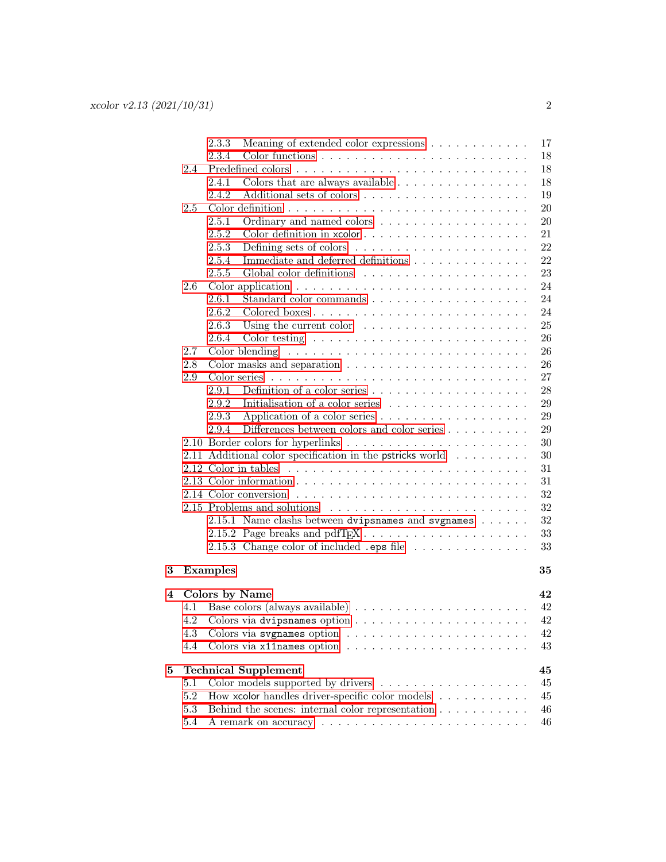|   |         | 17<br>2.3.3<br>Meaning of extended color expressions                                           |  |
|---|---------|------------------------------------------------------------------------------------------------|--|
|   |         | 18<br>2.3.4                                                                                    |  |
|   | 2.4     | 18                                                                                             |  |
|   |         | 18<br>2.4.1<br>Colors that are always available $\ldots \ldots \ldots \ldots \ldots$           |  |
|   |         | 19<br>2.4.2                                                                                    |  |
|   | 2.5     | 20                                                                                             |  |
|   |         | Ordinary and named colors $\ldots \ldots \ldots \ldots \ldots \ldots$<br>20<br>2.5.1           |  |
|   |         | 2.5.2<br>21                                                                                    |  |
|   |         | 22<br>2.5.3                                                                                    |  |
|   |         | 22<br>Immediate and deferred definitions<br>2.5.4                                              |  |
|   |         | 23<br>2.5.5                                                                                    |  |
|   | 2.6     | 24                                                                                             |  |
|   |         | 2.6.1<br>24                                                                                    |  |
|   |         | 2.6.2<br>24                                                                                    |  |
|   |         | 25<br>2.6.3<br>Using the current color $\dots \dots \dots \dots \dots \dots \dots$             |  |
|   |         | 26<br>2.6.4<br>Color testing $\ldots \ldots \ldots \ldots \ldots \ldots \ldots \ldots \ldots$  |  |
|   | 2.7     | 26                                                                                             |  |
|   | 2.8     | 26<br>Color masks and separation $\ldots \ldots \ldots \ldots \ldots \ldots \ldots$            |  |
|   | 2.9     | 27                                                                                             |  |
|   |         | 28<br>Definition of a color series $\ldots \ldots \ldots \ldots \ldots \ldots \ldots$<br>2.9.1 |  |
|   |         | 2.9.2<br>Initialisation of a color series $\ldots \ldots \ldots \ldots \ldots$<br>29           |  |
|   |         | 29<br>2.9.3                                                                                    |  |
|   |         | 29<br>Differences between colors and color series $\ldots \ldots \ldots$<br>2.9.4              |  |
|   |         | 30                                                                                             |  |
|   |         | 30<br>2.11 Additional color specification in the pstricks world $\ldots \ldots \ldots$         |  |
|   |         | 31                                                                                             |  |
|   |         | 31                                                                                             |  |
|   |         | 32                                                                                             |  |
|   |         | 32<br>2.15 Problems and solutions                                                              |  |
|   |         | 2.15.1 Name clashs between dvipsnames and svgnames<br>32                                       |  |
|   |         | 33                                                                                             |  |
|   |         | 2.15.3 Change color of included .eps file $\ldots \ldots \ldots \ldots$<br>33                  |  |
| 3 |         | 35<br><b>Examples</b>                                                                          |  |
| 4 |         | Colors by Name<br>42                                                                           |  |
|   | 4.1     | 42                                                                                             |  |
|   | 4.2     | 42                                                                                             |  |
|   | 4.3     | 42                                                                                             |  |
|   | 4.4     | 43                                                                                             |  |
| 5 |         | 45<br><b>Technical Supplement</b>                                                              |  |
|   | 5.1     | 45                                                                                             |  |
|   | 5.2     | How xcolor handles driver-specific color models<br>45                                          |  |
|   | $5.3\,$ | Behind the scenes: internal color representation $\ldots \ldots \ldots$<br>46                  |  |
|   | 5.4     | 46                                                                                             |  |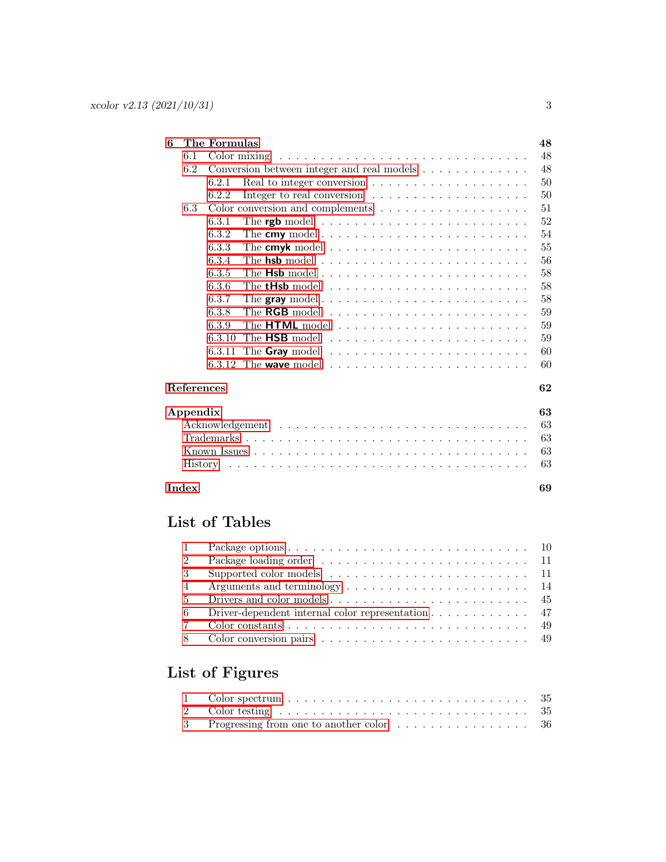| 6 |            | The Formulas |                                                                                        | 48 |
|---|------------|--------------|----------------------------------------------------------------------------------------|----|
|   | 6.1        |              | Color mixing $\dots \dots \dots \dots \dots \dots \dots \dots \dots \dots \dots \dots$ | 48 |
|   | 6.2        |              | Conversion between integer and real models                                             | 48 |
|   |            | 6.2.1        |                                                                                        | 50 |
|   |            | 6.2.2        | Integer to real conversion $\ldots \ldots \ldots \ldots \ldots \ldots$                 | 50 |
|   | 6.3        |              |                                                                                        | 51 |
|   |            | 6.3.1        |                                                                                        | 52 |
|   |            | 6.3.2        |                                                                                        | 54 |
|   |            | 6.3.3        |                                                                                        | 55 |
|   |            | 6.3.4        |                                                                                        | 56 |
|   |            | 6.3.5        |                                                                                        | 58 |
|   |            | 6.3.6        |                                                                                        | 58 |
|   |            | 6.3.7        |                                                                                        | 58 |
|   |            | 6.3.8        | The RGB model $\ldots \ldots \ldots \ldots \ldots \ldots \ldots \ldots$                | 59 |
|   |            | 6.3.9        |                                                                                        | 59 |
|   |            | 6.3.10       |                                                                                        | 59 |
|   |            | 6.3.11       |                                                                                        | 60 |
|   |            |              | 6.3.12 The wave model $\ldots \ldots \ldots \ldots \ldots \ldots \ldots$               | 60 |
|   | References |              |                                                                                        | 62 |
|   | Appendix   |              |                                                                                        | 63 |
|   |            |              |                                                                                        | 63 |
|   |            |              |                                                                                        | 63 |
|   |            |              |                                                                                        | 63 |
|   |            |              |                                                                                        | 63 |
|   | Index      |              |                                                                                        | 69 |

### List of Tables

| $\overline{1}$ |                                                                                     |  |
|----------------|-------------------------------------------------------------------------------------|--|
| 2              |                                                                                     |  |
| -3             | Supported color models $\ldots \ldots \ldots \ldots \ldots \ldots \ldots \ldots 11$ |  |
| $\overline{4}$ |                                                                                     |  |
| -5             |                                                                                     |  |
| -6             | Driver-dependent internal color representation $\ldots \ldots \ldots \ldots$ 47     |  |
|                |                                                                                     |  |
|                |                                                                                     |  |

### List of Figures

| 1 Color spectrum $\ldots \ldots \ldots \ldots \ldots \ldots \ldots \ldots \ldots \ldots 35$ |  |
|---------------------------------------------------------------------------------------------|--|
|                                                                                             |  |
|                                                                                             |  |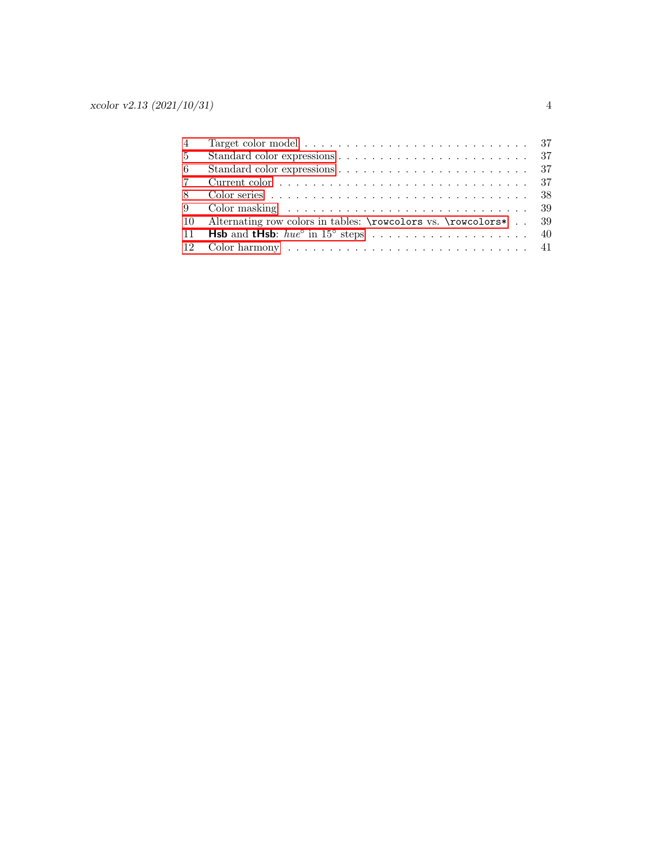| 4              | Target color model $\ldots \ldots \ldots \ldots \ldots \ldots \ldots \ldots \ldots \ldots 37$ |
|----------------|-----------------------------------------------------------------------------------------------|
| 5 <sup>5</sup> |                                                                                               |
| - 6            |                                                                                               |
| 7              |                                                                                               |
| -8             |                                                                                               |
|                |                                                                                               |
|                | 10 Alternating row colors in tables: \rowcolors vs. \rowcolors* 39                            |
|                |                                                                                               |
|                |                                                                                               |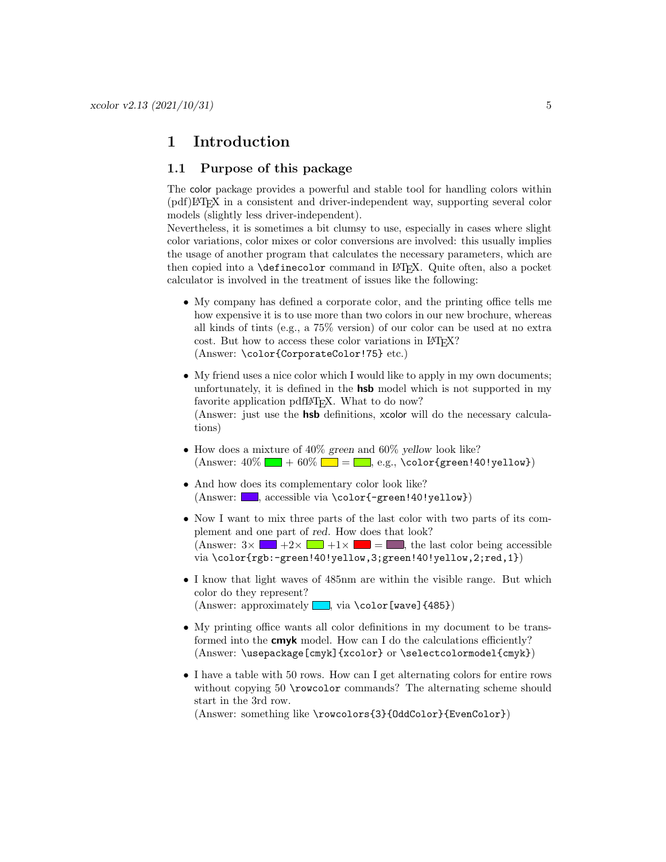### <span id="page-4-0"></span>1 Introduction

### <span id="page-4-1"></span>1.1 Purpose of this package

The color package provides a powerful and stable tool for handling colors within (pdf)LATEX in a consistent and driver-independent way, supporting several color models (slightly less driver-independent).

Nevertheless, it is sometimes a bit clumsy to use, especially in cases where slight color variations, color mixes or color conversions are involved: this usually implies the usage of another program that calculates the necessary parameters, which are then copied into a **\definecolor** command in LAT<sub>E</sub>X. Quite often, also a pocket calculator is involved in the treatment of issues like the following:

- My company has defined a corporate color, and the printing office tells me how expensive it is to use more than two colors in our new brochure, whereas all kinds of tints (e.g., a 75% version) of our color can be used at no extra cost. But how to access these color variations in LAT<sub>EX</sub>? (Answer: \color{CorporateColor!75} etc.)
- My friend uses a nice color which I would like to apply in my own documents; unfortunately, it is defined in the hsb model which is not supported in my favorite application pdfL<sup>AT</sup>FX. What to do now? (Answer: just use the hsb definitions, xcolor will do the necessary calculations)
- How does a mixture of 40% green and 60% yellow look like? (Answer: 40% + 60% = , e.g., \color{green!40!yellow})
- And how does its complementary color look like? (Answer: , accessible via \color{-green!40!yellow})
- Now I want to mix three parts of the last color with two parts of its complement and one part of red. How does that look? (Answer:  $3 \times \blacksquare +2 \times \blacksquare +1 \times \blacksquare = \blacksquare$ , the last color being accessible via \color{rgb:-green!40!yellow,3;green!40!yellow,2;red,1})
- I know that light waves of 485nm are within the visible range. But which color do they represent? (Answer: approximately  $\Box$ , via \color[wave]{485})
- My printing office wants all color definitions in my document to be transformed into the **cmyk** model. How can I do the calculations efficiently? (Answer: \usepackage[cmyk]{xcolor} or \selectcolormodel{cmyk})
- I have a table with 50 rows. How can I get alternating colors for entire rows without copying 50 \rowcolor commands? The alternating scheme should start in the 3rd row.

(Answer: something like \rowcolors{3}{OddColor}{EvenColor})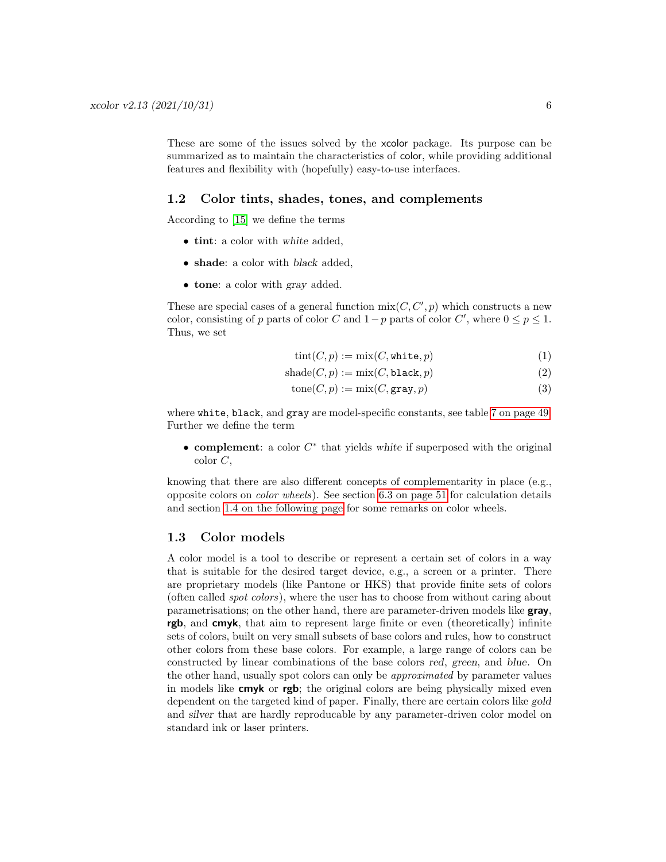These are some of the issues solved by the xcolor package. Its purpose can be summarized as to maintain the characteristics of color, while providing additional features and flexibility with (hopefully) easy-to-use interfaces.

### <span id="page-5-0"></span>1.2 Color tints, shades, tones, and complements

According to [\[15\]](#page-61-1) we define the terms

- tint: a color with white added.
- shade: a color with black added,
- tone: a color with gray added.

These are special cases of a general function  $\text{mix}(C, C', p)$  which constructs a new color, consisting of p parts of color C and  $1-p$  parts of color C', where  $0 \le p \le 1$ . Thus, we set

$$
tint(C, p) := mix(C, \text{white}, p)
$$
\n<sup>(1)</sup>

$$
shade(C, p) := mix(C, black, p)
$$
\n(2)

$$
tone(C, p) := mix(C, \text{gray}, p)
$$
\n(3)

where white, black, and gray are model-specific constants, see table [7 on page 49.](#page-48-0) Further we define the term

• complement: a color  $C^*$  that yields white if superposed with the original color C,

knowing that there are also different concepts of complementarity in place (e.g., opposite colors on color wheels). See section [6.3 on page 51](#page-50-0) for calculation details and section [1.4 on the following page](#page-6-0) for some remarks on color wheels.

### <span id="page-5-1"></span>1.3 Color models

A color model is a tool to describe or represent a certain set of colors in a way that is suitable for the desired target device, e.g., a screen or a printer. There are proprietary models (like Pantone or HKS) that provide finite sets of colors (often called spot colors), where the user has to choose from without caring about parametrisations; on the other hand, there are parameter-driven models like gray, rgb, and cmyk, that aim to represent large finite or even (theoretically) infinite sets of colors, built on very small subsets of base colors and rules, how to construct other colors from these base colors. For example, a large range of colors can be constructed by linear combinations of the base colors red, green, and blue. On the other hand, usually spot colors can only be approximated by parameter values in models like cmyk or rgb; the original colors are being physically mixed even dependent on the targeted kind of paper. Finally, there are certain colors like gold and silver that are hardly reproducable by any parameter-driven color model on standard ink or laser printers.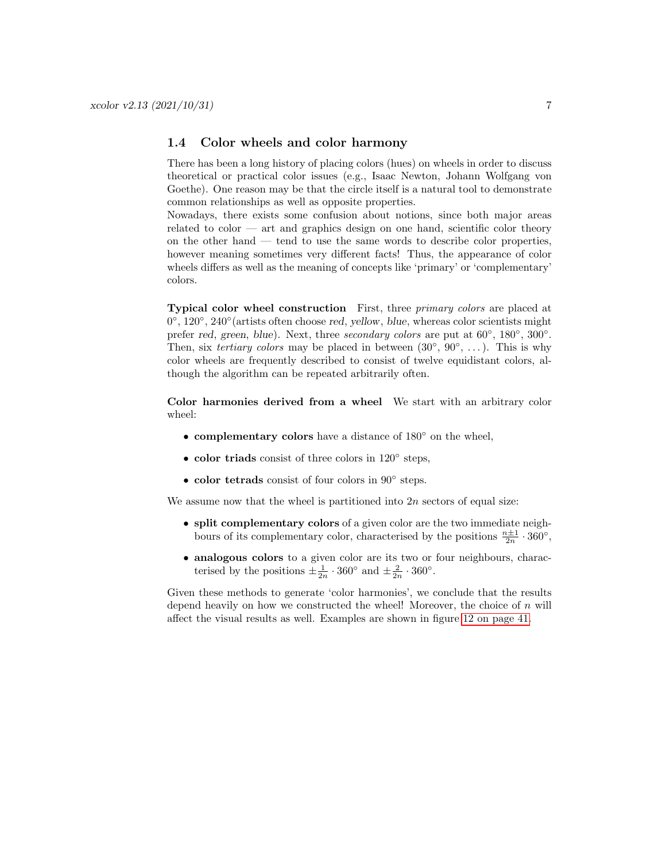### <span id="page-6-0"></span>1.4 Color wheels and color harmony

There has been a long history of placing colors (hues) on wheels in order to discuss theoretical or practical color issues (e.g., Isaac Newton, Johann Wolfgang von Goethe). One reason may be that the circle itself is a natural tool to demonstrate common relationships as well as opposite properties.

Nowadays, there exists some confusion about notions, since both major areas related to color — art and graphics design on one hand, scientific color theory on the other hand — tend to use the same words to describe color properties, however meaning sometimes very different facts! Thus, the appearance of color wheels differs as well as the meaning of concepts like 'primary' or 'complementary' colors.

Typical color wheel construction First, three primary colors are placed at 0°, 120°, 240° (artists often choose red, yellow, blue, whereas color scientists might prefer red, green, blue). Next, three secondary colors are put at  $60^{\circ}$ ,  $180^{\circ}$ ,  $300^{\circ}$ . Then, six *tertiary colors* may be placed in between  $(30^{\circ}, 90^{\circ}, ...)$ . This is why color wheels are frequently described to consist of twelve equidistant colors, although the algorithm can be repeated arbitrarily often.

Color harmonies derived from a wheel We start with an arbitrary color wheel:

- complementary colors have a distance of 180◦ on the wheel,
- color triads consist of three colors in 120° steps,
- color tetrads consist of four colors in 90◦ steps.

We assume now that the wheel is partitioned into  $2n$  sectors of equal size:

- split complementary colors of a given color are the two immediate neighbours of its complementary color, characterised by the positions  $\frac{n+1}{2n} \cdot 360^{\circ}$ ,
- analogous colors to a given color are its two or four neighbours, characterised by the positions  $\pm \frac{1}{2n} \cdot 360^{\circ}$  and  $\pm \frac{2}{2n} \cdot 360^{\circ}$ .

Given these methods to generate 'color harmonies', we conclude that the results depend heavily on how we constructed the wheel! Moreover, the choice of  $n$  will affect the visual results as well. Examples are shown in figure [12 on page 41.](#page-40-0)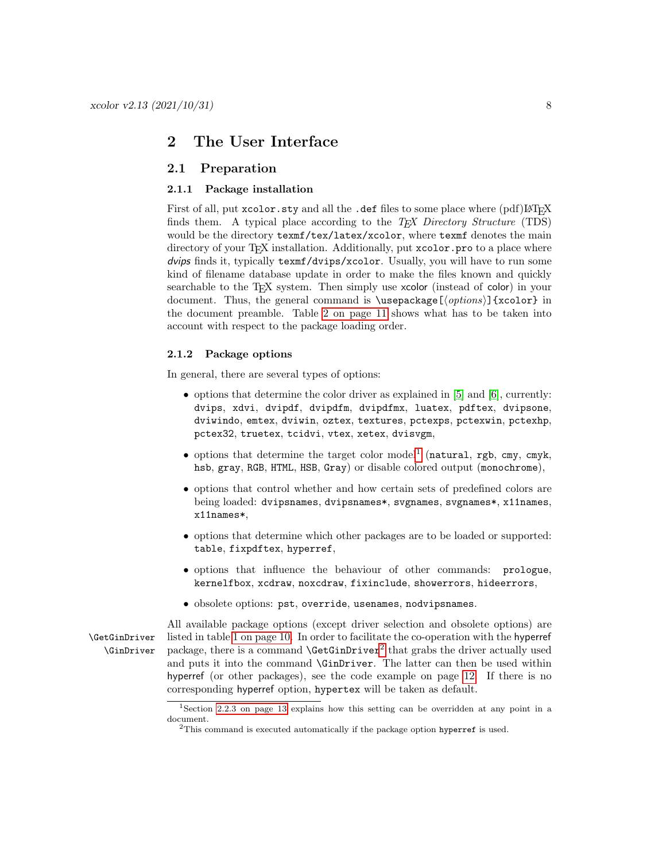### <span id="page-7-0"></span>2 The User Interface

### <span id="page-7-1"></span>2.1 Preparation

#### <span id="page-7-2"></span>2.1.1 Package installation

First of all, put xcolor.sty and all the .def files to some place where (pdf)LAT<sub>EX</sub> finds them. A typical place according to the  $TEX$  Directory Structure (TDS) would be the directory  $text{text/tex/latex/xcolor}$ , where  $text{text function}$  denotes the main directory of your TFX installation. Additionally, put xcolor.pro to a place where dvips finds it, typically texmf/dvips/xcolor. Usually, you will have to run some kind of filename database update in order to make the files known and quickly searchable to the T<sub>E</sub>X system. Then simply use xcolor (instead of color) in your document. Thus, the general command is  $\text{log}(\text{options})$  {xcolor} in the document preamble. Table [2 on page 11](#page-10-0) shows what has to be taken into account with respect to the package loading order.

### <span id="page-7-3"></span>2.1.2 Package options

In general, there are several types of options:

- options that determine the color driver as explained in [\[5\]](#page-61-2) and [\[6\]](#page-61-3), currently: dvips, xdvi, dvipdf, dvipdfm, dvipdfmx, luatex, pdftex, dvipsone, dviwindo, emtex, dviwin, oztex, textures, pctexps, pctexwin, pctexhp, pctex32, truetex, tcidvi, vtex, xetex, dvisvgm,
- $\bullet$  options that determine the target color model<sup>[1](#page-7-4)</sup> (natural, rgb, cmy, cmyk, hsb, gray, RGB, HTML, HSB, Gray) or disable colored output (monochrome),
- options that control whether and how certain sets of predefined colors are being loaded: dvipsnames, dvipsnames\*, svgnames, svgnames\*, x11names, x11names\*,
- options that determine which other packages are to be loaded or supported: table, fixpdftex, hyperref,
- options that influence the behaviour of other commands: prologue, kernelfbox, xcdraw, noxcdraw, fixinclude, showerrors, hideerrors,
- obsolete options: pst, override, usenames, nodvipsnames.

All available package options (except driver selection and obsolete options) are \GetGinDriver listed in table [1 on page 10.](#page-9-0) In order to facilitate the co-operation with the hyperref  $\Gamma$  \GinDriver package, there is a command  $\Gamma$  \GetGinDriver<sup>[2](#page-7-5)</sup> that grabs the driver actually used and puts it into the command \GinDriver. The latter can then be used within hyperref (or other packages), see the code example on page [12.](#page-11-1) If there is no corresponding hyperref option, hypertex will be taken as default.

<span id="page-7-4"></span><sup>1</sup>Section [2.2.3 on page 13](#page-12-0) explains how this setting can be overridden at any point in a document.

<span id="page-7-5"></span> $2$ This command is executed automatically if the package option hyperref is used.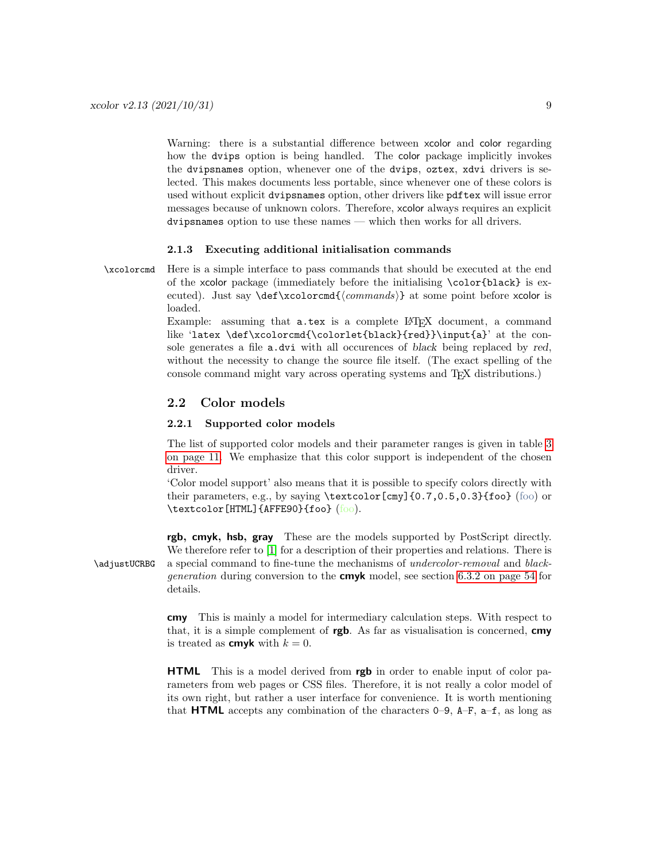Warning: there is a substantial difference between xcolor and color regarding how the dvips option is being handled. The color package implicitly invokes the dvipsnames option, whenever one of the dvips, oztex, xdvi drivers is selected. This makes documents less portable, since whenever one of these colors is used without explicit dvipsnames option, other drivers like pdftex will issue error messages because of unknown colors. Therefore, xcolor always requires an explicit dvipsnames option to use these names — which then works for all drivers.

#### <span id="page-8-0"></span>2.1.3 Executing additional initialisation commands

\xcolorcmd Here is a simple interface to pass commands that should be executed at the end of the xcolor package (immediately before the initialising \color{black} is executed). Just say \def\xcolorcmd{ $\{commands\}$ } at some point before xcolor is loaded.

> Example: assuming that **a**.tex is a complete LAT<sub>EX</sub> document, a command like 'latex \def\xcolorcmd{\colorlet{black}{red}}\input{a}' at the console generates a file a.dvi with all occurences of black being replaced by red, without the necessity to change the source file itself. (The exact spelling of the console command might vary across operating systems and TEX distributions.)

### <span id="page-8-1"></span>2.2 Color models

### <span id="page-8-2"></span>2.2.1 Supported color models

The list of supported color models and their parameter ranges is given in table [3](#page-10-1) [on page 11.](#page-10-1) We emphasize that this color support is independent of the chosen driver.

'Color model support' also means that it is possible to specify colors directly with their parameters, e.g., by saying \textcolor[cmy]{0.7,0.5,0.3}{foo} (foo) or \textcolor[HTML]{AFFE90}{foo} (foo).

rgb, cmyk, hsb, gray These are the models supported by PostScript directly. We therefore refer to [\[1\]](#page-61-4) for a description of their properties and relations. There is \adjustUCRBG a special command to fine-tune the mechanisms of undercolor-removal and black*generation* during conversion to the **cmyk** model, see section [6.3.2 on page 54](#page-53-1) for details.

> cmy This is mainly a model for intermediary calculation steps. With respect to that, it is a simple complement of **rgb**. As far as visualisation is concerned, **cmy** is treated as **cmyk** with  $k = 0$ .

> **HTML** This is a model derived from **rgb** in order to enable input of color parameters from web pages or CSS files. Therefore, it is not really a color model of its own right, but rather a user interface for convenience. It is worth mentioning that **HTML** accepts any combination of the characters  $0-9$ ,  $A-F$ ,  $a-f$ , as long as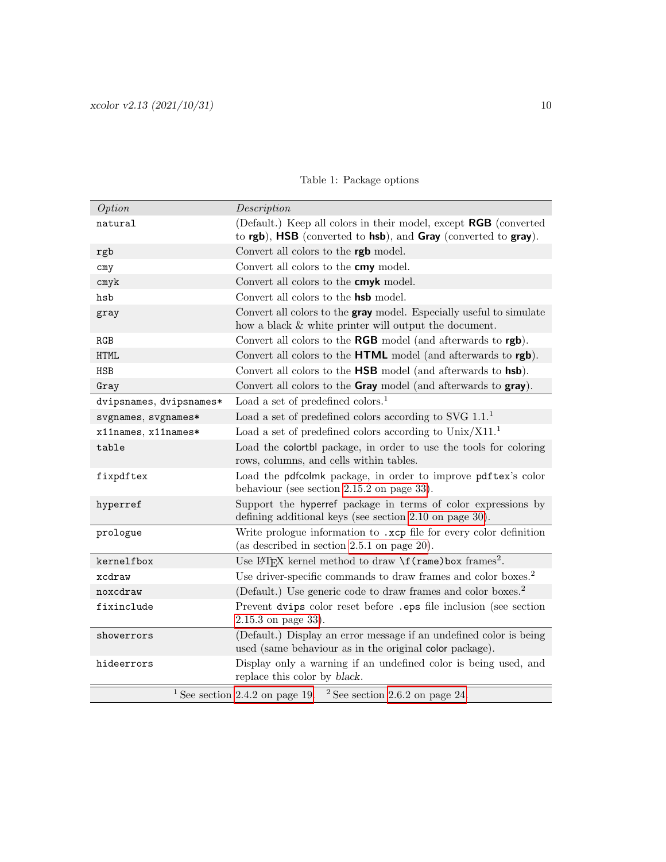| Option                  | Description                                                                                                                               |  |  |  |
|-------------------------|-------------------------------------------------------------------------------------------------------------------------------------------|--|--|--|
| natural                 | (Default.) Keep all colors in their model, except <b>RGB</b> (converted<br>to rgb), HSB (converted to hsb), and Gray (converted to gray). |  |  |  |
| rgb                     | Convert all colors to the rgb model.                                                                                                      |  |  |  |
| cmy                     | Convert all colors to the cmy model.                                                                                                      |  |  |  |
| $\text{cm}$ yk          | Convert all colors to the cmyk model.                                                                                                     |  |  |  |
| hsb                     | Convert all colors to the <b>hsb</b> model.                                                                                               |  |  |  |
| gray                    | Convert all colors to the <b>gray</b> model. Especially useful to simulate<br>how a black & white printer will output the document.       |  |  |  |
| RGB                     | Convert all colors to the RGB model (and afterwards to rgb).                                                                              |  |  |  |
| <b>HTML</b>             | Convert all colors to the HTML model (and afterwards to rgb).                                                                             |  |  |  |
| <b>HSB</b>              | Convert all colors to the HSB model (and afterwards to hsb).                                                                              |  |  |  |
| Gray                    | Convert all colors to the Gray model (and afterwards to gray).                                                                            |  |  |  |
| dvipsnames, dvipsnames* | Load a set of predefined colors. <sup>1</sup>                                                                                             |  |  |  |
| svgnames, svgnames*     | Load a set of predefined colors according to SVG $1.1$ <sup>1</sup>                                                                       |  |  |  |
| x11names, x11names*     | Load a set of predefined colors according to $Unix/X11.^1$                                                                                |  |  |  |
| table                   | Load the colortbl package, in order to use the tools for coloring<br>rows, columns, and cells within tables.                              |  |  |  |
| fixpdftex               | Load the pdfcolmk package, in order to improve pdftex's color<br>behaviour (see section $2.15.2$ on page 33).                             |  |  |  |
| hyperref                | Support the hyperref package in terms of color expressions by<br>defining additional keys (see section 2.10 on page 30).                  |  |  |  |
| prologue                | Write prologue information to .xcp file for every color definition<br>(as described in section $2.5.1$ on page $20$ ).                    |  |  |  |
| kernelfbox              | Use IATEX kernel method to draw $\f{frame}$ box frames <sup>2</sup> .                                                                     |  |  |  |
| xcdraw                  | Use driver-specific commands to draw frames and color boxes. <sup>2</sup>                                                                 |  |  |  |
| noxcdraw                | (Default.) Use generic code to draw frames and color boxes. <sup>2</sup>                                                                  |  |  |  |
| fixinclude              | Prevent dvips color reset before .eps file inclusion (see section<br>$2.15.3$ on page 33).                                                |  |  |  |
| showerrors              | (Default.) Display an error message if an undefined color is being<br>used (same behaviour as in the original color package).             |  |  |  |
| hideerrors              | Display only a warning if an undefined color is being used, and<br>replace this color by black.                                           |  |  |  |
|                         | <sup>1</sup> See section 2.4.2 on page 19. <sup>2</sup> See section 2.6.2 on page 24.                                                     |  |  |  |

### <span id="page-9-0"></span>Table 1: Package options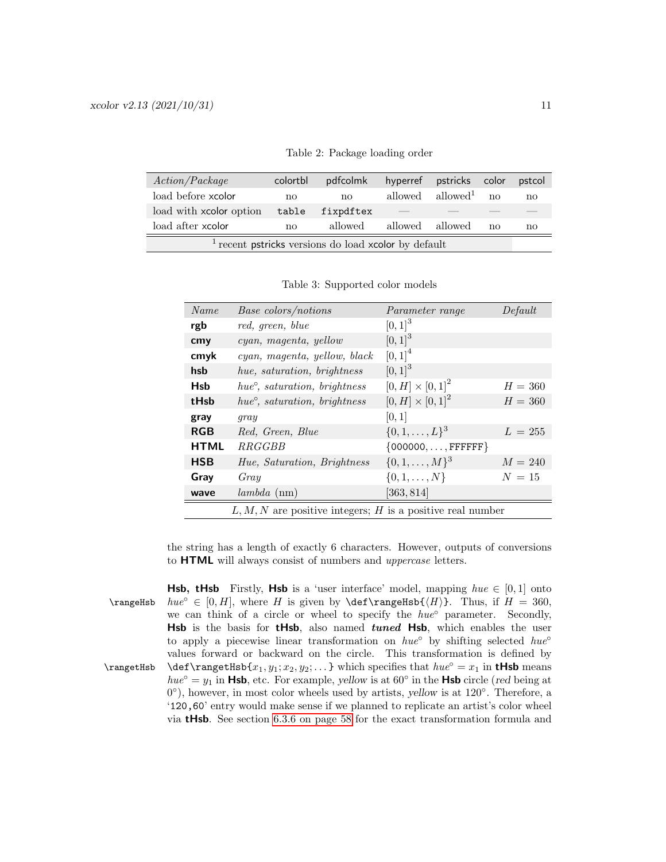| Action/Package                                                 | colortbl     | pdfcolmk  |                                 | hyperref pstricks color |    | pstcol |
|----------------------------------------------------------------|--------------|-----------|---------------------------------|-------------------------|----|--------|
| load before xcolor                                             | $\mathbf{n}$ | no        | allowed                         | allowed <sup>1</sup>    | no | no     |
| load with xcolor option                                        | table        | fixpdftex | $\hspace{0.1mm}-\hspace{0.1mm}$ |                         |    |        |
| load after xcolor<br>allowed<br>allowed<br>allowed<br>no<br>no |              |           |                                 |                         | no |        |
| $1$ recent pstricks versions do load xcolor by default         |              |           |                                 |                         |    |        |

<span id="page-10-0"></span>Table 2: Package loading order

<span id="page-10-1"></span>Table 3: Supported color models

| Name        | Base colors/notions                                          | Parameter range          | Default   |  |  |
|-------------|--------------------------------------------------------------|--------------------------|-----------|--|--|
| rgb         | red, green, blue                                             | $[0, 1]^{3}$             |           |  |  |
| cmy         | cyan, magenta, yellow                                        | $[0, 1]^{3}$             |           |  |  |
| cmyk        | cyan, magenta, yellow, black                                 | $[0, 1]^{4}$             |           |  |  |
| hsb         | hue, saturation, brightness                                  | $[0, 1]^{3}$             |           |  |  |
| <b>Hsb</b>  | $hue^{\circ}$ , saturation, brightness                       | $[0, H] \times [0, 1]^2$ | $H = 360$ |  |  |
| tHsb        | $hue^{\circ}$ , saturation, brightness                       | $[0, H] \times [0, 1]^2$ | $H = 360$ |  |  |
| gray        | gray                                                         | [0, 1]                   |           |  |  |
| <b>RGB</b>  | Red, Green, Blue                                             | $\{0,1,\ldots,L\}^3$     | $L = 255$ |  |  |
| <b>HTML</b> | <i>RRGGBB</i>                                                | $\{000000, , FFFFFF\}$   |           |  |  |
| <b>HSB</b>  | Hue, Saturation, Brightness                                  | $\{0,1,\ldots,M\}^3$     | $M = 240$ |  |  |
| Gray        | Gray                                                         | $\{0, 1, \ldots, N\}$    | $N=15$    |  |  |
| wave        | lambda (nm)                                                  | [363, 814]               |           |  |  |
|             | $L, M, N$ are positive integers; H is a positive real number |                          |           |  |  |

the string has a length of exactly 6 characters. However, outputs of conversions to **HTML** will always consist of numbers and *uppercase* letters.

**Hsb, tHsb** Firstly, **Hsb** is a 'user interface' model, mapping  $hue \in [0,1]$  onto \rangeHsb  $hue^{\circ} \in [0, H]$ , where H is given by \def\rangeHsb{ $\langle H \rangle$ }. Thus, if  $H = 360$ , we can think of a circle or wheel to specify the  $hue^{\circ}$  parameter. Secondly, Hsb is the basis for tHsb, also named tuned Hsb, which enables the user to apply a piecewise linear transformation on  $hue^{\circ}$  by shifting selected  $hue^{\circ}$ values forward or backward on the circle. This transformation is defined by \rangetHsb{ $x_1, y_1; x_2, y_2; \ldots$ } which specifies that  $hue^{\circ} = x_1$  in **tHsb** means  $hue^{\circ} = y_1$  in **Hsb**, etc. For example, yellow is at 60 $^{\circ}$  in the **Hsb** circle (red being at 0°), however, in most color wheels used by artists, yellow is at 120°. Therefore, a '120,60' entry would make sense if we planned to replicate an artist's color wheel via tHsb. See section [6.3.6 on page 58](#page-57-3) for the exact transformation formula and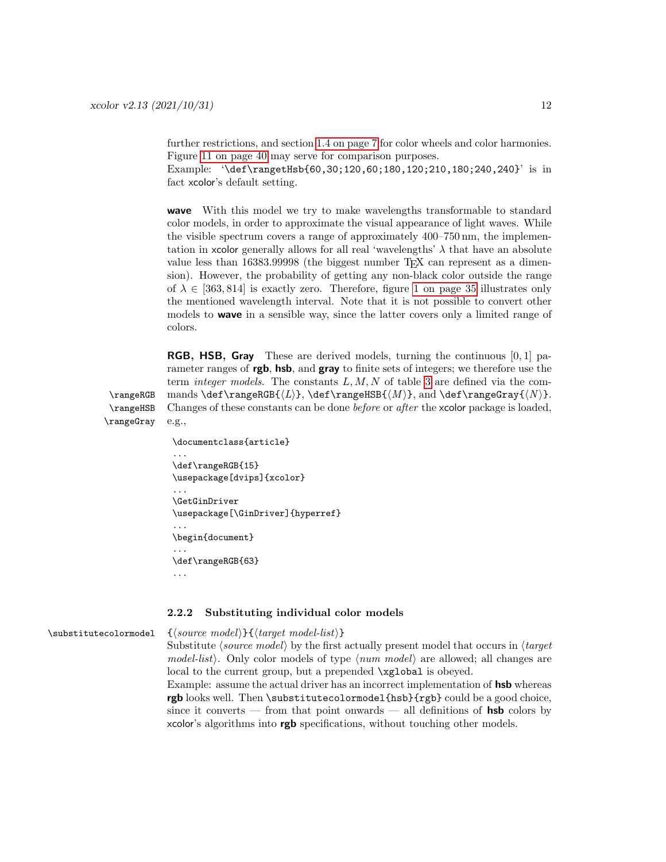further restrictions, and section [1.4 on page 7](#page-6-0) for color wheels and color harmonies. Figure [11 on page 40](#page-39-0) may serve for comparison purposes.

Example:  $\text{Map}(60,30;120,60;180,120;210,180;240,240}'$  is in fact xcolor's default setting.

wave With this model we try to make wavelengths transformable to standard color models, in order to approximate the visual appearance of light waves. While the visible spectrum covers a range of approximately 400–750 nm, the implementation in xcolor generally allows for all real 'wavelengths'  $\lambda$  that have an absolute value less than 16383.99998 (the biggest number TFX can represent as a dimension). However, the probability of getting any non-black color outside the range of  $\lambda \in [363, 814]$  is exactly zero. Therefore, figure [1 on page 35](#page-34-1) illustrates only the mentioned wavelength interval. Note that it is not possible to convert other models to **wave** in a sensible way, since the latter covers only a limited range of colors.

<span id="page-11-1"></span>**RGB, HSB, Gray** These are derived models, turning the continuous  $[0, 1]$  parameter ranges of **rgb**, hsb, and **gray** to finite sets of integers; we therefore use the term *integer models*. The constants  $L, M, N$  of table [3](#page-10-1) are defined via the com-\rangeRGB mands \def\rangeRGB{ $\langle L \rangle$ }, \def\rangeHSB{ $\langle M \rangle$ }, and \def\rangeGray{ $\langle N \rangle$ }. \rangeHSB Changes of these constants can be done before or after the xcolor package is loaded, \rangeGray e.g.,

```
\documentclass{article}
...
\def\rangeRGB{15}
\usepackage[dvips]{xcolor}
...
\GetGinDriver
\usepackage[\GinDriver]{hyperref}
...
\begin{document}
...
\def\rangeRGB{63}
...
```
#### <span id="page-11-0"></span>2.2.2 Substituting individual color models

\substitutecolormodel {⟨source model⟩}{⟨target model-list⟩}

Substitute  $\langle source \ model \rangle$  by the first actually present model that occurs in  $\langle target \rangle$ model-list $\rangle$ . Only color models of type  $\langle num \ model \rangle$  are allowed; all changes are local to the current group, but a prepended  $\xq$ lobal is obeyed.

Example: assume the actual driver has an incorrect implementation of hsb whereas rgb looks well. Then \substitutecolormodel{hsb}{rgb} could be a good choice, since it converts — from that point onwards — all definitions of  $hsb$  colors by xcolor's algorithms into rgb specifications, without touching other models.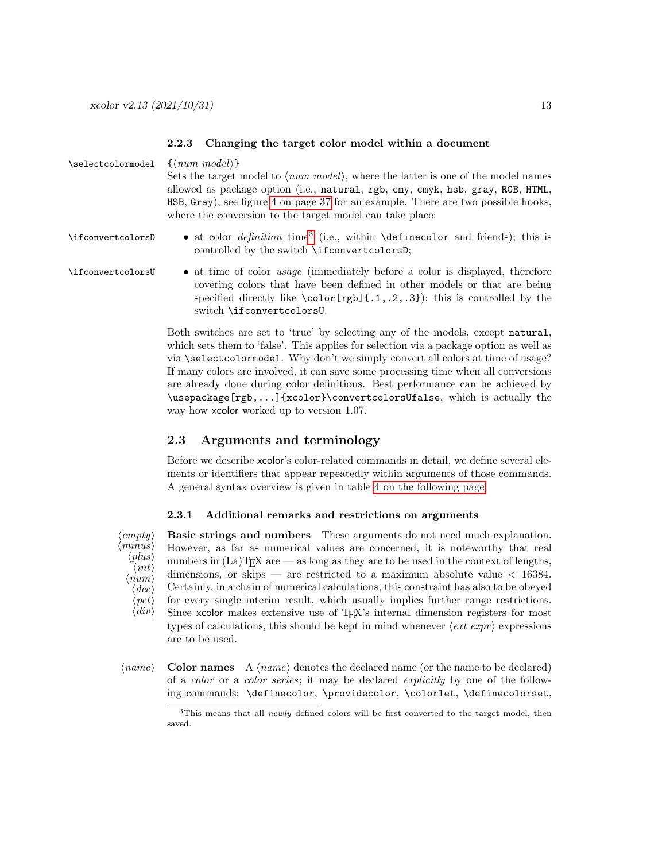#### <span id="page-12-0"></span>2.2.3 Changing the target color model within a document

| \selectcolormodel | $\{\langle num \ model\rangle\}$<br>Sets the target model to $\langle num \ model \rangle$ , where the latter is one of the model names<br>allowed as package option (i.e., natural, rgb, cmy, cmyk, hsb, gray, RGB, HTML,<br>HSB, Gray), see figure 4 on page 37 for an example. There are two possible hooks,<br>where the conversion to the target model can take place: |  |  |
|-------------------|-----------------------------------------------------------------------------------------------------------------------------------------------------------------------------------------------------------------------------------------------------------------------------------------------------------------------------------------------------------------------------|--|--|
| \ifconvertcolorsD | • at color <i>definition</i> time <sup>3</sup> (i.e., within <b>\definecolor</b> and friends); this is<br>controlled by the switch \ifconvertcolorsD;                                                                                                                                                                                                                       |  |  |
| \ifconvertcolorsU | • at time of color <i>usage</i> (immediately before a color is displayed, therefore<br>covering colors that have been defined in other models or that are being<br>specified directly like $\colon [rgb] \{.1, .2, .3\}$ ; this is controlled by the<br>switch \ifconvertcolorsU.                                                                                           |  |  |
|                   | Both switches are set to 'true' by selecting any of the models, except natural,<br>which sets them to 'false'. This applies for selection via a package option as well as<br>via $\lambda$ select colormodel Why don't we simply convert all colors at time of usage?                                                                                                       |  |  |

via **\selectcolormodel**. Why don't we simply convert all colors at time of usage? If many colors are involved, it can save some processing time when all conversions are already done during color definitions. Best performance can be achieved by \usepackage[rgb,...]{xcolor}\convertcolorsUfalse, which is actually the way how **xcolor** worked up to version 1.07.

### <span id="page-12-1"></span>2.3 Arguments and terminology

Before we describe xcolor's color-related commands in detail, we define several elements or identifiers that appear repeatedly within arguments of those commands. A general syntax overview is given in table [4 on the following page.](#page-13-0)

### <span id="page-12-2"></span>2.3.1 Additional remarks and restrictions on arguments



 $\langle empty\rangle$  Basic strings and numbers These arguments do not need much explanation. However, as far as numerical values are concerned, it is noteworthy that real numbers in  $(La)$ T<sub>E</sub>X are — as long as they are to be used in the context of lengths, dimensions, or skips — are restricted to a maximum absolute value  $<$  16384. Certainly, in a chain of numerical calculations, this constraint has also to be obeyed for every single interim result, which usually implies further range restrictions. Since xcolor makes extensive use of TEX's internal dimension registers for most types of calculations, this should be kept in mind whenever  $\langle ext\>expr \rangle$  expressions are to be used.

 $\langle name \rangle$  Color names A  $\langle name \rangle$  denotes the declared name (or the name to be declared) of a color or a color series; it may be declared explicitly by one of the following commands: \definecolor, \providecolor, \colorlet, \definecolorset,

<span id="page-12-3"></span><sup>&</sup>lt;sup>3</sup>This means that all *newly* defined colors will be first converted to the target model, then saved.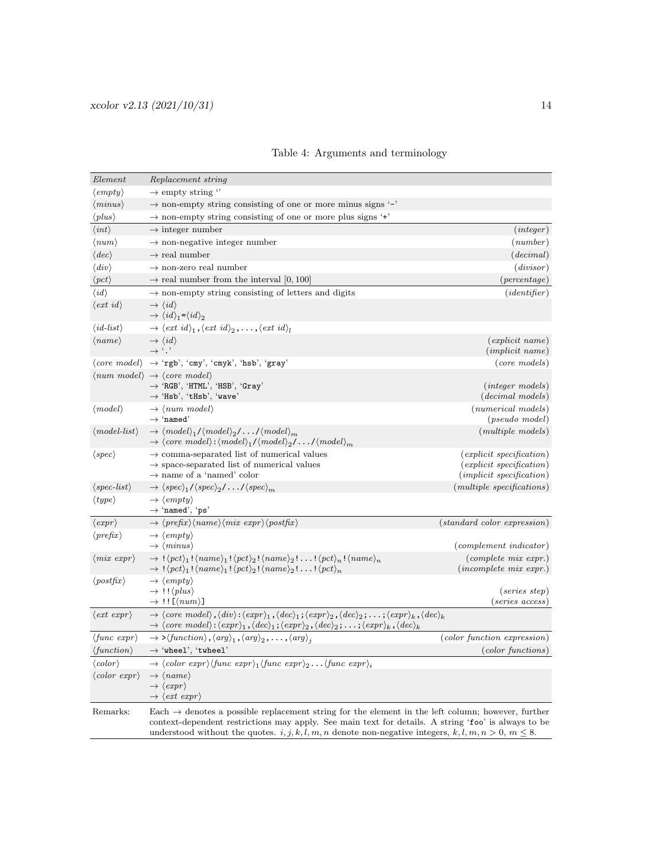| Element                                    | Replacement string                                                                                                                                                                                                                                                                                                                                                                                                           |                                                                                                  |  |  |
|--------------------------------------------|------------------------------------------------------------------------------------------------------------------------------------------------------------------------------------------------------------------------------------------------------------------------------------------------------------------------------------------------------------------------------------------------------------------------------|--------------------------------------------------------------------------------------------------|--|--|
| $\langle empty\rangle$                     | $\rightarrow$ empty string "                                                                                                                                                                                                                                                                                                                                                                                                 |                                                                                                  |  |  |
| $\langle minus\rangle$                     | $\rightarrow$ non-empty string consisting of one or more minus signs '-'                                                                                                                                                                                                                                                                                                                                                     |                                                                                                  |  |  |
| $\langle plus \rangle$                     | $\rightarrow$ non-empty string consisting of one or more plus signs '+'                                                                                                                                                                                                                                                                                                                                                      |                                                                                                  |  |  |
| $\langle int \rangle$                      | $\rightarrow$ integer number                                                                                                                                                                                                                                                                                                                                                                                                 | (integer)                                                                                        |  |  |
| $\langle num \rangle$                      | $\rightarrow$ non-negative integer number                                                                                                                                                                                                                                                                                                                                                                                    | (number)                                                                                         |  |  |
| $\langle dec \rangle$                      | $\rightarrow$ real number                                                                                                                                                                                                                                                                                                                                                                                                    | (decimal)                                                                                        |  |  |
| $\langle div \rangle$                      | $\rightarrow$ non-zero real number                                                                                                                                                                                                                                                                                                                                                                                           | (divisor)                                                                                        |  |  |
| $\langle pct \rangle$                      | $\rightarrow$ real number from the interval [0, 100]                                                                                                                                                                                                                                                                                                                                                                         | $(\text{percentage})$                                                                            |  |  |
| $\langle id \rangle$                       | $\rightarrow$ non-empty string consisting of letters and digits                                                                                                                                                                                                                                                                                                                                                              | (identifer)                                                                                      |  |  |
| $\langle ext\ id\rangle$                   | $\rightarrow \langle id \rangle$<br>$\rightarrow \langle id \rangle_1 = \langle id \rangle_2$                                                                                                                                                                                                                                                                                                                                |                                                                                                  |  |  |
| $\langle id\text{-}list\rangle$            | $\rightarrow \langle ext \, id \rangle_1$ , $\langle ext \, id \rangle_2$ , , $\langle ext \, id \rangle_l$                                                                                                                                                                                                                                                                                                                  |                                                                                                  |  |  |
| $\langle name \rangle$                     | $\rightarrow \langle id \rangle$<br>$\rightarrow$ '.'                                                                                                                                                                                                                                                                                                                                                                        | (explicit name)<br>(implicit name)                                                               |  |  |
|                                            | $\langle core \ model \rangle \rightarrow 'rgb', 'cmy', 'cmyk', 'hsb', 'gray'$                                                                                                                                                                                                                                                                                                                                               | $(core \ models)$                                                                                |  |  |
|                                            | $\langle num \ model \rangle \rightarrow \langle core \ model \rangle$<br>$\rightarrow$ 'RGB', 'HTML', 'HSB', 'Gray'<br>$\rightarrow$ 'Hsb', 'tHsb', 'wave'                                                                                                                                                                                                                                                                  | $(integer \ models)$<br>$(decimal\ models)$                                                      |  |  |
| $\langle model \rangle$                    | $\rightarrow$ (num model)<br>$\rightarrow$ 'named'                                                                                                                                                                                                                                                                                                                                                                           | (numerical models)<br>$(pseudo \ model)$                                                         |  |  |
| $\langle model-list \rangle$               | $\rightarrow \langle model \rangle_1 / \langle model \rangle_2 / \dots / \langle model \rangle_m$<br>$\rightarrow \langle core \ model \rangle : \langle model \rangle_1 / \langle model \rangle_2 / \dots / \langle model \rangle_m$                                                                                                                                                                                        | (multiple models)                                                                                |  |  |
| $\langle spec \rangle$                     | $\rightarrow$ comma-separated list of numerical values<br>$\rightarrow$ space-separated list of numerical values<br>$\rightarrow$ name of a 'named' color                                                                                                                                                                                                                                                                    | $(explicit\,\,specification)$<br>$(explicit\,\,specification)$<br>$(implicit\,\, specification)$ |  |  |
| $\langle spec-list \rangle$                | $\rightarrow \langle spec \rangle_1 / \langle spec \rangle_2 / \dots / \langle spec \rangle_m$                                                                                                                                                                                                                                                                                                                               | (multiplexpecifications)                                                                         |  |  |
| $\langle type \rangle$                     | $\rightarrow \langle empty \rangle$<br>$\rightarrow$ 'named', 'ps'                                                                                                                                                                                                                                                                                                                                                           |                                                                                                  |  |  |
| $\langle expr \rangle$                     | $\rightarrow \langle prefix \rangle \langle name \rangle \langle mix \; expr \rangle \langle postfix \rangle$                                                                                                                                                                                                                                                                                                                | $(standard\ color\ expression)$                                                                  |  |  |
| $\langle prefix \rangle$                   | $\rightarrow \langle empty \rangle$<br>$\rightarrow \langle minus \rangle$                                                                                                                                                                                                                                                                                                                                                   | $(complement\ indicator)$                                                                        |  |  |
| $\langle mix \; expr \rangle$              | $\rightarrow$ ! $\langle pct \rangle_1! \langle name \rangle_1! \langle pct \rangle_2! \langle name \rangle_2! \dots! \langle pct \rangle_n! \langle name \rangle_n$<br>$\rightarrow$ ! $\langle pct \rangle_1$ ! $\langle name \rangle_1$ ! $\langle pct \rangle_2$ ! $\langle name \rangle_2$ !! $\langle pct \rangle_n$                                                                                                   | $\text{(complete mix expr.)}$<br>$(incomplete\; mix\; expr.)$                                    |  |  |
| $\langle\textit{postfix}\rangle$           | $\rightarrow \langle empty \rangle$<br>$\rightarrow$ !! $\langle plus \rangle$<br>$\rightarrow$ !! [ $\langle num \rangle$ ]                                                                                                                                                                                                                                                                                                 | $(series \ step)$<br>$(series \; access)$                                                        |  |  |
| $\langle ext \exp r \rangle$               | $\rightarrow \langle core \ model \rangle$ , $\langle div \rangle$ : $\langle exp \gamma_1, \langle dec \rangle_1$ ; $\langle exp \gamma_2, \langle dec \rangle_2; \dots; \langle exp \gamma_k, \langle dec \rangle_k$<br>$\rightarrow \langle core \ model \rangle : \langle expr \rangle_1, \langle dec \rangle_1 ; \langle expr \rangle_2, \langle dec \rangle_2 ; \dots ; \langle expr \rangle_k, \langle dec \rangle_k$ |                                                                                                  |  |  |
| $\langle \text{func } \text{expr} \rangle$ | $\rightarrow$ > $\langle function \rangle$ , $\langle arg \rangle_1$ , $\langle arg \rangle_2$ , , $\langle arg \rangle_i$                                                                                                                                                                                                                                                                                                   | (color function expression)                                                                      |  |  |
| $\langle function \rangle$                 | $\rightarrow$ 'wheel', 'twheel'                                                                                                                                                                                                                                                                                                                                                                                              | $(color\ functions)$                                                                             |  |  |
| $\langle color \rangle$                    | $\rightarrow \langle color \; expr \rangle \langle func \; expr \rangle_1 \langle func \; expr \rangle_2 \dots \langle func \; expr \rangle_i$                                                                                                                                                                                                                                                                               |                                                                                                  |  |  |
| $\langle color \; expr \rangle$            | $\rightarrow \langle name \rangle$<br>$\rightarrow \langle \text{expr} \rangle$<br>$\rightarrow \langle ext \; expr \rangle$                                                                                                                                                                                                                                                                                                 |                                                                                                  |  |  |
| Remarks:                                   | Each $\rightarrow$ denotes a possible replacement string for the element in the left column; however, further<br>context-dependent restrictions may apply. See main text for details. A string 'foo' is always to be<br>understood without the quotes. i, j, k, l, m, n denote non-negative integers, k, l, m, $n > 0$ , $m \le 8$ .                                                                                         |                                                                                                  |  |  |

<span id="page-13-0"></span>

|  |  |  | Table 4: Arguments and terminology |
|--|--|--|------------------------------------|
|--|--|--|------------------------------------|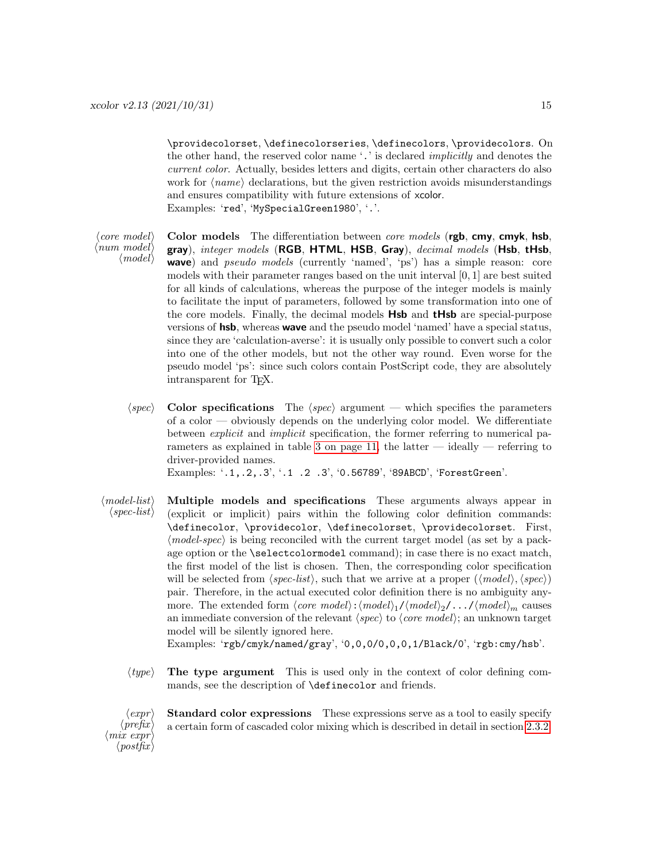\providecolorset, \definecolorseries, \definecolors, \providecolors. On the other hand, the reserved color name '.' is declared implicitly and denotes the current color. Actually, besides letters and digits, certain other characters do also work for  $\langle name \rangle$  declarations, but the given restriction avoids misunderstandings and ensures compatibility with future extensions of xcolor. Examples: 'red', 'MySpecialGreen1980', '.'.

⟨num model⟩  $\langle model \rangle$ 

- $\langle core \ model \rangle$  Color models The differentiation between *core models* (rgb, cmy, cmyk, hsb, gray), integer models (RGB, HTML, HSB, Gray), decimal models (Hsb, tHsb, wave) and pseudo models (currently 'named', 'ps') has a simple reason: core models with their parameter ranges based on the unit interval [0, 1] are best suited for all kinds of calculations, whereas the purpose of the integer models is mainly to facilitate the input of parameters, followed by some transformation into one of the core models. Finally, the decimal models Hsb and tHsb are special-purpose versions of hsb, whereas wave and the pseudo model 'named' have a special status, since they are 'calculation-averse': it is usually only possible to convert such a color into one of the other models, but not the other way round. Even worse for the pseudo model 'ps': since such colors contain PostScript code, they are absolutely intransparent for TEX.
	- $\langle spec \rangle$  Color specifications The  $\langle spec \rangle$  argument which specifies the parameters of a color — obviously depends on the underlying color model. We differentiate between explicit and implicit specification, the former referring to numerical pa-rameters as explained in table [3 on page 11,](#page-10-1) the latter — ideally — referring to driver-provided names.

Examples: '.1,.2,.3', '.1 .2 .3', '0.56789', '89ABCD', 'ForestGreen'.

⟨model-list⟩ Multiple models and specifications These arguments always appear in  $\langle spec-list \rangle$  (explicit or implicit) pairs within the following color definition commands: \definecolor, \providecolor, \definecolorset, \providecolorset. First, ⟨model-spec⟩ is being reconciled with the current target model (as set by a package option or the \selectcolormodel command); in case there is no exact match, the first model of the list is chosen. Then, the corresponding color specification will be selected from  $\langle spec-list \rangle$ , such that we arrive at a proper  $(\langle model \rangle, \langle spec \rangle)$ pair. Therefore, in the actual executed color definition there is no ambiguity anymore. The extended form  $\langle core \ model \rangle : \langle model \rangle_1 / \langle model \rangle_2 / \ldots / \langle model \rangle_m$  causes an immediate conversion of the relevant  $\langle spec \rangle$  to  $\langle core \ model \rangle$ ; an unknown target model will be silently ignored here.

Examples: 'rgb/cmyk/named/gray', '0,0,0/0,0,0,1/Black/0', 'rgb:cmy/hsb'.

 $\langle type \rangle$  The type argument This is used only in the context of color defining commands, see the description of \definecolor and friends.

 $\langle \textit{expr} \rangle$  Standard color expressions These expressions serve as a tool to easily specify  $\langle \text{prefix} \rangle$  $\langle$ mix expr $\rangle$  $\langle\textit{postfix}\rangle$ a certain form of cascaded color mixing which is described in detail in section [2.3.2.](#page-15-0)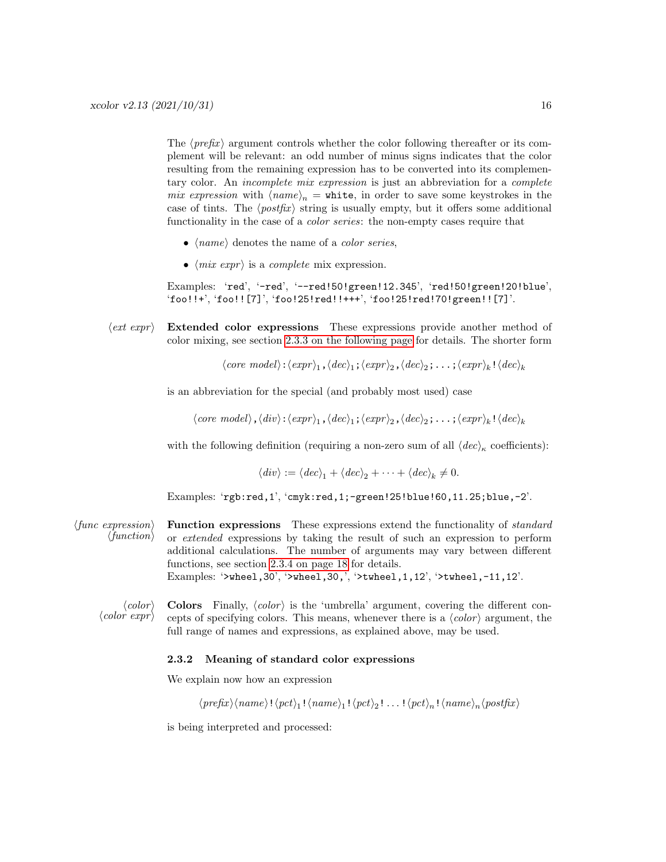The  $\langle prefix \rangle$  argument controls whether the color following thereafter or its complement will be relevant: an odd number of minus signs indicates that the color resulting from the remaining expression has to be converted into its complementary color. An *incomplete mix expression* is just an abbreviation for a *complete* mix expression with  $\langle name \rangle_n =$  white, in order to save some keystrokes in the case of tints. The  $\langle postfix \rangle$  string is usually empty, but it offers some additional functionality in the case of a *color series*: the non-empty cases require that

- $\langle name \rangle$  denotes the name of a *color series*,
- $\langle mix \exp r \rangle$  is a *complete* mix expression.

Examples: 'red', '-red', '--red!50!green!12.345', 'red!50!green!20!blue', 'foo!!+', 'foo!![7]', 'foo!25!red!!+++', 'foo!25!red!70!green!![7]'.

 $\langle ext\>expr \rangle$  Extended color expressions These expressions provide another method of color mixing, see section [2.3.3 on the following page](#page-16-0) for details. The shorter form

 $\langle core \ model \rangle : \langle expr \rangle_1, \langle dec \rangle_1; \langle expr \rangle_2, \langle dec \rangle_2; \ldots; \langle expr \rangle_k! \langle dec \rangle_k$ 

is an abbreviation for the special (and probably most used) case

 $\langle core \ model \rangle$ ,  $\langle div \rangle$ : $\langle exp \gamma_1$ ,  $\langle dec \rangle_1$ ;  $\langle exp \gamma_2, \langle dec \rangle_2; \ldots; \langle exp \gamma_k, \langle dec \rangle_k$ 

with the following definition (requiring a non-zero sum of all  $\langle dec \rangle_{\kappa}$  coefficients):

$$
\langle \text{div} \rangle := \langle \text{dec} \rangle_1 + \langle \text{dec} \rangle_2 + \dots + \langle \text{dec} \rangle_k \neq 0.
$$

Examples: 'rgb:red,1', 'cmyk:red,1;-green!25!blue!60,11.25;blue,-2'.

- ⟨func expression⟩ Function expressions These expressions extend the functionality of standard ⟨function⟩ or extended expressions by taking the result of such an expression to perform additional calculations. The number of arguments may vary between different functions, see section [2.3.4 on page 18](#page-17-0) for details. Examples: '>wheel,30', '>wheel,30,', '>twheel,1,12', '>twheel,-11,12'.
	- $\langle color \rangle$  Colors Finally,  $\langle color \rangle$  is the 'umbrella' argument, covering the different con-<br> $\langle color \;expr \rangle$  cepts of specifying colors. This means, whenever there is a  $\langle color \rangle$  argument, the cepts of specifying colors. This means, whenever there is a  $\langle color \rangle$  argument, the full range of names and expressions, as explained above, may be used.

#### <span id="page-15-0"></span>2.3.2 Meaning of standard color expressions

We explain now how an expression

 $\langle prefix \rangle \langle name \rangle! \langle pet \rangle_1! \langle name \rangle_1! \langle pet \rangle_2! \dots! \langle pet \rangle_n! \langle name \rangle_n \langle postfix \rangle$ 

is being interpreted and processed: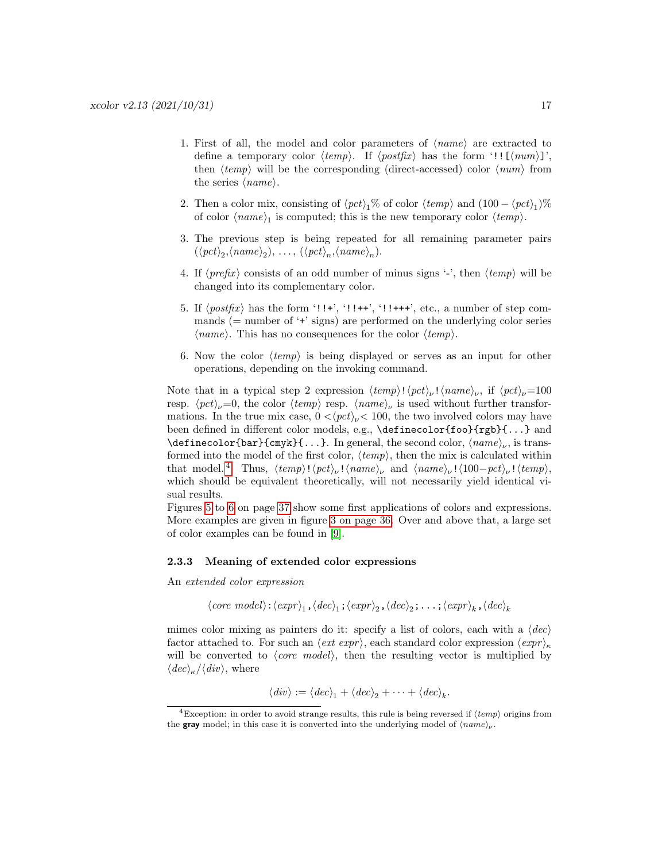- 1. First of all, the model and color parameters of  $\langle name \rangle$  are extracted to define a temporary color  $\langle temp \rangle$ . If  $\langle postfix \rangle$  has the form '!! [ $\langle num \rangle$ ]', then  $\langle temp \rangle$  will be the corresponding (direct-accessed) color  $\langle num \rangle$  from the series  $\langle name \rangle$ .
- 2. Then a color mix, consisting of  $\langle pct \rangle_1$ % of color  $\langle temp \rangle$  and  $(100 \langle pct \rangle_1)$ % of color  $\langle name \rangle_1$  is computed; this is the new temporary color  $\langle temp \rangle$ .
- 3. The previous step is being repeated for all remaining parameter pairs  $(\langle pct \rangle_2, \langle name \rangle_2), \ldots, (\langle pct \rangle_n, \langle name \rangle_n).$
- 4. If  $\langle prefix \rangle$  consists of an odd number of minus signs '-', then  $\langle temp \rangle$  will be changed into its complementary color.
- 5. If  $\langle \text{postfix} \rangle$  has the form '!!+', '!!++', '!!+++', etc., a number of step commands  $(=$  number of  $\dot{+}$  signs) are performed on the underlying color series  $\langle name \rangle$ . This has no consequences for the color  $\langle temp \rangle$ .
- 6. Now the color  $\langle temp \rangle$  is being displayed or serves as an input for other operations, depending on the invoking command.

Note that in a typical step 2 expression  $\langle temp \rangle! \langle pet \rangle_{\nu}! \langle name \rangle_{\nu}$ , if  $\langle pet \rangle_{\nu}=100$ resp.  $\langle pct \rangle_{\nu}=0$ , the color  $\langle temp \rangle$  resp.  $\langle name \rangle_{\nu}$  is used without further transformations. In the true mix case,  $0 < \langle pct \rangle_{\nu} < 100$ , the two involved colors may have been defined in different color models, e.g., \definecolor{foo}{rgb}{...} and \definecolor{bar}{cmyk}{...}. In general, the second color,  $\langle name \rangle_{\nu}$ , is transformed into the model of the first color,  $\langle temp \rangle$ , then the mix is calculated within that model.<sup>[4](#page-16-1)</sup> Thus,  $\langle temp \rangle! \langle pct \rangle_{\nu}! \langle name \rangle_{\nu}$  and  $\langle name \rangle_{\nu}! \langle 100-pct \rangle_{\nu}! \langle temp \rangle$ , which should be equivalent theoretically, will not necessarily yield identical visual results.

Figures [5](#page-36-1) to [6](#page-36-2) on page [37](#page-36-1) show some first applications of colors and expressions. More examples are given in figure [3 on page 36.](#page-35-0) Over and above that, a large set of color examples can be found in [\[9\]](#page-61-5).

### <span id="page-16-0"></span>2.3.3 Meaning of extended color expressions

An extended color expression

$$
\langle core \ model \rangle : \langle expr \rangle_1, \langle dec \rangle_1; \langle expr \rangle_2, \langle dec \rangle_2; \ldots; \langle expr \rangle_k, \langle dec \rangle_k
$$

mimes color mixing as painters do it: specify a list of colors, each with a  $\langle dec \rangle$ factor attached to. For such an  $\langle ext\>expr \rangle$ , each standard color expression  $\langle expr \rangle_{\kappa}$ will be converted to  $\langle core \ model \rangle$ , then the resulting vector is multiplied by  $\langle dec \rangle_{\kappa}/\langle div \rangle$ , where

$$
\langle \text{div} \rangle := \langle \text{dec} \rangle_1 + \langle \text{dec} \rangle_2 + \cdots + \langle \text{dec} \rangle_k.
$$

<span id="page-16-1"></span><sup>&</sup>lt;sup>4</sup>Exception: in order to avoid strange results, this rule is being reversed if  $\langle temp \rangle$  origins from the **gray** model; in this case it is converted into the underlying model of  $\langle name \rangle_{\nu}$ .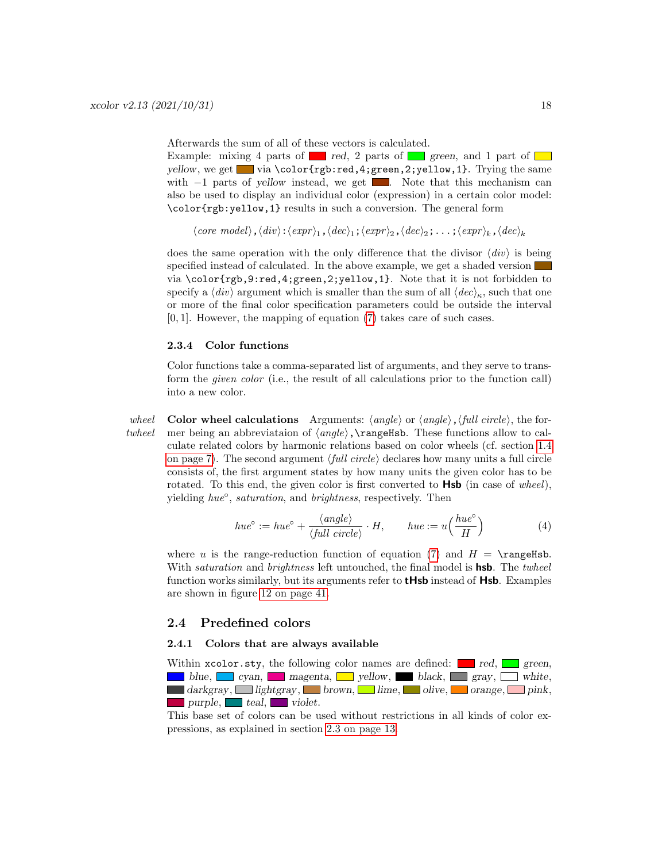Afterwards the sum of all of these vectors is calculated.

Example: mixing 4 parts of red, 2 parts of green, and 1 part of  $\Box$ yellow, we get via  $\cdot$  via  $\cdot$  via  $\cdot$  vertexting the same vector of  $\cdot$  and  $\cdot$  is  $\cdot$  is  $\cdot$  is  $\cdot$  is  $\cdot$  is  $\cdot$  is  $\cdot$  is  $\cdot$  is  $\cdot$  is  $\cdot$  is  $\cdot$  is  $\cdot$  is  $\cdot$  is  $\cdot$  is  $\cdot$  is  $\cdot$  is  $\cdot$  is  $\cdot$ with  $-1$  parts of yellow instead, we get  $\blacksquare$ . Note that this mechanism can also be used to display an individual color (expression) in a certain color model: \color{rgb:yellow,1} results in such a conversion. The general form

 $\langle core \ model \rangle$ ,  $\langle div \rangle$ : $\langle exp \gamma_1$ ,  $\langle dec \rangle_1$ ;  $\langle exp \gamma_2, \langle dec \rangle_2; \ldots; \langle exp \gamma_k, \langle dec \rangle_k$ 

does the same operation with the only difference that the divisor  $\langle div \rangle$  is being specified instead of calculated. In the above example, we get a shaded version via \color{rgb,9:red,4;green,2;yellow,1}. Note that it is not forbidden to specify a  $\langle div \rangle$  argument which is smaller than the sum of all  $\langle dec \rangle_{\kappa}$ , such that one or more of the final color specification parameters could be outside the interval  $[0, 1]$ . However, the mapping of equation  $(7)$  takes care of such cases.

### <span id="page-17-0"></span>2.3.4 Color functions

Color functions take a comma-separated list of arguments, and they serve to transform the given color (i.e., the result of all calculations prior to the function call) into a new color.

wheel Color wheel calculations Arguments:  $\langle angle \rangle$  or  $\langle angle \rangle$ ,  $\langle full\ circle \rangle$ , the fortwheel mer being an abbreviataion of  $\langle angle \rangle$ , rangeHsb. These functions allow to calculate related colors by harmonic relations based on color wheels (cf. section [1.4](#page-6-0) [on page 7\)](#page-6-0). The second argument ⟨full circle⟩ declares how many units a full circle consists of, the first argument states by how many units the given color has to be rotated. To this end, the given color is first converted to  $\text{Hsb}$  (in case of wheel), yielding hue°, saturation, and brightness, respectively. Then

$$
hue^{\circ} := hue^{\circ} + \frac{\langle angle \rangle}{\langle full \ circle \rangle} \cdot H, \qquad hue := u\left(\frac{hue^{\circ}}{H}\right) \tag{4}
$$

where u is the range-reduction function of equation [\(7\)](#page-27-1) and  $H = \text{rangeHsb}$ . With *saturation* and *brightness* left untouched, the final model is **hsb**. The *twheel* function works similarly, but its arguments refer to **tHsb** instead of **Hsb**. Examples are shown in figure [12 on page 41.](#page-40-0)

### <span id="page-17-1"></span>2.4 Predefined colors

### <span id="page-17-2"></span>2.4.1 Colors that are always available

Within  $x\text{color}$ . sty, the following color names are defined: red, green, blue, cyan, magenta, yellow, black, gray, white, darkgray, lightgray, brown, lime, olive, orange, pink,  $\Box$  purple,  $\Box$  teal,  $\Box$  violet.

This base set of colors can be used without restrictions in all kinds of color expressions, as explained in section [2.3 on page 13.](#page-12-1)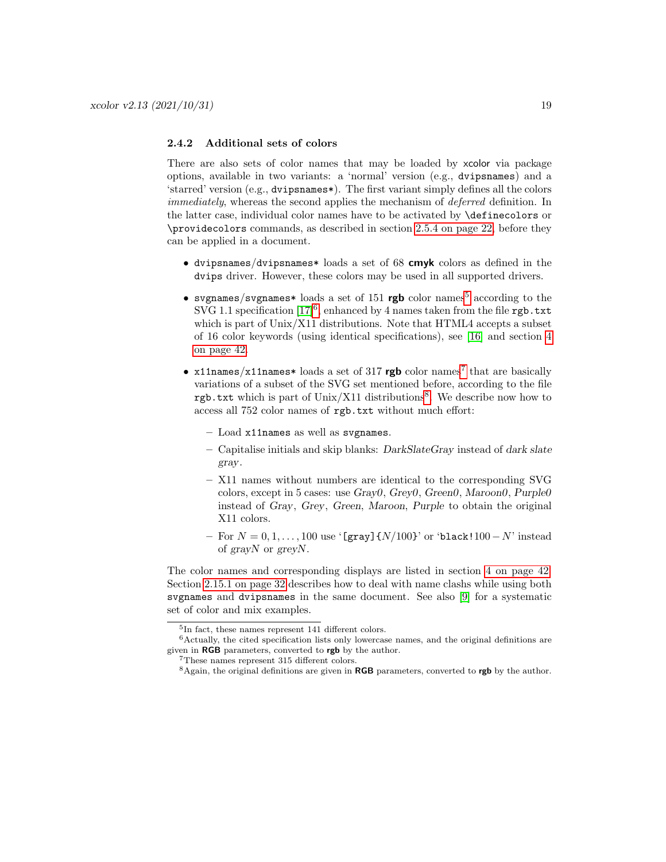### <span id="page-18-0"></span>2.4.2 Additional sets of colors

There are also sets of color names that may be loaded by xcolor via package options, available in two variants: a 'normal' version (e.g., dvipsnames) and a 'starred' version (e.g., dvipsnames\*). The first variant simply defines all the colors immediately, whereas the second applies the mechanism of deferred definition. In the latter case, individual color names have to be activated by \definecolors or \providecolors commands, as described in section [2.5.4 on page 22,](#page-21-1) before they can be applied in a document.

- dvipsnames/dvipsnames\* loads a set of 68 cmyk colors as defined in the dvips driver. However, these colors may be used in all supported drivers.
- svgnames/svgnames\* loads a set of 1[5](#page-18-1)1 rgb color names<sup>5</sup> according to the SVG 1.1 specification  $[17]^6$  $[17]^6$ , enhanced by 4 names taken from the file **rgb**.txt which is part of Unix/X11 distributions. Note that HTML4 accepts a subset of 16 color keywords (using identical specifications), see [\[16\]](#page-61-7) and section [4](#page-41-0) [on page 42.](#page-41-0)
- x11names/x11names\* loads a set of 31[7](#page-18-3)  $rgb$  color names<sup>7</sup> that are basically variations of a subset of the SVG set mentioned before, according to the file rgb.txt which is part of Unix/X11 distributions<sup>[8](#page-18-4)</sup>. We describe now how to access all 752 color names of rgb.txt without much effort:
	- Load x11names as well as svgnames.
	- Capitalise initials and skip blanks: DarkSlateGray instead of dark slate gray.
	- X11 names without numbers are identical to the corresponding SVG colors, except in 5 cases: use Gray0, Grey0, Green0, Maroon0, Purple0 instead of Gray, Grey, Green, Maroon, Purple to obtain the original X11 colors.
	- For  $N = 0, 1, ..., 100$  use '[gray]{ $N/100$ }' or 'black!100 N' instead of grayN or greyN.

The color names and corresponding displays are listed in section [4 on page 42.](#page-41-0) Section [2.15.1 on page 32](#page-31-2) describes how to deal with name clashs while using both svgnames and dvipsnames in the same document. See also [\[9\]](#page-61-5) for a systematic set of color and mix examples.

<span id="page-18-2"></span><span id="page-18-1"></span><sup>5</sup> In fact, these names represent 141 different colors.

 $6$ Actually, the cited specification lists only lowercase names, and the original definitions are given in RGB parameters, converted to rgb by the author.

<span id="page-18-3"></span><sup>7</sup>These names represent 315 different colors.

<span id="page-18-4"></span> $8$ Again, the original definitions are given in RGB parameters, converted to rgb by the author.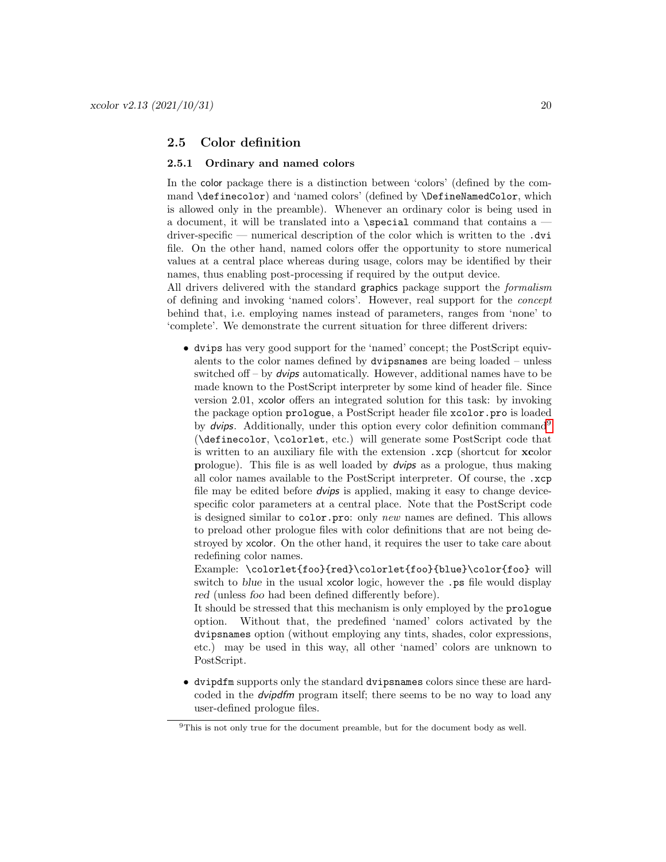### <span id="page-19-0"></span>2.5 Color definition

#### <span id="page-19-1"></span>2.5.1 Ordinary and named colors

In the color package there is a distinction between 'colors' (defined by the command \definecolor) and 'named colors' (defined by \DefineNamedColor, which is allowed only in the preamble). Whenever an ordinary color is being used in a document, it will be translated into a \special command that contains a driver-specific — numerical description of the color which is written to the  $.$ dvi file. On the other hand, named colors offer the opportunity to store numerical values at a central place whereas during usage, colors may be identified by their names, thus enabling post-processing if required by the output device.

All drivers delivered with the standard graphics package support the formalism of defining and invoking 'named colors'. However, real support for the concept behind that, i.e. employing names instead of parameters, ranges from 'none' to 'complete'. We demonstrate the current situation for three different drivers:

• dvips has very good support for the 'named' concept; the PostScript equivalents to the color names defined by dvipsnames are being loaded – unless switched of  $-$  by *dvips* automatically. However, additional names have to be made known to the PostScript interpreter by some kind of header file. Since version 2.01, xcolor offers an integrated solution for this task: by invoking the package option prologue, a PostScript header file xcolor.pro is loaded by  $dvips$ . Additionally, under this option every color definition command<sup>[9](#page-19-2)</sup> (\definecolor, \colorlet, etc.) will generate some PostScript code that is written to an auxiliary file with the extension .xcp (shortcut for xcolor prologue). This file is as well loaded by dvips as a prologue, thus making all color names available to the PostScript interpreter. Of course, the .xcp file may be edited before dvips is applied, making it easy to change devicespecific color parameters at a central place. Note that the PostScript code is designed similar to color.pro: only new names are defined. This allows to preload other prologue files with color definitions that are not being destroyed by xcolor. On the other hand, it requires the user to take care about redefining color names.

Example: \colorlet{foo}{red}\colorlet{foo}{blue}\color{foo} will switch to blue in the usual xcolor logic, however the .ps file would display red (unless foo had been defined differently before).

It should be stressed that this mechanism is only employed by the prologue option. Without that, the predefined 'named' colors activated by the dvipsnames option (without employing any tints, shades, color expressions, etc.) may be used in this way, all other 'named' colors are unknown to PostScript.

• dvipdfm supports only the standard dvipsnames colors since these are hardcoded in the dvipdfm program itself; there seems to be no way to load any user-defined prologue files.

<span id="page-19-2"></span><sup>&</sup>lt;sup>9</sup>This is not only true for the document preamble, but for the document body as well.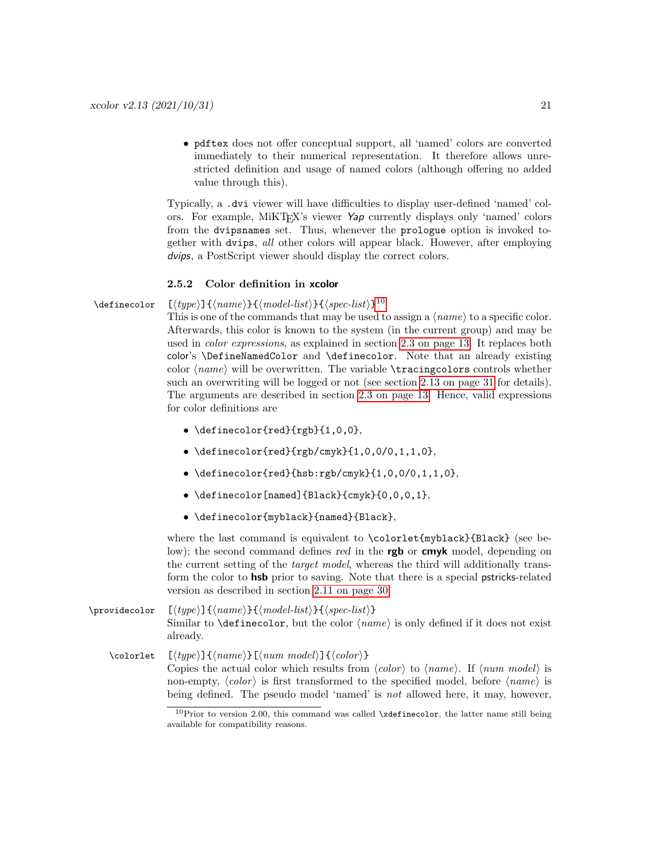• pdftex does not offer conceptual support, all 'named' colors are converted immediately to their numerical representation. It therefore allows unrestricted definition and usage of named colors (although offering no added value through this).

Typically, a .dvi viewer will have difficulties to display user-defined 'named' colors. For example, MiKT<sub>EX</sub>'s viewer  $\gamma_{ap}$  currently displays only 'named' colors from the dvipsnames set. Thus, whenever the prologue option is invoked together with dvips, all other colors will appear black. However, after employing dvips, a PostScript viewer should display the correct colors.

#### <span id="page-20-0"></span>2.5.2 Color definition in xcolor

### \definecolor  $[(type)\]\{\langle name\rangle\}\{\langle model-list\rangle\}\{\langle spec-list\rangle\}^{10}$  $[(type)\]\{\langle name\rangle\}\{\langle model-list\rangle\}\{\langle spec-list\rangle\}^{10}$  $[(type)\]\{\langle name\rangle\}\{\langle model-list\rangle\}\{\langle spec-list\rangle\}^{10}$

This is one of the commands that may be used to assign a  $\langle name \rangle$  to a specific color. Afterwards, this color is known to the system (in the current group) and may be used in color expressions, as explained in section [2.3 on page 13.](#page-12-1) It replaces both color's \DefineNamedColor and \definecolor. Note that an already existing color ⟨name⟩ will be overwritten. The variable \tracingcolors controls whether such an overwriting will be logged or not (see section [2.13 on page 31](#page-30-1) for details). The arguments are described in section [2.3 on page 13.](#page-12-1) Hence, valid expressions for color definitions are

- \definecolor{red}{rgb}{1,0,0},
- \definecolor{red}{rgb/cmyk}{1,0,0/0,1,1,0},
- $\bullet$  \definecolor{red}{hsb:rgb/cmyk}{1,0,0/0,1,1,0},
- \definecolor[named]{Black}{cmyk}{0,0,0,1},
- \definecolor{myblack}{named}{Black},

where the last command is equivalent to \colorlet{myblack}{Black} (see below); the second command defines red in the **rgb** or **cmyk** model, depending on the current setting of the target model, whereas the third will additionally transform the color to hsb prior to saving. Note that there is a special pstricks-related version as described in section [2.11 on page 30.](#page-29-1)

\providecolor [⟨type⟩]{⟨name⟩}{⟨model-list⟩}{⟨spec-list⟩} Similar to  $\definecolor$ , but the color  $\langle name \rangle$  is only defined if it does not exist already.

 $\cdot$  [ $\langle type \rangle$ ] $\{ \langle name \rangle \}$ [ $\langle num \ model \rangle$ ] $\{ \langle color \rangle \}$ Copies the actual color which results from  $\langle color \rangle$  to  $\langle name \rangle$ . If  $\langle num \ model \rangle$  is non-empty,  $\langle color \rangle$  is first transformed to the specified model, before  $\langle name \rangle$  is being defined. The pseudo model 'named' is not allowed here, it may, however,

<span id="page-20-1"></span> $10$ Prior to version 2.00, this command was called \xdefinecolor, the latter name still being available for compatibility reasons.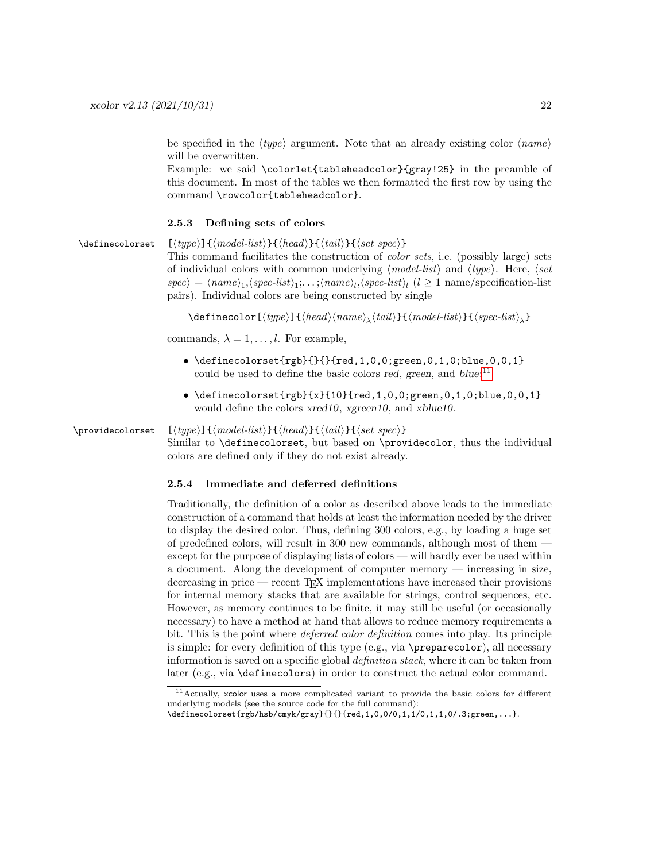be specified in the  $\langle type \rangle$  argument. Note that an already existing color  $\langle name \rangle$ will be overwritten.

Example: we said \colorlet{tableheadcolor}{gray!25} in the preamble of this document. In most of the tables we then formatted the first row by using the command \rowcolor{tableheadcolor}.

#### <span id="page-21-0"></span>2.5.3 Defining sets of colors

\definecolorset  $[\langle type \rangle] {\langle model-list \rangle} {\langle head \rangle} {\langle tail \rangle} {\langle set spec \rangle}$ 

This command facilitates the construction of color sets, i.e. (possibly large) sets of individual colors with common underlying ⟨model-list⟩ and ⟨type⟩. Here, ⟨set  $\langle spec \rangle = \langle name \rangle_1, \langle spec-list \rangle_1, \ldots, \langle name \rangle_l, \langle spec-list \rangle_l \ (l \geq 1 \text{ name/specification-list})$ pairs). Individual colors are being constructed by single

 $\delta$ \definecolor[ $\langle type \rangle$ ] $\{ \langle head \rangle \langle name \rangle_{\lambda} \langle tail \rangle\}$ { $\langle model-list \rangle$ } $\{ \langle spec-list \rangle_{\lambda}$ }

commands,  $\lambda = 1, \ldots, l$ . For example,

- \definecolorset{rgb}{}{}{red,1,0,0;green,0,1,0;blue,0,0,1} could be used to define the basic colors red, green, and  $blue;^{11}$  $blue;^{11}$  $blue;^{11}$
- \definecolorset $\{rgb\}\{x\}\{10\}$ {red,1,0,0;green,0,1,0;blue,0,0,1} would define the colors xred10, xgreen10, and xblue10.

### \providecolorset  $[\langle type \rangle]\{\langle model-list \rangle\}\{\langle head \rangle\}\{\langle tail \rangle\}\{\langle set\ spec \rangle\}$

Similar to \definecolorset, but based on \providecolor, thus the individual colors are defined only if they do not exist already.

### <span id="page-21-1"></span>2.5.4 Immediate and deferred definitions

Traditionally, the definition of a color as described above leads to the immediate construction of a command that holds at least the information needed by the driver to display the desired color. Thus, defining 300 colors, e.g., by loading a huge set of predefined colors, will result in 300 new commands, although most of them except for the purpose of displaying lists of colors — will hardly ever be used within a document. Along the development of computer memory — increasing in size, decreasing in price — recent TEX implementations have increased their provisions for internal memory stacks that are available for strings, control sequences, etc. However, as memory continues to be finite, it may still be useful (or occasionally necessary) to have a method at hand that allows to reduce memory requirements a bit. This is the point where deferred color definition comes into play. Its principle is simple: for every definition of this type (e.g., via \preparecolor), all necessary information is saved on a specific global definition stack, where it can be taken from later (e.g., via \definecolors) in order to construct the actual color command.

<span id="page-21-2"></span><sup>11</sup>Actually, xcolor uses a more complicated variant to provide the basic colors for different underlying models (see the source code for the full command):

<sup>\</sup>definecolorset{rgb/hsb/cmyk/gray}{}{}{red,1,0,0/0,1,1/0,1,1,0/.3;green,...}.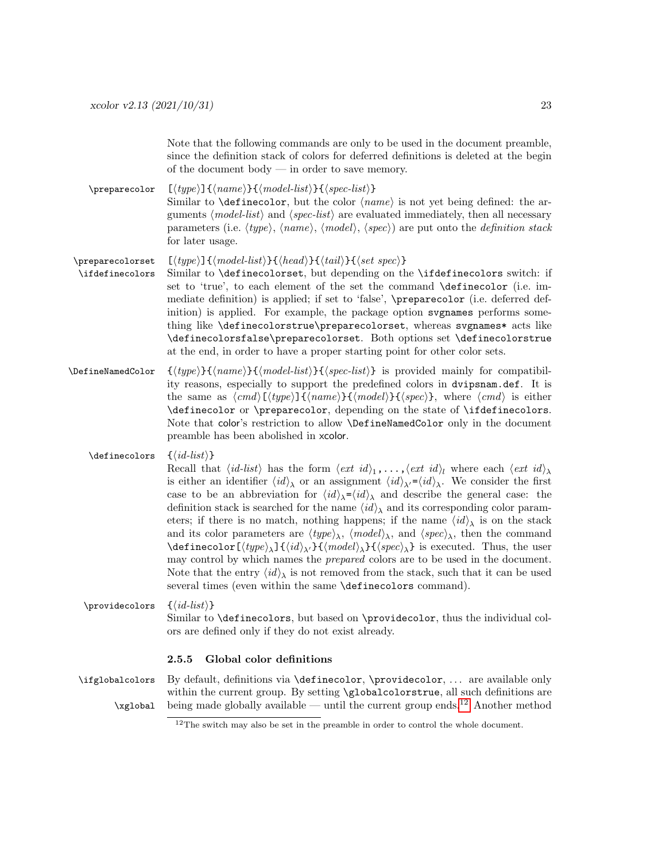Note that the following commands are only to be used in the document preamble, since the definition stack of colors for deferred definitions is deleted at the begin of the document body — in order to save memory.

 $\preccurlyeq$  [ $\langle type \rangle$ ] $\{\langle name \rangle\}$  $\{\langle model\text{-}list \rangle\}$ ] Similar to  $\det$ inecolor, but the color  $\langle name \rangle$  is not yet being defined: the arguments  $\langle model-list \rangle$  and  $\langle spec-list \rangle$  are evaluated immediately, then all necessary parameters (i.e.  $\langle type \rangle$ ,  $\langle name \rangle$ ,  $\langle model \rangle$ ,  $\langle spec \rangle$ ) are put onto the *definition stack* for later usage.

- \preparecolorset  $[\langle type \rangle] {\langle model-list \rangle} {\langle head \rangle} {\langle tail \rangle} {\langle set\ spec \rangle}$ \ifdefinecolors Similar to \definecolorset, but depending on the \ifdefinecolors switch: if set to 'true', to each element of the set the command \definecolor (i.e. immediate definition) is applied; if set to 'false', \preparecolor (i.e. deferred definition) is applied. For example, the package option svgnames performs something like \definecolorstrue\preparecolorset, whereas svgnames\* acts like \definecolorsfalse\preparecolorset. Both options set \definecolorstrue at the end, in order to have a proper starting point for other color sets.
- \DefineNamedColor {⟨type⟩}{⟨name⟩}{⟨model-list⟩}{⟨spec-list⟩} is provided mainly for compatibility reasons, especially to support the predefined colors in dvipsnam.def. It is the same as  $\langle cmd \rangle[\langle type \rangle]\{\langle name \rangle\}\{\langle mode \rangle\} \langle \langle spec \rangle\}$ , where  $\langle cmd \rangle$  is either \definecolor or \preparecolor, depending on the state of \ifdefinecolors. Note that color's restriction to allow \DefineNamedColor only in the document preamble has been abolished in xcolor.
	- $\{id-list\}$

Recall that  $\langle id\text{-}list\rangle$  has the form  $\langle ext\ id\rangle_1,\ldots,\langle ext\ id\rangle_l$  where each  $\langle ext\ id\rangle_\lambda$ is either an identifier  $\langle id \rangle_{\lambda}$  or an assignment  $\langle id \rangle_{\lambda'} = \langle id \rangle_{\lambda}$ . We consider the first case to be an abbreviation for  $\langle id \rangle_{\lambda} = \langle id \rangle_{\lambda}$  and describe the general case: the definition stack is searched for the name  $\langle id \rangle$  and its corresponding color parameters; if there is no match, nothing happens; if the name  $\langle id \rangle_{\lambda}$  is on the stack and its color parameters are  $\langle type \rangle_{\lambda}$ ,  $\langle model \rangle_{\lambda}$ , and  $\langle spec \rangle_{\lambda}$ , then the command  $\delta$ \definecolor[ $\langle type \rangle_{\lambda}$ ]{ $\langle id \rangle_{\lambda'}$ }{ $\langle model \rangle_{\lambda}$ }{ $\langle spec \rangle_{\lambda}$ } is executed. Thus, the user may control by which names the prepared colors are to be used in the document. Note that the entry  $\langle id \rangle_{\lambda}$  is not removed from the stack, such that it can be used several times (even within the same **\definecolors** command).

 $\text{Vprovides } \{ \langle id\text{-}list \rangle \}$ Similar to \definecolors, but based on \providecolor, thus the individual colors are defined only if they do not exist already.

#### <span id="page-22-0"></span>2.5.5 Global color definitions

\ifglobalcolors By default, definitions via \definecolor, \providecolor, . . . are available only within the current group. By setting \globalcolorstrue, all such definitions are  $\zeta$ global being made globally available — until the current group ends.  $\frac{12}{2}$  $\frac{12}{2}$  $\frac{12}{2}$  Another method

<span id="page-22-1"></span><sup>&</sup>lt;sup>12</sup>The switch may also be set in the preamble in order to control the whole document.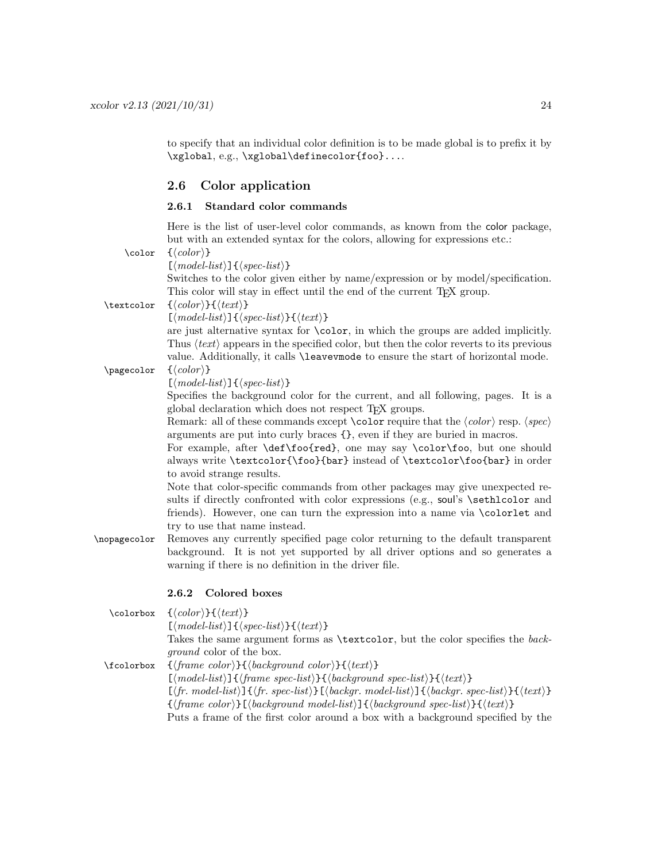to specify that an individual color definition is to be made global is to prefix it by \xglobal, e.g., \xglobal\definecolor{foo}....

### <span id="page-23-0"></span>2.6 Color application

### <span id="page-23-1"></span>2.6.1 Standard color commands

Here is the list of user-level color commands, as known from the color package, but with an extended syntax for the colors, allowing for expressions etc.:

| $\cdot$ color | $\{\langle color\rangle\}$                                                                                                                                                                                  |
|---------------|-------------------------------------------------------------------------------------------------------------------------------------------------------------------------------------------------------------|
|               | $\lfloor \langle model\text{-}list \rangle \rfloor \{\langle spec\text{-}list \rangle\}$                                                                                                                    |
|               | Switches to the color given either by name/expression or by model/specification.                                                                                                                            |
|               | This color will stay in effect until the end of the current T <sub>F</sub> X group.                                                                                                                         |
| \textcolor    | $\{\langle color\rangle\}\{\langle text\rangle\}$                                                                                                                                                           |
|               | $\left[ \langle model-list \rangle \right] \{ \langle spec-list \rangle \} \{ \langle text \rangle \}$                                                                                                      |
|               |                                                                                                                                                                                                             |
|               | are just alternative syntax for \color, in which the groups are added implicitly.                                                                                                                           |
|               | Thus $\langle text \rangle$ appears in the specified color, but then the color reverts to its previous                                                                                                      |
|               | value. Additionally, it calls <i>\leavevmode</i> to ensure the start of horizontal mode.                                                                                                                    |
| \pagecolor    | $\{\langle color \rangle\}$                                                                                                                                                                                 |
|               | $\lfloor \langle model\text{-}list \rangle \rfloor \{\langle spec\text{-}list \rangle\}$                                                                                                                    |
|               | Specifies the background color for the current, and all following, pages. It is a                                                                                                                           |
|               | global declaration which does not respect T <sub>F</sub> X groups.                                                                                                                                          |
|               | Remark: all of these commands except $\cdot$ color require that the $\langle color \rangle$ resp. $\langle spec \rangle$                                                                                    |
|               | arguments are put into curly braces $\{\}$ , even if they are buried in macros.<br>For example, after \def\foo{red}, one may say \color\foo, but one should                                                 |
|               | always write \textcolor{\foo}{bar} instead of \textcolor\foo{bar} in order                                                                                                                                  |
|               | to avoid strange results.                                                                                                                                                                                   |
|               | Note that color-specific commands from other packages may give unexpected re-                                                                                                                               |
|               | sults if directly confronted with color expressions (e.g., soul's \sethlcolor and                                                                                                                           |
|               | friends). However, one can turn the expression into a name via \colorlet and                                                                                                                                |
|               | try to use that name instead.                                                                                                                                                                               |
| \nopagecolor  | Removes any currently specified page color returning to the default transparent                                                                                                                             |
|               | background. It is not yet supported by all driver options and so generates a                                                                                                                                |
|               | warning if there is no definition in the driver file.                                                                                                                                                       |
|               |                                                                                                                                                                                                             |
|               | 2.6.2<br>Colored boxes                                                                                                                                                                                      |
|               |                                                                                                                                                                                                             |
| \colorbox     | $\{\langle color\rangle\}\{\langle text\rangle\}$                                                                                                                                                           |
|               | $\lfloor \langle model\text{-}list \rangle \rfloor \{\langle spec\text{-}list \rangle\} \} \langle \langle text \rangle \}$                                                                                 |
|               | Takes the same argument forms as <i>\textcolor</i> , but the color specifies the back-                                                                                                                      |
|               | <i>ground</i> color of the box.                                                                                                                                                                             |
| \fcolorbox    | $\{\langle \text{frame color}\rangle\} \{\langle \text{background color}\rangle\} \{\langle \text{text}\rangle\}$                                                                                           |
|               | $[\langle model-list \rangle] {\langle frame\ spec-list \rangle} {\langle background\ spec-list \rangle} {\langle \langle text \rangle}$                                                                    |
|               | $[\langle fr. \ model\text{-}list \rangle] \{\langle fr. \ spec\text{-}list \rangle\} \[\langle \text{background-}list \rangle] \{\langle \text{background-}list \rangle\} \[\langle \text{text} \rangle\}$ |
|               | $\{\langle \text{frame color}\rangle\}\right]\langle \text{background model-list}\rangle\right]\{\langle \text{background spec-list}\rangle\}\{\langle \text{text}\rangle\}$                                |

<span id="page-23-2"></span>Puts a frame of the first color around a box with a background specified by the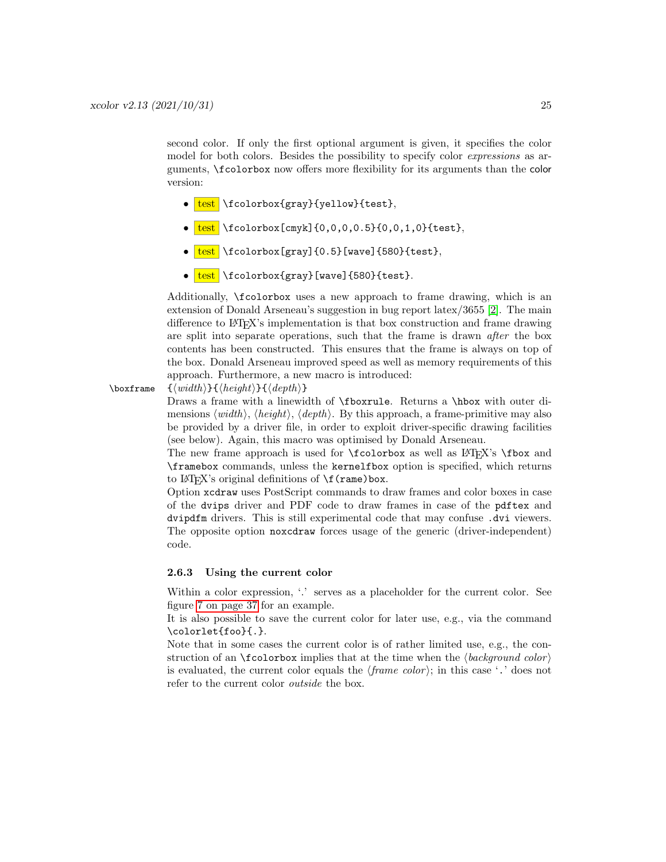second color. If only the first optional argument is given, it specifies the color model for both colors. Besides the possibility to specify color expressions as arguments, \fcolorbox now offers more flexibility for its arguments than the color version:

- test \fcolorbox{gray}{yellow}{test},
- $\bullet$  test \fcolorbox[cmyk]{0,0,0,0.5}{0,0,1,0}{test},
- $\bullet$   $\text{test}$  \fcolorbox[gray]{0.5}[wave]{580}{test},
- $\bullet$   $\text{test}$  \fcolorbox{gray}[wave]{580}{test}.

Additionally, \fcolorbox uses a new approach to frame drawing, which is an extension of Donald Arseneau's suggestion in bug report latex/3655 [\[2\]](#page-61-8). The main difference to LATEX's implementation is that box construction and frame drawing are split into separate operations, such that the frame is drawn after the box contents has been constructed. This ensures that the frame is always on top of the box. Donald Arseneau improved speed as well as memory requirements of this approach. Furthermore, a new macro is introduced:

### $\to$  { $\langle width \rangle$ }{ $\langle height \rangle$ }{ $\langle depth \rangle$ }

Draws a frame with a linewidth of \fboxrule. Returns a \hbox with outer dimensions  $\langle width \rangle$ ,  $\langle height \rangle$ ,  $\langle depth \rangle$ . By this approach, a frame-primitive may also be provided by a driver file, in order to exploit driver-specific drawing facilities (see below). Again, this macro was optimised by Donald Arseneau.

The new frame approach is used for  $\f{colorbox as well as ETFX's \fbox{box and}$ \framebox commands, unless the kernelfbox option is specified, which returns to L<sup>AT</sup>FX's original definitions of  $\f(\text{rame})$  box.

Option xcdraw uses PostScript commands to draw frames and color boxes in case of the dvips driver and PDF code to draw frames in case of the pdftex and dvipdfm drivers. This is still experimental code that may confuse .dvi viewers. The opposite option noxcdraw forces usage of the generic (driver-independent) code.

### <span id="page-24-0"></span>2.6.3 Using the current color

Within a color expression,  $\therefore$  serves as a placeholder for the current color. See figure [7 on page 37](#page-36-3) for an example.

It is also possible to save the current color for later use, e.g., via the command \colorlet{foo}{.}.

Note that in some cases the current color is of rather limited use, e.g., the construction of an  $\f{color}$ box implies that at the time when the  $\langle background\ color\rangle$ is evaluated, the current color equals the  $\langle frame\ color\rangle$ ; in this case '.' does not refer to the current color outside the box.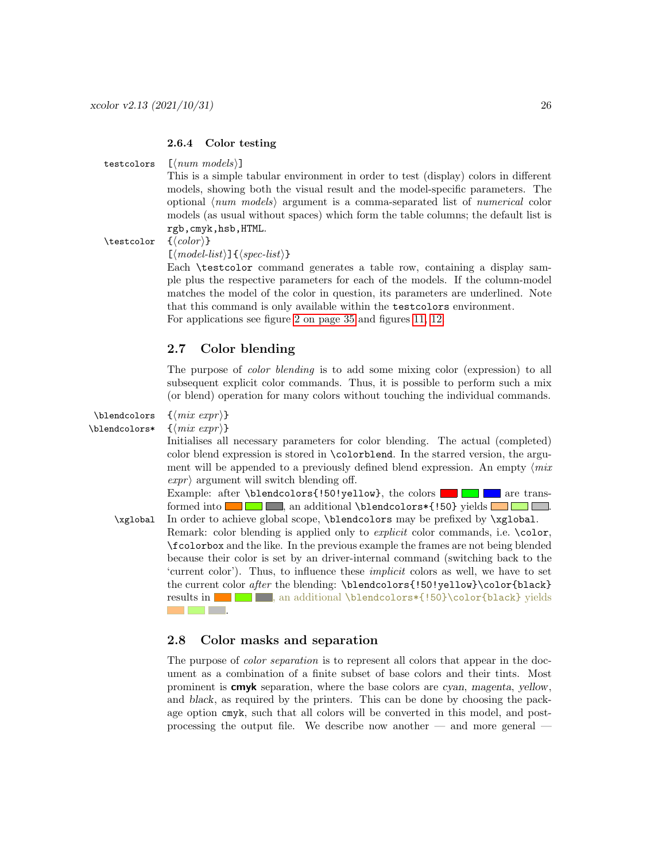### <span id="page-25-0"></span>2.6.4 Color testing

testcolors  $\lfloor \langle num \ models \rangle \rfloor$ 

This is a simple tabular environment in order to test (display) colors in different models, showing both the visual result and the model-specific parameters. The optional ⟨num models⟩ argument is a comma-separated list of numerical color models (as usual without spaces) which form the table columns; the default list is rgb,cmyk,hsb,HTML.

 $\text{testcolor} \{ \langle color \rangle \}$ 

 $\lfloor \langle \textit{model-list} \rangle \rfloor \}$   $\langle \textit{spec-list} \rangle$ 

Each \testcolor command generates a table row, containing a display sample plus the respective parameters for each of the models. If the column-model matches the model of the color in question, its parameters are underlined. Note that this command is only available within the testcolors environment. For applications see figure [2 on page 35](#page-34-2) and figures [11,](#page-39-0) [12.](#page-40-0)

### <span id="page-25-1"></span>2.7 Color blending

The purpose of color blending is to add some mixing color (expression) to all subsequent explicit color commands. Thus, it is possible to perform such a mix (or blend) operation for many colors without touching the individual commands.

\blendcolors {⟨mix expr ⟩}

 $\blacksquare$ \blendcolors\*  $\{$  $\langle mix\>expr \rangle\}$ 

Initialises all necessary parameters for color blending. The actual (completed) color blend expression is stored in \colorblend. In the starred version, the argument will be appended to a previously defined blend expression. An empty  $\langle mix \rangle$  $\exp(r)$  argument will switch blending off.

Example: after \blendcolors{!50!yellow}, the colors  $\Box$  are transformed into  $\Box$  , an additional \blendcolors  $\ast$  {!50} yields  $\Box$ \xglobal In order to achieve global scope, \blendcolors may be prefixed by \xglobal.

Remark: color blending is applied only to *explicit* color commands, i.e. \color, \fcolorbox and the like. In the previous example the frames are not being blended because their color is set by an driver-internal command (switching back to the 'current color'). Thus, to influence these implicit colors as well, we have to set the current color after the blending: \blendcolors{!50!yellow}\color{black} results in  $\Box$ , an additional \blendcolors  $\{!50\}\cdot\text{black}\}$  yields .

### <span id="page-25-2"></span>2.8 Color masks and separation

The purpose of *color separation* is to represent all colors that appear in the document as a combination of a finite subset of base colors and their tints. Most prominent is cmyk separation, where the base colors are cyan, magenta, yellow, and black, as required by the printers. This can be done by choosing the package option cmyk, such that all colors will be converted in this model, and postprocessing the output file. We describe now another — and more general —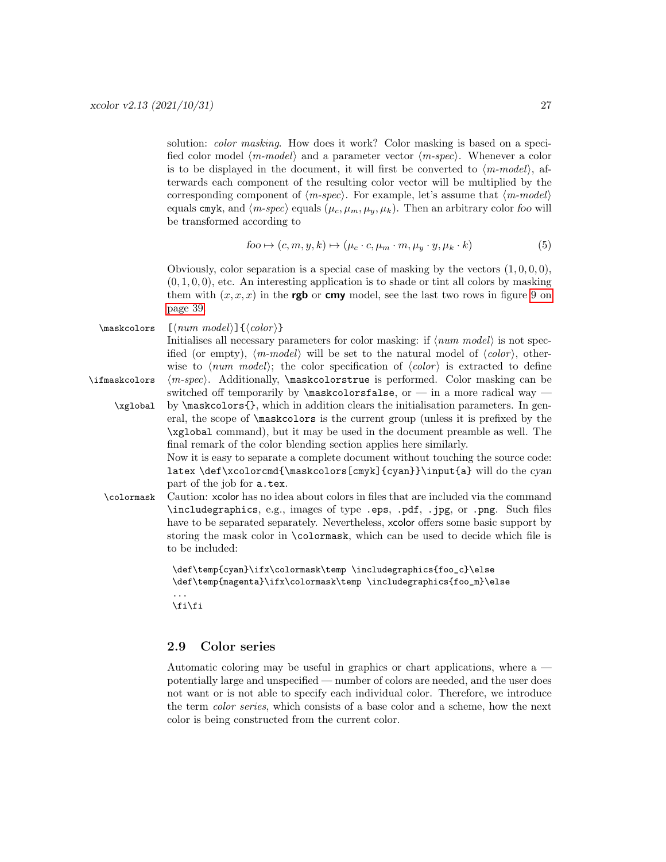solution: *color masking*. How does it work? Color masking is based on a specified color model  $\langle m\text{-}model \rangle$  and a parameter vector  $\langle m\text{-}spec \rangle$ . Whenever a color is to be displayed in the document, it will first be converted to  $\langle m\text{-}model \rangle$ , afterwards each component of the resulting color vector will be multiplied by the corresponding component of  $\langle m\text{-}spec\rangle$ . For example, let's assume that  $\langle m\text{-}model\rangle$ equals cmyk, and  $\langle m\text{-}spec\rangle$  equals  $(\mu_c, \mu_m, \mu_y, \mu_k)$ . Then an arbitrary color foo will be transformed according to

$$
foo \mapsto (c, m, y, k) \mapsto (\mu_c \cdot c, \mu_m \cdot m, \mu_y \cdot y, \mu_k \cdot k)
$$
\n
$$
(5)
$$

Obviously, color separation is a special case of masking by the vectors  $(1, 0, 0, 0)$ ,  $(0, 1, 0, 0)$ , etc. An interesting application is to shade or tint all colors by masking them with  $(x, x, x)$  in the **rgb** or cmy model, see the last two rows in figure [9 on](#page-38-0) [page 39.](#page-38-0)

 $\mathcal{S}$  [ $\langle num \ model \rangle$ ] { $\langle color \rangle$ }

Initialises all necessary parameters for color masking: if  $\langle num \ model \rangle$  is not specified (or empty),  $\langle m\text{-}model \rangle$  will be set to the natural model of  $\langle color \rangle$ , otherwise to  $\langle num \ model \rangle$ ; the color specification of  $\langle color \rangle$  is extracted to define  $\left\{ \infty \in \mathbb{Z}^n \right\}$ . Additionally,  $\mathbb{R}^n$  askcolorstrue is performed. Color masking can be switched off temporarily by  $\mathcal{S}$  askcolorsfalse, or — in a more radical way —

\xglobal by \maskcolors{}, which in addition clears the initialisation parameters. In general, the scope of \maskcolors is the current group (unless it is prefixed by the \xglobal command), but it may be used in the document preamble as well. The final remark of the color blending section applies here similarly.

> Now it is easy to separate a complete document without touching the source code: latex \def\xcolorcmd{\maskcolors[cmyk]{cyan}}\input{a} will do the cyan part of the job for a.tex.

\colormask Caution: xcolor has no idea about colors in files that are included via the command \includegraphics, e.g., images of type .eps, .pdf, .jpg, or .png. Such files have to be separated separately. Nevertheless, xcolor offers some basic support by storing the mask color in \colormask, which can be used to decide which file is to be included:

```
\def\temp{cyan}\ifx\colormask\temp \includegraphics{foo_c}\else
\def\temp{magenta}\ifx\colormask\temp \includegraphics{foo_m}\else
...
```
\fi\fi

### <span id="page-26-0"></span>2.9 Color series

Automatic coloring may be useful in graphics or chart applications, where a potentially large and unspecified — number of colors are needed, and the user does not want or is not able to specify each individual color. Therefore, we introduce the term color series, which consists of a base color and a scheme, how the next color is being constructed from the current color.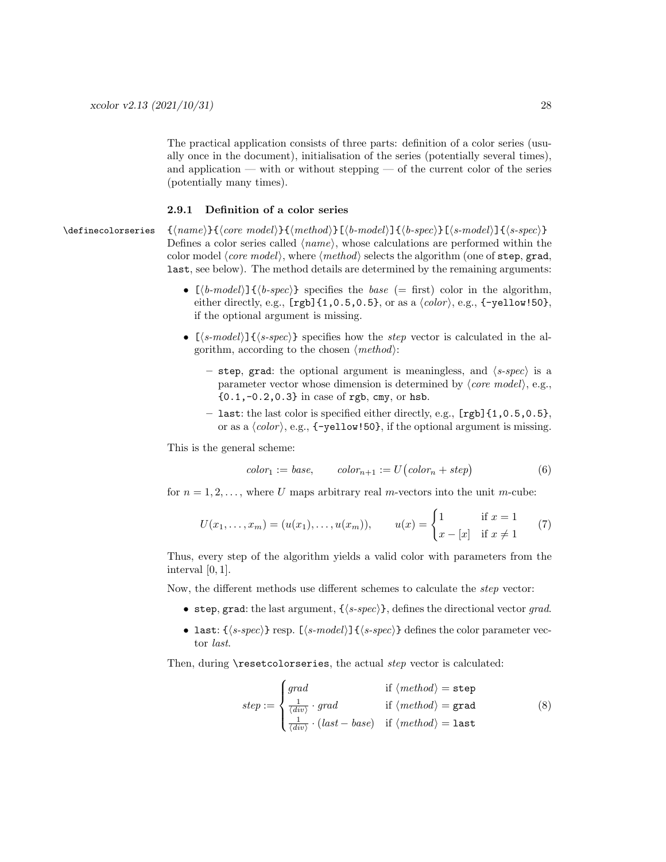The practical application consists of three parts: definition of a color series (usually once in the document), initialisation of the series (potentially several times), and application — with or without stepping — of the current color of the series (potentially many times).

### <span id="page-27-0"></span>2.9.1 Definition of a color series

\definecolorseries {⟨name⟩}{⟨core model⟩}{⟨method⟩}[⟨b-model⟩]{⟨b-spec⟩}[⟨s-model⟩]{⟨s-spec⟩} Defines a color series called ⟨name⟩, whose calculations are performed within the color model ⟨core model⟩, where ⟨method⟩ selects the algorithm (one of step, grad, last, see below). The method details are determined by the remaining arguments:

- $[\langle b\text{-}model \rangle] \{\langle b\text{-}spec \rangle\}$  specifies the base (= first) color in the algorithm, either directly, e.g.,  $[rgb]$  {1,0.5,0.5}, or as a  $\langle color \rangle$ , e.g., {-yellow!50}, if the optional argument is missing.
- $[\langle s\text{-model}\rangle]\{\langle s\text{-}spec\rangle\}$  specifies how the step vector is calculated in the algorithm, according to the chosen  $\langle method \rangle$ :
	- step, grad: the optional argument is meaningless, and  $\langle s\text{-}spec\rangle$  is a parameter vector whose dimension is determined by  $\langle core \ model \rangle$ , e.g., {0.1,-0.2,0.3} in case of rgb, cmy, or hsb.
	- last: the last color is specified either directly, e.g., [rgb]{1,0.5,0.5}, or as a  $\langle color \rangle$ , e.g.,  $\{-yellow:50\}$ , if the optional argument is missing.

This is the general scheme:

<span id="page-27-1"></span>
$$
color_1 := base, \qquad color_{n+1} := U\big(color_n + step\big) \tag{6}
$$

for  $n = 1, 2, \ldots$ , where U maps arbitrary real m-vectors into the unit m-cube:

$$
U(x_1,...,x_m) = (u(x_1),...,u(x_m)), \qquad u(x) = \begin{cases} 1 & \text{if } x = 1 \\ x - [x] & \text{if } x \neq 1 \end{cases}
$$
 (7)

Thus, every step of the algorithm yields a valid color with parameters from the interval  $[0, 1]$ .

Now, the different methods use different schemes to calculate the step vector:

- step, grad: the last argument,  $\{\langle s\text{-}spec\rangle\}$ , defines the directional vector grad.
- last:  $\{\langle s\text{-}spec\rangle\}$  resp.  $[\langle s\text{-}model\rangle]\{\langle s\text{-}spec\rangle\}$  defines the color parameter vector last.

Then, during \resetcolorseries, the actual *step* vector is calculated:

<span id="page-27-2"></span>
$$
step := \begin{cases} grad & \text{if } \langle method \rangle = \text{step} \\ \frac{1}{\langle div \rangle} \cdot grad & \text{if } \langle method \rangle = \text{grad} \\ \frac{1}{\langle div \rangle} \cdot (last - base) & \text{if } \langle method \rangle = \text{last} \end{cases}
$$
(8)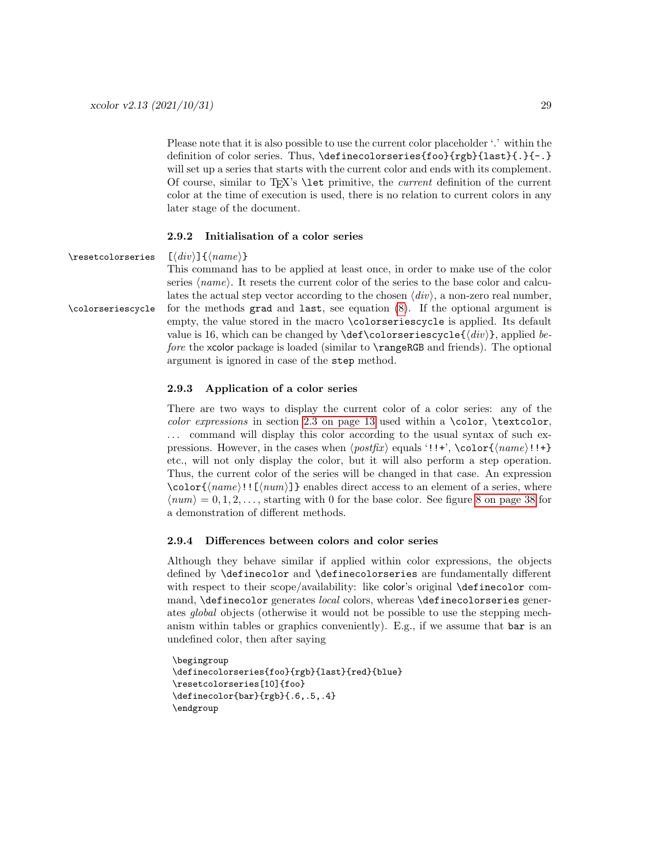Please note that it is also possible to use the current color placeholder '.' within the definition of color series. Thus, \definecolorseries{foo}{rgb}{last}{.}{-.} will set up a series that starts with the current color and ends with its complement. Of course, similar to T<sub>EX</sub>'s  $\let$  primitive, the *current* definition of the current color at the time of execution is used, there is no relation to current colors in any later stage of the document.

### <span id="page-28-0"></span>2.9.2 Initialisation of a color series

\resetcolorseries [⟨div⟩]{⟨name⟩}

This command has to be applied at least once, in order to make use of the color series  $\langle name \rangle$ . It resets the current color of the series to the base color and calculates the actual step vector according to the chosen  $\langle div \rangle$ , a non-zero real number, \colorseriescycle for the methods grad and last, see equation [\(8\)](#page-27-2). If the optional argument is empty, the value stored in the macro \colorseriescycle is applied. Its default value is 16, which can be changed by  $\det\co{\arcspace{(\n}div\)}$ , applied before the xcolor package is loaded (similar to \rangeRGB and friends). The optional argument is ignored in case of the step method.

### <span id="page-28-1"></span>2.9.3 Application of a color series

There are two ways to display the current color of a color series: any of the color expressions in section [2.3 on page 13](#page-12-1) used within a \color, \textcolor, ... command will display this color according to the usual syntax of such expressions. However, in the cases when  $\langle postfix \rangle$  equals '!!+', \color{ $\langle name \rangle$ !!+} etc., will not only display the color, but it will also perform a step operation. Thus, the current color of the series will be changed in that case. An expression  $\coloor({\text{name}})!$  [ $\langle {\text{num}} \rangle$ ]} enables direct access to an element of a series, where  $\langle num \rangle = 0, 1, 2, \ldots$ , starting with 0 for the base color. See figure [8 on page 38](#page-37-0) for a demonstration of different methods.

### <span id="page-28-2"></span>2.9.4 Differences between colors and color series

Although they behave similar if applied within color expressions, the objects defined by \definecolor and \definecolorseries are fundamentally different with respect to their scope/availability: like color's original \definecolor command, **\definecolor** generates *local* colors, whereas **\definecolorseries** generates global objects (otherwise it would not be possible to use the stepping mechanism within tables or graphics conveniently). E.g., if we assume that  $bar$  is an undefined color, then after saying

```
\begingroup
\definecolorseries{foo}{rgb}{last}{red}{blue}
\resetcolorseries[10]{foo}
\definecolor{bar}{rgb}{.6,.5,.4}
\endgroup
```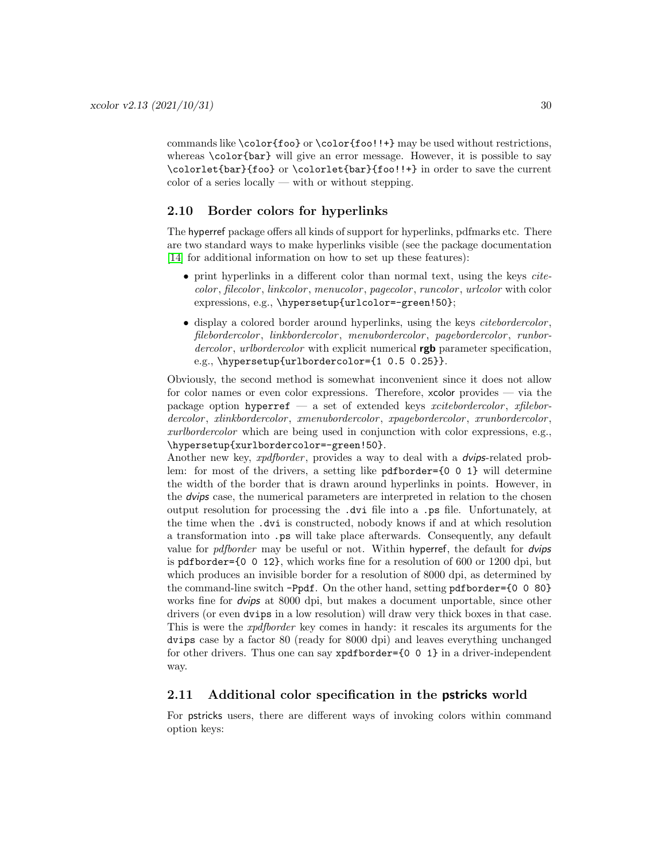commands like \color{foo} or \color{foo!!+} may be used without restrictions, whereas **\color{bar}** will give an error message. However, it is possible to say \colorlet{bar}{foo} or \colorlet{bar}{foo!!+} in order to save the current color of a series locally — with or without stepping.

### <span id="page-29-0"></span>2.10 Border colors for hyperlinks

The hyperref package offers all kinds of support for hyperlinks, pdfmarks etc. There are two standard ways to make hyperlinks visible (see the package documentation [\[14\]](#page-61-9) for additional information on how to set up these features):

- print hyperlinks in a different color than normal text, using the keys citecolor , filecolor , linkcolor , menucolor , pagecolor , runcolor , urlcolor with color expressions, e.g., \hypersetup{urlcolor=-green!50};
- $\bullet$  display a colored border around hyperlinks, using the keys *citebordercolor*, filebordercolor, linkbordercolor, menubordercolor, pagebordercolor, runbordercolor, urlbordercolor with explicit numerical  $\mathbf{rgb}$  parameter specification, e.g., \hypersetup{urlbordercolor={1 0.5 0.25}}.

Obviously, the second method is somewhat inconvenient since it does not allow for color names or even color expressions. Therefore, xcolor provides — via the package option hyperref — a set of extended keys xcitebordercolor, xfilebordercolor, xlinkbordercolor, xmenubordercolor, xpagebordercolor, xrunbordercolor, xurlbordercolor which are being used in conjunction with color expressions, e.g., \hypersetup{xurlbordercolor=-green!50}.

Another new key, *xpdfborder*, provides a way to deal with a *dvips*-related problem: for most of the drivers, a setting like pdfborder={0 0 1} will determine the width of the border that is drawn around hyperlinks in points. However, in the dvips case, the numerical parameters are interpreted in relation to the chosen output resolution for processing the .dvi file into a .ps file. Unfortunately, at the time when the .dvi is constructed, nobody knows if and at which resolution a transformation into .ps will take place afterwards. Consequently, any default value for *pdfborder* may be useful or not. Within hyperref, the default for *dvips* is pdfborder={0 0 12}, which works fine for a resolution of 600 or 1200 dpi, but which produces an invisible border for a resolution of 8000 dpi, as determined by the command-line switch -Ppdf. On the other hand, setting pdfborder={0 0 80} works fine for *dvips* at 8000 dpi, but makes a document unportable, since other drivers (or even dvips in a low resolution) will draw very thick boxes in that case. This is were the xpdfborder key comes in handy: it rescales its arguments for the dvips case by a factor 80 (ready for 8000 dpi) and leaves everything unchanged for other drivers. Thus one can say  $x$ pdfborder={0 0 1} in a driver-independent way.

### <span id="page-29-1"></span>2.11 Additional color specification in the **pstricks** world

For pstricks users, there are different ways of invoking colors within command option keys: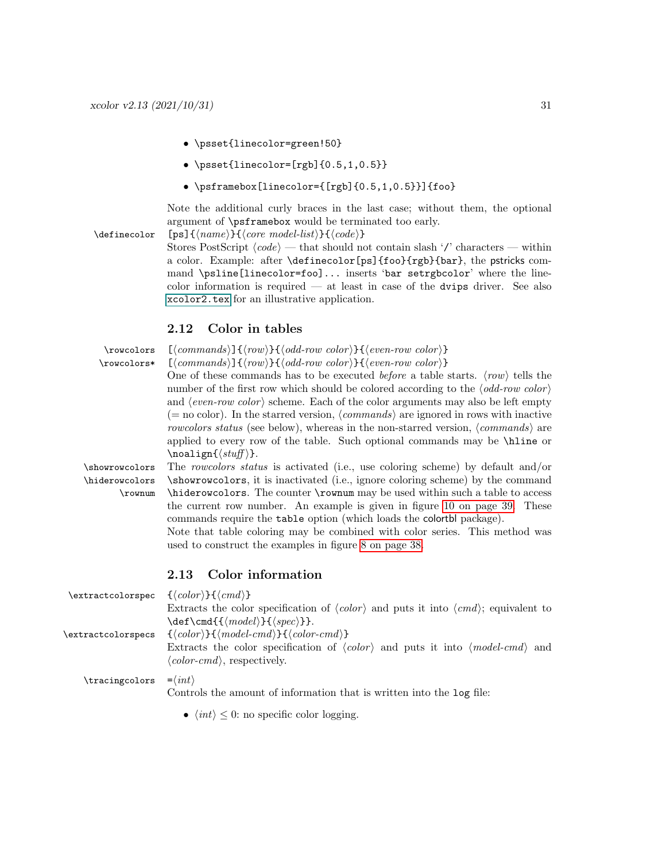- \psset{linecolor=green!50}
- $\psset{linecolor=[rgb]{0.5,1,0.5}}$
- \psframebox[linecolor={[rgb]{0.5,1,0.5}}]{foo}

Note the additional curly braces in the last case; without them, the optional argument of \psframebox would be terminated too early.

\definecolor [ps]{⟨name⟩}{⟨core model-list⟩}{⟨code⟩}

Stores PostScript  $\langle code \rangle$  — that should not contain slash '/' characters — within a color. Example: after \definecolor[ps]{foo}{rgb}{bar}, the pstricks command \psline[linecolor=foo]... inserts 'bar setrgbcolor' where the linecolor information is required — at least in case of the dvips driver. See also [xcolor2.tex](#page-0-0) for an illustrative application.

### <span id="page-30-0"></span>2.12 Color in tables

| \rowcolors<br>\rowcolors*                                                                                                                                                                                                                                                                                                                                                               | $\left[ \langle commands \rangle \right] \left\{ \langle row \rangle \right\} \left\{ \langle odd-row\ color \rangle \right\} \left\{ \langle even-row\ color \rangle \right\}$<br>$\left[ \langle commands \rangle \right] \left\{ \langle row \rangle \right\} \left\{ \langle odd-row\ color \rangle \right\} \left\{ \langle even-row\ color \rangle \right\}$<br>One of these commands has to be executed <i>before</i> a table starts. $\langle row \rangle$ tells the<br>number of the first row which should be colored according to the $\langle odd\text{-}row\ color\rangle$<br>and $\langle even\text{-}row\text{ color}\rangle$ scheme. Each of the color arguments may also be left empty<br>(= no color). In the starred version, $\langle commands \rangle$ are ignored in rows with inactive<br>rowcolors status (see below), whereas in the non-starred version, $\langle commands \rangle$ are |  |  |  |  |  |  |  |
|-----------------------------------------------------------------------------------------------------------------------------------------------------------------------------------------------------------------------------------------------------------------------------------------------------------------------------------------------------------------------------------------|-------------------------------------------------------------------------------------------------------------------------------------------------------------------------------------------------------------------------------------------------------------------------------------------------------------------------------------------------------------------------------------------------------------------------------------------------------------------------------------------------------------------------------------------------------------------------------------------------------------------------------------------------------------------------------------------------------------------------------------------------------------------------------------------------------------------------------------------------------------------------------------------------------------------|--|--|--|--|--|--|--|
|                                                                                                                                                                                                                                                                                                                                                                                         | applied to every row of the table. Such optional commands may be \hine or<br>$\text{noalign}(\textit{stuff})$ .                                                                                                                                                                                                                                                                                                                                                                                                                                                                                                                                                                                                                                                                                                                                                                                                   |  |  |  |  |  |  |  |
| \showrowcolors                                                                                                                                                                                                                                                                                                                                                                          | The rowcolors status is activated (i.e., use coloring scheme) by default and/or                                                                                                                                                                                                                                                                                                                                                                                                                                                                                                                                                                                                                                                                                                                                                                                                                                   |  |  |  |  |  |  |  |
| \hiderowcolors                                                                                                                                                                                                                                                                                                                                                                          | \showrowcolors, it is inactivated (i.e., ignore coloring scheme) by the command                                                                                                                                                                                                                                                                                                                                                                                                                                                                                                                                                                                                                                                                                                                                                                                                                                   |  |  |  |  |  |  |  |
| \hiderowcolors. The counter \rownum may be used within such a table to access<br>$\row$<br>the current row number. An example is given in figure 10 on page 39. These<br>commands require the table option (which loads the colortbl package).<br>Note that table coloring may be combined with color series. This method was<br>used to construct the examples in figure 8 on page 38. |                                                                                                                                                                                                                                                                                                                                                                                                                                                                                                                                                                                                                                                                                                                                                                                                                                                                                                                   |  |  |  |  |  |  |  |
|                                                                                                                                                                                                                                                                                                                                                                                         | Color information<br>2.13                                                                                                                                                                                                                                                                                                                                                                                                                                                                                                                                                                                                                                                                                                                                                                                                                                                                                         |  |  |  |  |  |  |  |
| \extractcolorspec                                                                                                                                                                                                                                                                                                                                                                       | $\{\langle color \rangle\}\{\langle cmd \rangle\}$<br>Extracts the color specification of $\langle color \rangle$ and puts it into $\langle cmd \rangle$ ; equivalent to                                                                                                                                                                                                                                                                                                                                                                                                                                                                                                                                                                                                                                                                                                                                          |  |  |  |  |  |  |  |
| \extractcolorspecs                                                                                                                                                                                                                                                                                                                                                                      | $\setminus \text{Cmd}\{\langle model\rangle\}\{\langle spec\rangle\}\}.$<br>$\{\langle color \rangle\}\{\langle model\text{-}cmd \rangle\}\{\langle color\text{-}cmd \rangle\}$<br>Extracts the color specification of $\langle color \rangle$ and puts it into $\langle model-cmd \rangle$ and<br>$\langle color-cmd\rangle$ , respectively.                                                                                                                                                                                                                                                                                                                                                                                                                                                                                                                                                                     |  |  |  |  |  |  |  |

 $\tau = \langle int \rangle$ 

<span id="page-30-1"></span>Controls the amount of information that is written into the log file:

•  $\langle int \rangle \leq 0$ : no specific color logging.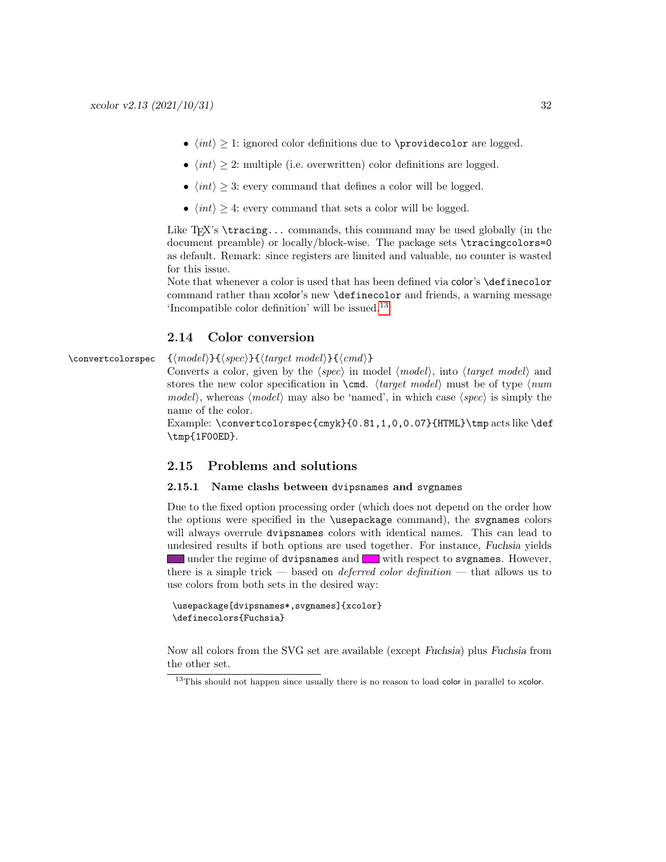- $\langle int \rangle \geq 1$ : ignored color definitions due to **\providecolor** are logged.
- $\langle int \rangle > 2$ : multiple (i.e. overwritten) color definitions are logged.
- $\langle int \rangle > 3$ : every command that defines a color will be logged.
- $\langle int \rangle \geq 4$ : every command that sets a color will be logged.

Like  $T_F X$ 's  $\text{tracing...}$  commands, this command may be used globally (in the document preamble) or locally/block-wise. The package sets \tracingcolors=0 as default. Remark: since registers are limited and valuable, no counter is wasted for this issue.

Note that whenever a color is used that has been defined via color's \definecolor command rather than xcolor's new \definecolor and friends, a warning message 'Incompatible color definition' will be issued.[13](#page-31-3)

### <span id="page-31-0"></span>2.14 Color conversion

\convertcolorspec {⟨model⟩}{⟨spec⟩}{⟨target model⟩}{⟨cmd⟩}

Converts a color, given by the  $\langle spec \rangle$  in model  $\langle model \rangle$ , into  $\langle target \ model \rangle$  and stores the new color specification in  $\text{mod}$ .  $\text{tr}_q$  must be of type  $\text{mod}$ model), whereas  $\langle model \rangle$  may also be 'named', in which case  $\langle spec \rangle$  is simply the name of the color.

Example: \convertcolorspec{cmyk}{0.81,1,0,0.07}{HTML}\tmp acts like \def \tmp{1F00ED}.

### <span id="page-31-1"></span>2.15 Problems and solutions

### <span id="page-31-2"></span>2.15.1 Name clashs between dvipsnames and svgnames

Due to the fixed option processing order (which does not depend on the order how the options were specified in the \usepackage command), the svgnames colors will always overrule dvipsnames colors with identical names. This can lead to undesired results if both options are used together. For instance, Fuchsia yields under the regime of dvipsnames and with respect to svgnames. However, there is a simple trick — based on *deferred color definition* — that allows us to use colors from both sets in the desired way:

```
\usepackage[dvipsnames*,svgnames]{xcolor}
\definecolors{Fuchsia}
```
Now all colors from the SVG set are available (except Fuchsia) plus Fuchsia from the other set.

<span id="page-31-3"></span><sup>&</sup>lt;sup>13</sup>This should not happen since usually there is no reason to load color in parallel to xcolor.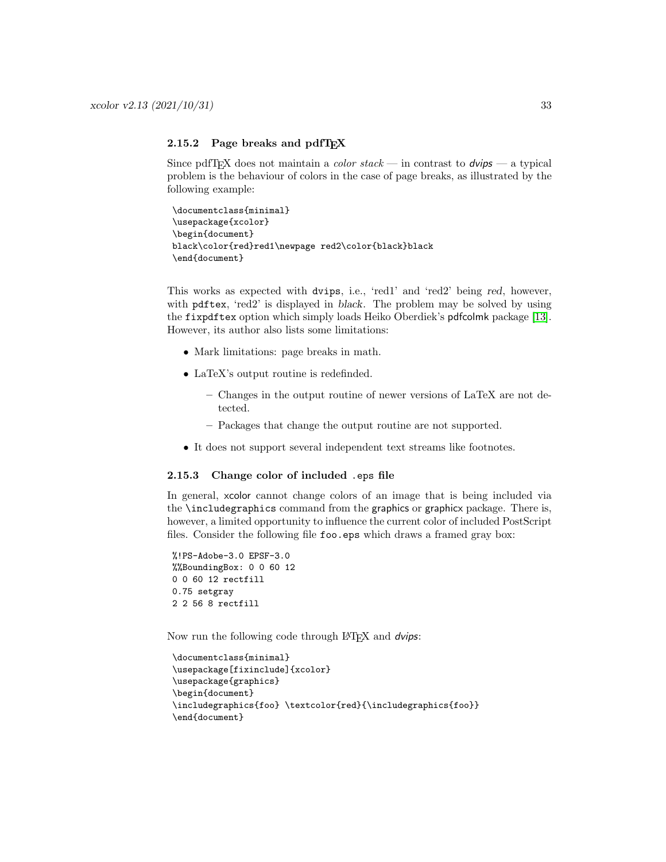### <span id="page-32-0"></span>2.15.2 Page breaks and pdfTEX

Since pdfT<sub>E</sub>X does not maintain a *color stack* — in contrast to  $dvips$  — a typical problem is the behaviour of colors in the case of page breaks, as illustrated by the following example:

```
\documentclass{minimal}
\usepackage{xcolor}
\begin{document}
black\color{red}red1\newpage red2\color{black}black
\end{document}
```
This works as expected with dvips, i.e., 'red1' and 'red2' being red, however, with pdftex, 'red2' is displayed in black. The problem may be solved by using the fixpdftex option which simply loads Heiko Oberdiek's pdfcolmk package [\[13\]](#page-61-10). However, its author also lists some limitations:

- Mark limitations: page breaks in math.
- LaTeX's output routine is redefinded.
	- Changes in the output routine of newer versions of LaTeX are not detected.
	- Packages that change the output routine are not supported.
- It does not support several independent text streams like footnotes.

### <span id="page-32-1"></span>2.15.3 Change color of included .eps file

In general, xcolor cannot change colors of an image that is being included via the \includegraphics command from the graphics or graphicx package. There is, however, a limited opportunity to influence the current color of included PostScript files. Consider the following file foo.eps which draws a framed gray box:

```
%!PS-Adobe-3.0 EPSF-3.0
%%BoundingBox: 0 0 60 12
0 0 60 12 rectfill
0.75 setgray
2 2 56 8 rectfill
```
Now run the following code through LAT<sub>EX</sub> and *dvips*:

```
\documentclass{minimal}
\usepackage[fixinclude]{xcolor}
\usepackage{graphics}
\begin{document}
\includegraphics{foo} \textcolor{red}{\includegraphics{foo}}
\end{document}
```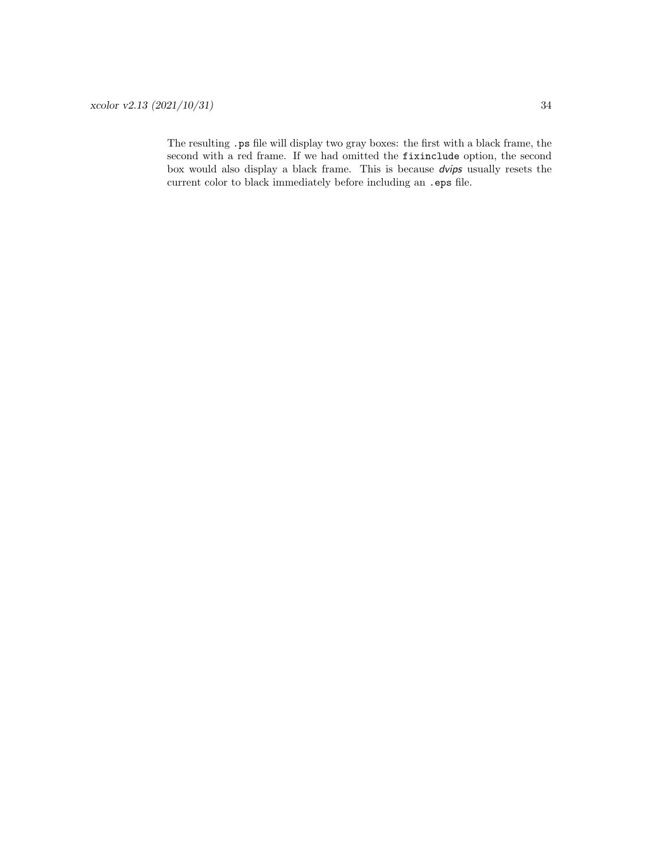The resulting .ps file will display two gray boxes: the first with a black frame, the second with a red frame. If we had omitted the fixinclude option, the second box would also display a black frame. This is because dvips usually resets the current color to black immediately before including an .eps file.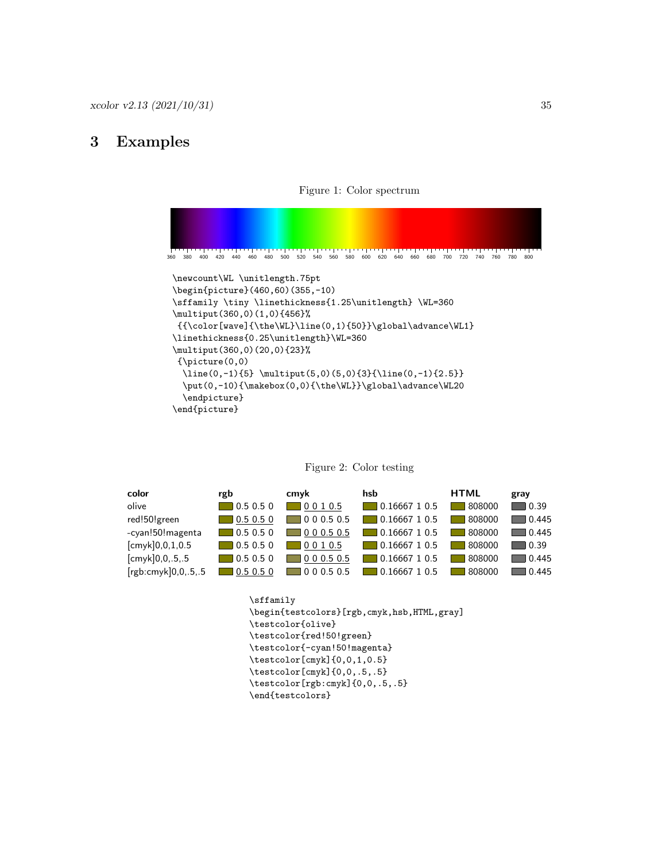### 3 Examples

<span id="page-34-0"></span>

# <span id="page-34-1"></span>Figure 1: Color spectrum

| color               | rgb              | cmyk             | hsb                  | <b>HTML</b> | gray                 |
|---------------------|------------------|------------------|----------------------|-------------|----------------------|
| olive               | 0.50.50          | 10010.5          | $\Box$ 0.16667 1 0.5 | 808000      | $\blacksquare$ 0.39  |
| red!50!green        | $\Box$ 0.5 0.5 0 | 1000.50.5        | $\Box$ 0.16667 1 0.5 | 808000      | $\blacksquare$ 0.445 |
| -cyan!50! magenta   | $\Box$ 0.5 0.5 0 | $\sqrt{00.50.5}$ | $\Box$ 0.16667 1 0.5 | 808000      | $\blacksquare$ 0.445 |
| [cmyk]0,0,1,0.5     | $\Box$ 0.5 0.5 0 | 10010.5          | $\Box$ 0.16667 1 0.5 | 808000      | ∎0.39                |
| [cmyk]0,0,.5,.5     | 0.50.50          | 000.50.5         | $\Box$ 0.16667 1 0.5 | 808000      | 0.445                |
| [rgb:cmyk]0,0,.5,.5 | 0.5 0.5 0        | 1000.50.5        | 0.1666710.5          | 808000      | 0.445                |

### <span id="page-34-2"></span>Figure 2: Color testing

```
\sffamily
\begin{testcolors}[rgb,cmyk,hsb,HTML,gray]
\testcolor{olive}
\testcolor{red!50!green}
\testcolor{-cyan!50!magenta}
\testcolor[cmyk]{0,0,1,0.5}
\testcolor[cmyk]{0,0,.5,.5}
\testcolor[rgb:cmyk]{0,0,.5,.5}
\end{testcolors}
```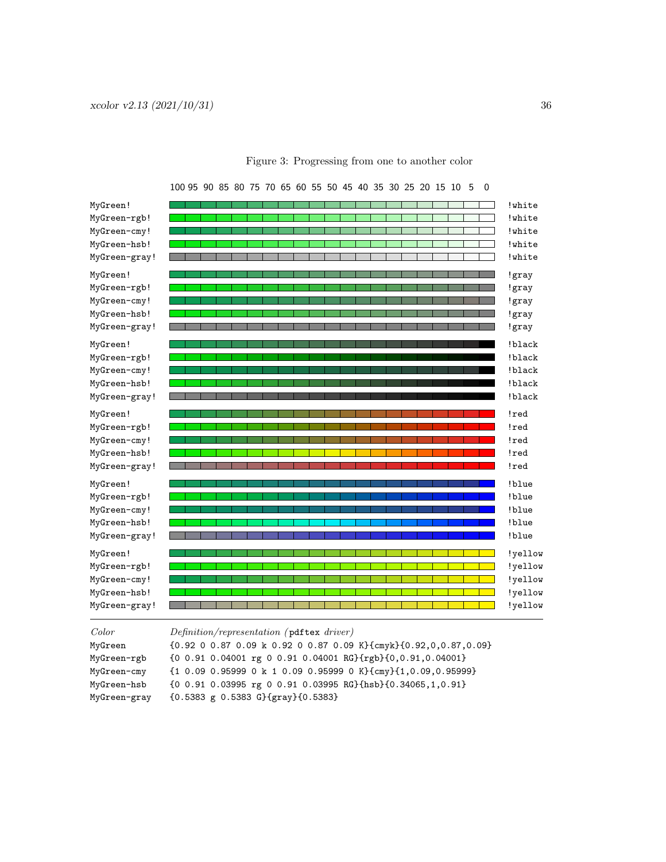| MyGreen!      | !white  |
|---------------|---------|
| MyGreen-rgb!  | !white  |
| MyGreen-cmy!  | ! white |
| MyGreen-hsb!  | !white  |
| MyGreen-gray! | !white  |
| MyGreen!      | !gray   |
| MyGreen-rgb!  | !gray   |
| MyGreen-cmy!  | !gray   |
| MyGreen-hsb!  | !gray   |
| MyGreen-gray! | !gray   |
| MyGreen!      | !black  |
| MyGreen-rgb!  | !black  |
| MyGreen-cmy!  | !black  |
| MyGreen-hsb!  | !black  |
| MyGreen-gray! | !black  |
| MyGreen!      | !red    |
| MyGreen-rgb!  | !red    |
| MyGreen-cmy!  | !red    |
| MyGreen-hsb!  | !red    |
| MyGreen-gray! | !red    |
| MyGreen!      | !blue   |
| MyGreen-rgb!  | !blue   |
| MyGreen-cmy!  | !blue   |
| MyGreen-hsb!  | !blue   |
| MyGreen-gray! | !blue   |
| MyGreen!      | !yellow |
| MyGreen-rgb!  | !yellow |
| MyGreen-cmy!  | !yellow |
| MyGreen-hsb!  | !yellow |
| MyGreen-gray! | !yellow |

### <span id="page-35-0"></span>Figure 3: Progressing from one to another color

100 95 90 85 80 75 70 65 60 55 50 45 40 35 30 25 20 15 10 5 0

| MyGreen-gray! |                                                                                         |
|---------------|-----------------------------------------------------------------------------------------|
| Color         | Definition/representation (pdftex driver)                                               |
| MyGreen       | ${0.92 0 0.87 0.09 k 0.92 0 0.87 0.09 K}$ (cmyk} ${0.92, 0, 0.87, 0.09}$                |
| MyGreen-rgb   | {0 0.91 0.04001 rg 0 0.91 0.04001 RG}{rgb}{0,0.91,0.04001}                              |
| MyGreen-cmy   | ${10.090.959990 k10.090.959990 K}$ cmy} ${1,0.09,0.95999}$                              |
| MyGreen-hsb   | $\{0 0.91 0.03995 \text{ rg } 0 0.91 0.03995 \text{ RG}\}\$ hsb} $\{0.34065, 1, 0.91\}$ |
| MyGreen-gray  | ${0.5383 \text{ g} 0.5383 \text{ G}}$ ${gray}$ {0.5383}                                 |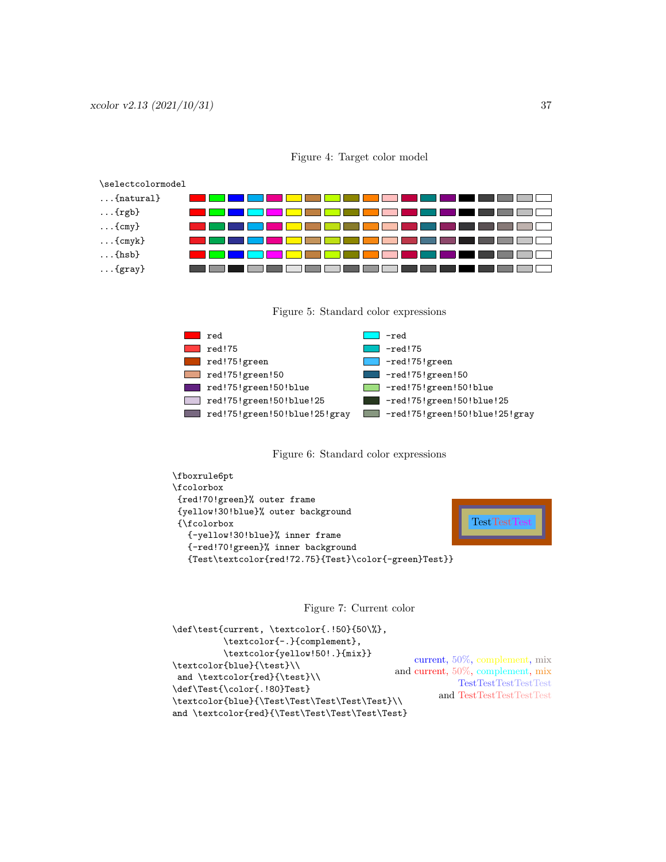| \selectcolormodel  |  |  |  |  |  |
|--------------------|--|--|--|--|--|
| $\ldots$ {natural} |  |  |  |  |  |
| $\ldots$ {rgb}     |  |  |  |  |  |
| $\ldots$ {cmy}     |  |  |  |  |  |
| $\ldots$ {cmyk}    |  |  |  |  |  |
| $\ldots$ {hsb}     |  |  |  |  |  |
| $\ldots$ {gray}    |  |  |  |  |  |

<span id="page-36-0"></span>

<span id="page-36-1"></span>



<span id="page-36-2"></span>



<span id="page-36-3"></span>Figure 7: Current color

```
\def\test{current, \textcolor{.!50}{50\%},
          \textcolor{-.}{complement},
          \textcolor{yellow!50!.}{mix}}
\textcolor{blue}{\test}\\
and \textcolor{red}{\test}\\
\def\Test{\color{.!80}Test}
\textcolor{blue}{\Test\Test\Test\Test\Test}\\
and \textcolor{red}{\Test\Test\Test\Test\Test}
                                                 current, 50%, complement, mix
                                             and current, 50%, complement, mix
                                                         TestTestTestTestTest
                                                     and TestTestTestTestTest
```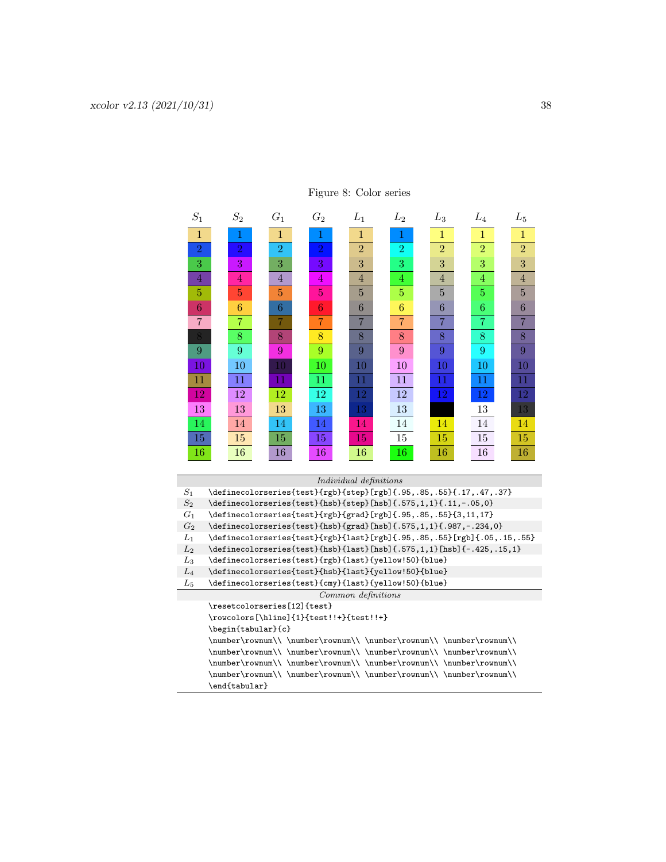| $S_1$           | $S_2$                                                                                                        | $G_1$          | $G_2$          | $L_1$                  | $L_2$          | $L_3$          | $L_{4}$        | $L_{5}$        |
|-----------------|--------------------------------------------------------------------------------------------------------------|----------------|----------------|------------------------|----------------|----------------|----------------|----------------|
| $\mathbf{1}$    | 1                                                                                                            | $\mathbf{1}$   | 1              | $\mathbf{1}$           | 1              | $\mathbf{1}$   | $\mathbf{1}$   | $\mathbf{1}$   |
| $\overline{2}$  | $\overline{2}$                                                                                               | $\overline{2}$ | $\,2$          | $\overline{2}$         | $\overline{2}$ | $\overline{2}$ | $\overline{2}$ | $\overline{2}$ |
| 3               | 3                                                                                                            | 3              | 3              | 3                      | 3              | 3              | 3              | 3              |
| $\overline{4}$  | $\overline{4}$                                                                                               | $\overline{4}$ | $\overline{4}$ | 4                      | 4              | $\overline{4}$ | 4              | $\overline{4}$ |
| 5               | $\overline{5}$                                                                                               | $\overline{5}$ | $\overline{5}$ | $\overline{5}$         | $\overline{5}$ | 5              | 5              | 5              |
| 6               | 6                                                                                                            | 6              | 6              | 6                      | 6              | 6              | 6              | 6              |
| $\overline{7}$  | $\overline{7}$                                                                                               | $\overline{7}$ | $\overline{7}$ | $\overline{7}$         | $\overline{7}$ | $\overline{7}$ | $\overline{7}$ | $\overline{7}$ |
| 8               | 8                                                                                                            | 8              | 8              | 8                      | 8              | 8              | 8              | 8              |
| $\overline{9}$  | 9                                                                                                            | 9              | 9              | 9                      | 9              | 9              | 9              | 9              |
| 10              | 10                                                                                                           | 10             | 10             | 10                     | 10             | 10             | 10             | 10             |
| 11              | 11                                                                                                           | 11             | 11             | $11\,$                 | 11             | 11             | 11             | 11             |
| 12              | 12                                                                                                           | 12             | 12             | 12                     | 12             | 12             | 12             | 12             |
| 13              | 13                                                                                                           | 13             | 13             | 13                     | 13             |                | 13             | 13             |
| 14              | 14                                                                                                           | 14             | 14             | 14                     | 14             | 14             | 14             | 14             |
| 15              | 15                                                                                                           | 15             | 15             | 15                     | 15             | 15             | 15             | 15             |
| 16              | 16                                                                                                           | 16             | 16             | 16                     | 16             | 16             | 16             | 16             |
|                 |                                                                                                              |                |                |                        |                |                |                |                |
|                 |                                                                                                              |                |                | Individual definitions |                |                |                |                |
| $S_1$           | \definecolorseries{test}{rgb}{step}[rgb]{.95,.85,.55}{.17,.47,.37}                                           |                |                |                        |                |                |                |                |
| $\mathcal{S}_2$ | \definecolorseries{test}{hsb}{step}[hsb]{.575,1,1}{.11,-.05,0}                                               |                |                |                        |                |                |                |                |
| $G_1$           | \definecolorseries{test}{rgb}{grad}[rgb]{.95,.85,.55}{3,11,17}                                               |                |                |                        |                |                |                |                |
| $G_2$           | \definecolorseries{test}{hsb}{grad}[hsb]{.575,1,1}{.987,-.234,0}                                             |                |                |                        |                |                |                |                |
| $L_1$           | \definecolorseries{test}{rgb}{last}[rgb]{.95,.85,.55}[rgb]{.05,.15,.55}                                      |                |                |                        |                |                |                |                |
| $L_2$           | $\definecolorseries{test}{hsb}{last}[hsb]{(.575,1,1)[hsb]{-.425,.15,1}$                                      |                |                |                        |                |                |                |                |
| $L_3$<br>$L_4$  | \definecolorseries{test}{rgb}{last}{yellow!50}{blue}<br>\definecolorseries{test}{hsb}{last}{yellow!50}{blue} |                |                |                        |                |                |                |                |
| $L_5$           | \definecolorseries{test}{cmy}{last}{yellow!50}{blue}                                                         |                |                |                        |                |                |                |                |
|                 |                                                                                                              |                |                | Common definitions     |                |                |                |                |
|                 | \resetcolorseries[12]{test}                                                                                  |                |                |                        |                |                |                |                |
|                 | \rowcolors[\hline]{1}{test!!+}{test!!+}                                                                      |                |                |                        |                |                |                |                |
|                 | \begin{tabular}{c}                                                                                           |                |                |                        |                |                |                |                |
|                 | \number\rownum\\\number\rownum\\\\number\rownum\\\\number\rownum\\\                                          |                |                |                        |                |                |                |                |
|                 | \number\rownum\\\number\rownum\\\\number\rownum\\\\number\rownum\\                                           |                |                |                        |                |                |                |                |
|                 | \number\rownum\\\number\rownum\\\\number\rownum\\\\number\rownum\\                                           |                |                |                        |                |                |                |                |

\number\rownum\\ \number\rownum\\ \number\rownum\\ \number\rownum\\ \number\rownum\\ \

 $\verb|\end{tabular}|$ 

### <span id="page-37-0"></span>Figure 8: Color series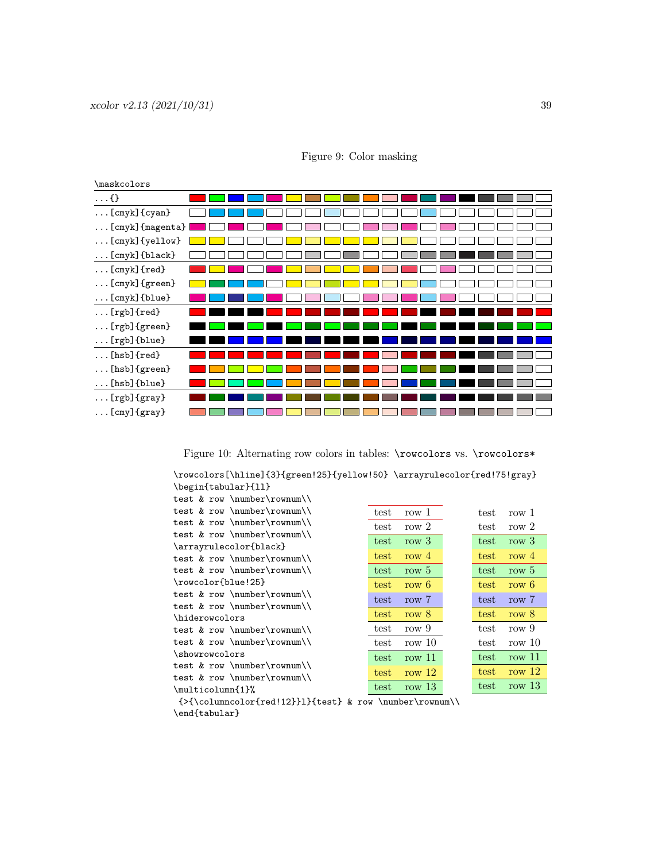| \maskcolors            |  |
|------------------------|--|
| $\ldots$ {}            |  |
| $[cmyk]$ {cyan}        |  |
| [cmyk] {magenta}       |  |
| [cmyk] {yellow}        |  |
| $[cmyk]$ {black}       |  |
| $[cmyk]$ {red}         |  |
| $[cmyk]$ {green}       |  |
| $\ldots$ [cmyk] {blue} |  |
| $\ldots$ [rgb] {red}   |  |
| $[rgb]$ {green}        |  |
| $[rgb]$ {blue}         |  |
| $\ldots$ [hsb] {red}   |  |
| $[hsb]$ {green}        |  |
| $[hsb]$ {blue}         |  |
| $\ldots$ [rgb] {gray}  |  |
| $[cm]$ {gray}          |  |

<span id="page-38-0"></span>Figure 9: Color masking

<span id="page-38-1"></span>Figure 10: Alternating row colors in tables: **\rowcolors** vs. **\rowcolors\*** 

\rowcolors[\hline]{3}{green!25}{yellow!50} \arrayrulecolor{red!75!gray} \begin{tabular}{ll}

| test & row \number\rownum\\ |      |          |      |          |
|-----------------------------|------|----------|------|----------|
| test & row \number\rownum\\ | test | row 1    | test | row 1    |
| test & row \number\rownum\\ | test | row $2$  | test | row $2$  |
| test & row \number\rownum\\ |      |          |      |          |
| \arrayrulecolor{black}      | test | row 3    | test | row $3$  |
| test & row \number\rownum\\ | test | row $4$  | test | row $4$  |
| test & row \number\rownum\\ | test | row $5$  | test | row 5    |
| \rowcolor{blue!25}          | test | row 6    | test | row 6    |
| test & row \number\rownum\\ | test | row 7    | test | row 7    |
| test & row \number\rownum\\ |      |          |      |          |
| \hiderowcolors              | test | row $8$  | test | row $8$  |
| test & row \number\rownum\\ | test | row 9    | test | row 9    |
| test & row \number\rownum\\ | test | row $10$ | test | row $10$ |
| \showrowcolors              | test | row $11$ | test | row $11$ |
| test & row \number\rownum\\ |      | row $12$ | test | row $12$ |
| test & row \number\rownum\\ | test |          |      |          |
| \multicolumn{1}%            | test | row $13$ | test | row $13$ |
|                             |      |          |      |          |

 ${\verb|{\columncolor{red!12}}1}{test}$  & row \number\rownum\\ \end{tabular}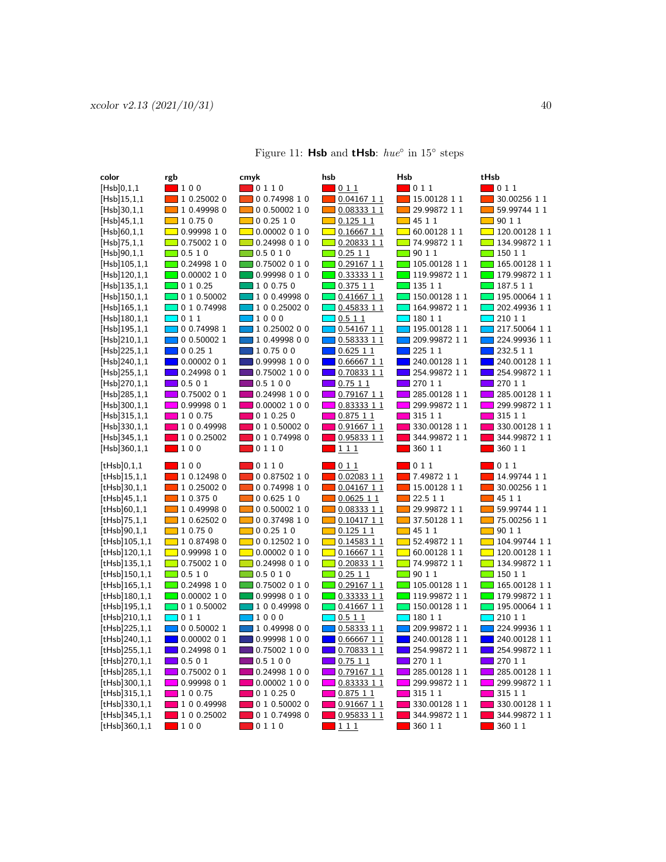| color                          | rgb                                  | cmyk                                     | hsb                                        | Hsb                                       | tHsb                                   |
|--------------------------------|--------------------------------------|------------------------------------------|--------------------------------------------|-------------------------------------------|----------------------------------------|
| [Hsb]0,1,1                     | $\blacksquare$ 100                   | $\blacksquare$ 0 1 1 0                   | $\blacksquare$ 0 1 1                       | $\blacksquare$ 0 1 1                      | $\blacksquare$ 0 1 1                   |
| [Hsb]15,1,1                    | 10.250020                            | $\Box$ 0 0.74998 1 0                     | $\Box$ 0.04167 1 1                         | $\Box$ 15.00128 1 1                       | $\blacksquare$ 30.00256 1 1            |
| [Hsb]30,1,1                    | $\Box$ 1 0.49998 0                   | $\Box$ 0 0.50002 1 0                     | $\Box$ 0.08333 1 1                         | $\Box$ 29.99872 1 1                       | $\blacksquare$ 59.99744 1 1            |
| [Hsb]45,1,1                    | $\Box$ 1 0.75 0                      | $\Box$ 0 0.25 1 0                        | $\boxed{ \blacksquare}$ 0.125 1 1          | $\Box$ 45 1 1                             | $\Box$ 90 1 1                          |
| [Hsb]60,1,1                    | $\Box$ 0.99998 1 0                   | $\Box$ 0.00002 0 1 0                     | $\boxed{0.1666711}$                        | $\boxed{1}$ 60.00128 1 1                  | $\Box$ 120.00128 1 1                   |
| [Hsb]75,1,1                    | $\Box$ 0.75002 1 0                   | $\Box$ 0.24998 0 1 0                     | $\boxed{ }$ 0.20833 1 1                    | $\boxed{1}$ 74.99872 1 1                  | $\boxed{134.9987211}$                  |
| [Hsb]90,1,1                    | $\Box$ 0.5 1 0                       | $\Box$ 0.5 0 1 0                         | $\Box$ 0.25 1 1                            | $\Box$ 90 1 1                             | $\Box$ 150 1 1                         |
| [Hsb]105,1,1                   | $\Box$ 0.24998 1 0                   | $\Box$ 0.75002 0 1 0                     | $\Box$ 0.29167 1 1                         | $\Box$ 105.00128 1 1                      | $\blacksquare$ 165.00128 1 1           |
| [Hsb]120,1,1                   | $\Box$ 0.00002 1 0                   | 0.99998 0 1 0                            | $\Box$ 0.33333 1 1                         | $\boxed{119.9987211}$                     | $\boxed{179.9987211}$                  |
| $[Hsb]$ 135,1,1                | $\Box$ 0 1 0.25                      | 1 0 0.75 0                               | 0.37511                                    | $\Box$ 135 1 1                            | $\blacksquare$ 187.5 1 1               |
| [Hsb]150,1,1                   | $\Box$ 0 1 0.50002                   | 100.499980                               | $\sqrt{0.41667}11$                         | $\Box$ 150.00128 1 1                      | $195.00064$ 1 1                        |
| [Hsb]165,1,1                   | $\Box$ 0 1 0.74998                   | 100.250020                               | $\Box$ 0.45833 1 1                         | $\boxed{164.9987211}$                     | $\sqrt{202.49936}$ 1 1                 |
| [Hsb]180,1,1                   | $\Box$ 0 1 1                         | $\Box$ 1000                              | $\overline{0.511}$                         | $\Box$ 180 1 1                            | $\overline{\phantom{0}}$ 210 1 1       |
| $[Hsb]$ 195,1,1                | 0 0.74998 1                          | $\blacksquare$ 1 0.25002 0 0             | $0.54167$ 1 1                              | $\Box$ 195.00128 1 1                      | 217.50064 1 1                          |
| [Hsb]210,1,1                   | 0 0.50002 1                          | $\blacksquare$ 1 0.49998 0 0             | $\blacksquare$ 0.58333 1 1                 | 209.99872 1 1                             | 224.99936 1 1                          |
| [Hsb]225,1,1                   | $\Box$ 0 0.25 1                      | 10.7500                                  | $\Box$ 0.625 1 1                           | $\Box$ 225 1 1                            | $\Box$ 232.5 1 1                       |
| [Hsb]240,1,1                   | $\Box$ 0.00002 0 1                   | $\Box$ 0.99998 1 0 0                     | $\blacksquare$ 0.66667 1 1                 | $\blacksquare$ 240.00128 1 1              | $\blacksquare$ 240.00128 1 1           |
| [Hsb]255,1,1                   | $\Box$ 0.24998 0 1                   | $\Box$ 0.75002 1 0 0                     | 0.70833 1 1                                | $\blacksquare$ 254.99872 1 1              | 254.99872 1 1                          |
| [Hsb]270,1,1                   | $\Box$ 0.5 0 1                       | $\Box$ 0.5 1 0 0                         | 0.7511                                     | 270 1 1                                   | 127011                                 |
| [Hsb]285,1,1                   | 0.75002 0 1                          | 0.24998 1 0 0                            | $0.79167$ 1 1                              | 285.00128 1 1                             | 285.00128 1 1                          |
| [Hsb]300,1,1                   | 0.99998 0 1                          | $\Box$ 0.00002 1 0 0                     | $\blacksquare$ 0.83333 1 1                 | 299.99872 1 1                             | 299.99872 1 1                          |
| [Hsb]315,1,1                   | $\Box$ 1 0 0.75                      | 010.250                                  | 0.87511                                    | 315 1 1                                   | 315 1 1                                |
| [Hsb]330,1,1                   | 1 0 0.49998                          | 0 1 0.50002 0                            | 0.91667 1 1                                | 330.00128 1 1                             | 330.00128 1 1                          |
| [Hsb]345,1,1                   | 1 0 0.25002                          | 0 1 0.74998 0                            | 0.95833 1 1                                | 344.99872 1 1                             | 344.99872 1 1                          |
| [Hsb]360,1,1                   | $\blacksquare$ 100                   | $\blacksquare$ 0 1 1 0                   | <u>  1 1 1</u>                             | $\blacksquare$ 360 1 1                    | $\blacksquare$ 360 1 1                 |
| [tHsb]0,1,1                    | $\blacksquare$ 100                   | $\blacksquare$ 0110                      | 011                                        | $\blacksquare$ 0 1 1                      | $\blacksquare$ 0 1 1                   |
| [tHsb]15,1,1                   | 1 0.12498 0                          | 00.8750210                               | $0.02083$ 1 1                              | $\blacksquare$ 7.49872 1 1                | 14.99744 1 1                           |
| [tHsb]30,1,1                   | 10.250020                            | $\Box$ 0 0.74998 1 0                     | $\Box$ 0.04167 1 1                         | $15.00128$ 1 1                            | 30.00256 1 1<br><b>The State</b>       |
| [tHsb]45,1,1                   | $\Box$ 1 0.375 0                     | 00.62510                                 | $\Box$ 0.0625 1 1                          | $\Box$ 22.5 1 1                           | $\blacksquare$ 45 1 1                  |
| [tHsb]60,1,1                   | 1 0.49998 0<br><b>Contract</b>       | $\Box$ 0 0.50002 1 0                     | 0.0833311                                  | 29.99872 1 1                              | $\Box$ 59.99744 1 1                    |
| $[tHsb]$ 75,1,1                | $\Box$ 1 0.62502 0                   | 0 0.37498 1 0                            | $\Box$ 0.10417 1 1                         | $\Box$ 37.50128 1 1                       | $\Box$ 75.00256 1 1                    |
| [tHsb]90,1,1                   | $\Box$ 1 0.75 0                      | $\Box$ 0 0.25 1 0                        | $\Box$ 0.125 1 1                           | $\blacksquare$ 45 1 1                     | $\Box$ 90 1 1                          |
| [tHsb]105,1,1                  | $\boxed{10.874980}$                  | $\Box$ 0 0.12502 1 0                     | $\Box$ 0.14583 1 1                         | $\boxed{1}$ 52.49872 1 1                  | $\Box$ 104.99744 1 1                   |
| [tHsb]120,1,1                  | $\boxed{)}$ 0.99998 1 0              | $\Box$ 0.00002 0 1 0                     | $\boxed{0.16667}$ 1 1                      | $\boxed{ }$ 60.00128 1 1                  | $\boxed{ }$ 120.00128 1 1              |
| $[tHsb]$ 135,1,1               | $\Box$ 0.75002 1 0<br>$\Box$ 0.5 1 0 | $\Box$ 0.24998 0 1 0<br>$\Box$ 0.5 0 1 0 | $\boxed{ }$ 0.20833 1 1<br>$\Box$ 0.25 1 1 | $\boxed{1}$ 74.99872 1 1<br>$\Box$ 90 1 1 | $\Box$ 134.99872 1 1<br>$\Box$ 150 1 1 |
| [tHsb]150,1,1<br>[tHsb]165,1,1 | $\Box$ 0.24998 1 0                   | $\Box$ 0.75002 0 1 0                     | $\boxed{ }$ 0.29167 1 1                    | $\Box$ 105.00128 1 1                      | $\Box$ 165.00128 1 1                   |
| [tHsb]180,1,1                  | 0.0000210                            | 0.99998 0 1 0                            | $\blacksquare$ 0.33333 1 1                 | 119.99872 1 1                             | <mark>∃</mark> 179.99872 1 1           |
| $[tHsb]$ 195,1,1               | $\Box$ 0 1 0.50002                   | $\boxed{100.499980}$                     | $\Box$ 0.41667 1 1                         | $\Box$ 150.00128 1 1                      | $\boxed{195.00064}$ 1 1                |
| [tHsb]210,1,1                  | $\Box$ 0 1 1                         | $\blacksquare$ 1000                      | $\blacksquare$ 0.5 1 1                     | $\blacksquare$ 180 1 1                    | $\Box$ 210 1 1                         |
| [tHsb]225,1,1                  | $\Box$ 0 0.50002 1                   | 10.4999800                               | $\Box$ 0.58333 1 1                         | $\boxed{1}$ 209.99872 1 1                 | $\Box$ 224.99936 1 1                   |
| [tHsb]240,1,1                  | $\Box$ 0.00002 0 1                   | $\Box$ 0.99998 1 0 0                     | $\Box$ 0.66667 1 1                         | $\blacksquare$ 240.00128 1 1              | $\blacksquare$ 240.00128 1 1           |
| [tHsb]255,1,1                  | $\Box$ 0.24998 0 1                   | $\Box$ 0.75002 1 0 0                     | $\blacksquare$ 0.70833 1 1                 | $\boxed{1}$ 254.99872 1 1                 | $\boxed{1}$ 254.99872 1 1              |
| [tHsb]270,1,1                  | $\Box$ 0.5 0 1                       | $\Box$ 0.5 1 0 0                         | 0.7511                                     | 270 1 1                                   | 270 1 1                                |
| [tHsb]285,1,1                  | 0.75002 0 1                          | $\Box$ 0.24998 1 0 0                     | 0.79167 1 1                                | 285.00128 1 1                             | 285.00128 1 1                          |
| [tHsb]300,1,1                  | 0.99998 0 1                          | 0.00002100                               | 0.83333 1 1                                | 299.99872 1 1                             | 299.99872 1 1                          |
| [tHsb]315,1,1                  | 1 0 0.75                             | 010.250                                  | $\blacksquare$ 0.875 1 1                   | 315 1 1                                   | 315 1 1                                |
| [tHsb]330,1,1                  | 100.49998                            | 0 1 0.50002 0                            | 0.91667 1 1                                | 330.00128 1 1                             | 330.00128 1 1                          |
| [tHsb]345,1,1                  | 100.25002                            | 0 1 0.74998 0                            | $\blacksquare$ 0.95833 1 1                 | 344.99872 1 1                             | 344.99872 1 1                          |
| [tHsb]360,1,1                  | $\blacksquare$ 100                   | $\blacksquare$ 0 1 1 0                   | $\blacksquare$ 1 1 1                       | $\blacksquare$ 360 1 1                    | ■ 360 1 1                              |

### <span id="page-39-0"></span>Figure 11: **Hsb** and **tHsb**:  $hue^{\circ}$  in 15<sup>°</sup> steps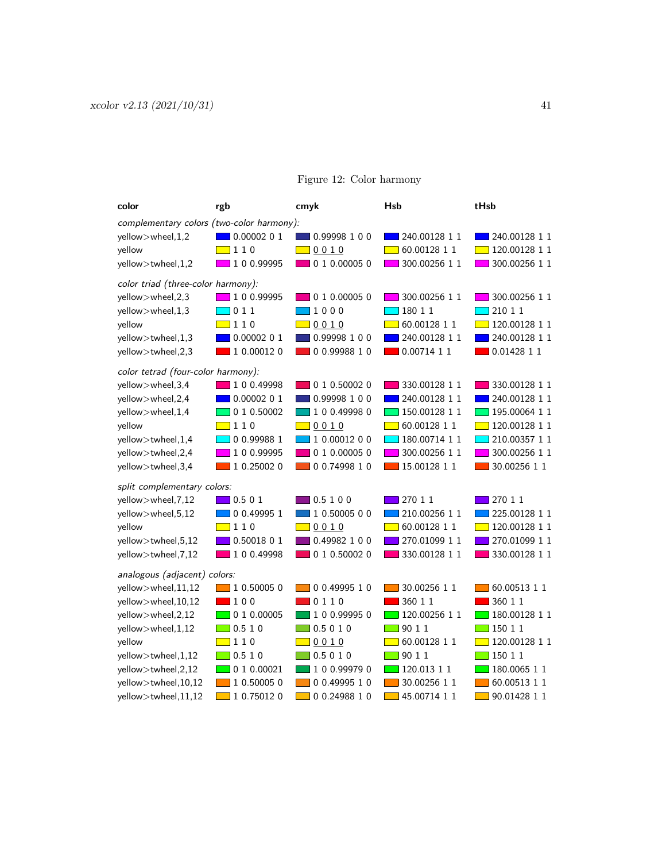| color                                     | rgb                 | cmyk                 | <b>Hsb</b>      | tHsb                           |
|-------------------------------------------|---------------------|----------------------|-----------------|--------------------------------|
| complementary colors (two-color harmony): |                     |                      |                 |                                |
| yellow>wheel,1,2                          | 0.0000201           | 0.99998 1 0 0        | 240.00128 1 1   | 240.00128 1 1                  |
| yellow                                    | $\boxed{110}$       | 0010                 | 60.00128 1 1    | 120.00128 1 1                  |
| yellow>twheel,1,2                         | 100.99995           | 0 1 0.00005 0        | 300.00256 1 1   | 300.00256 1 1                  |
| color triad (three-color harmony):        |                     |                      |                 |                                |
| yellow>wheel,2,3                          | 100.99995           | 0 1 0.00005 0        | 300.00256 1 1   | 300.00256 1 1                  |
| yellow>wheel,1,3                          | 011                 | 1000                 | 18011           | 210 1 1                        |
| yellow                                    | $\boxed{110}$       | 0010                 | 60.00128 1 1    | 120.00128 1 1                  |
| yellow>twheel,1,3                         | 0.0000201           | 0.99998 1 0 0        | 240.00128 1 1   | 240.00128 1 1                  |
| yellow>twheel,2,3                         | 1 0.00012 0         | 00.9998810           | 0.00714 1 1     | 0.01428 1 1                    |
| color tetrad (four-color harmony):        |                     |                      |                 |                                |
| yellow>wheel,3,4                          | 1 0 0.49998         | 0 1 0.50002 0        | 330.00128 1 1   | 330.00128 1 1                  |
| yellow>wheel,2,4                          | 0.00002 0 1         | 0.99998 1 0 0        | 240.00128 1 1   | 240.00128 1 1                  |
| yellow>wheel,1,4                          | 0 1 0.50002         | 1 0 0.49998 0        | 150.00128 1 1   | 195.00064 1 1                  |
| yellow                                    | $\boxed{110}$       | $\Box$ 0010          | 60.00128 1 1    | 120.00128 1 1                  |
| yellow>twheel,1,4                         | 0 0.99988 1         | 10.0001200           | 180.00714 1 1   | 210.00357 1 1                  |
| yellow>twheel,2,4                         | 1 0 0.99995         | 0 1 0.00005 0        | 300.00256 1 1   | 300.00256 1 1                  |
| yellow>twheel,3,4                         | 1 0.25002 0         | $\Box$ 0 0.74998 1 0 | 15.00128 1 1    | 30.00256 1 1                   |
| split complementary colors:               |                     |                      |                 |                                |
| yellow>wheel, 7,12                        | 0.501               | 0.5100               | 270 1 1         | 270 1 1                        |
| yellow>wheel,5,12                         | 0 0.49995 1         | 10.5000500           | 210.00256 1 1   | 225.00128 1 1                  |
| yellow                                    | $\boxed{110}$       | 0010                 | 60.00128 1 1    | 120.00128 1 1                  |
| yellow>twheel,5,12                        | 0.50018 0 1         | 0.49982 1 0 0        | 270.01099 1 1   | 270.01099 1 1                  |
| yellow>twheel, 7,12                       | 100.49998           | $\Box$ 0 1 0.50002 0 | 330.00128 1 1   | 330.00128 1 1                  |
| analogous (adjacent) colors:              |                     |                      |                 |                                |
| yellow>wheel,11,12                        | 10.500050           | 0 0.49995 1 0        | 30.00256 1 1    | 60.00513 1 1                   |
| yellow>wheel,10,12                        | $\blacksquare$ 100  | 0110                 | 360 1 1         | 360 1 1                        |
| yellow>wheel,2,12                         | $\Box$ 0 1 0.00005  | 10 0.99995 0         | $120.00256$ 1 1 | 180.00128 1 1                  |
| yellow>wheel,1,12                         | $\boxed{ }$ 0.5 1 0 | $\Box$ 0.5 0 1 0     | $\Box$ 90 1 1   | $\boxed{\blacksquare}$ 150 1 1 |
| yellow                                    | $\boxed{110}$       | $\Box$ 0010          | 60.00128 1 1    | 120.00128 1 1                  |
| yellow>twheel,1,12                        | $\Box$ 0.5 1 0      | $\Box$ 0.5 0 1 0     | $\Box$ 90 1 1   | $\Box$ 150 1 1                 |
| yellow>twheel,2,12                        | 010.00021           | 10 0.99979 0         | 120.01311       | 180.0065 1 1                   |
| yellow>twheel,10,12                       | 1 0.50005 0         | 00.4999510           | 30.00256 1 1    | 60.00513 1 1                   |
| yellow>twheel.11.12                       | 1 0.75012 0         | 00.2498810           | 45.00714 1 1    | 90.01428 1 1                   |

### <span id="page-40-0"></span>Figure 12: Color harmony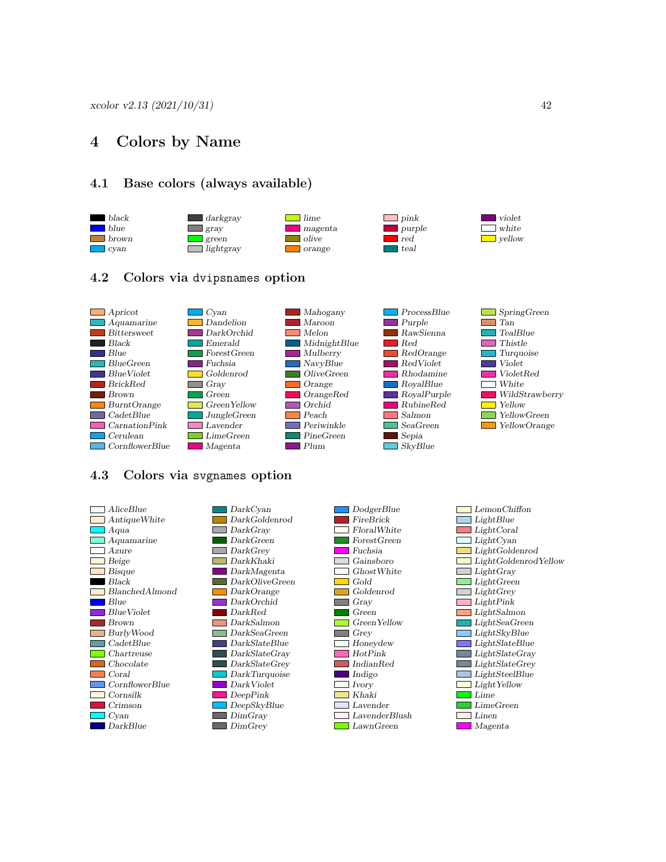### <span id="page-41-0"></span>4 Colors by Name

### <span id="page-41-1"></span>4.1 Base colors (always available)



### <span id="page-41-2"></span>4.2 Colors via dvipsnames option



### <span id="page-41-3"></span>4.3 Colors via svgnames option

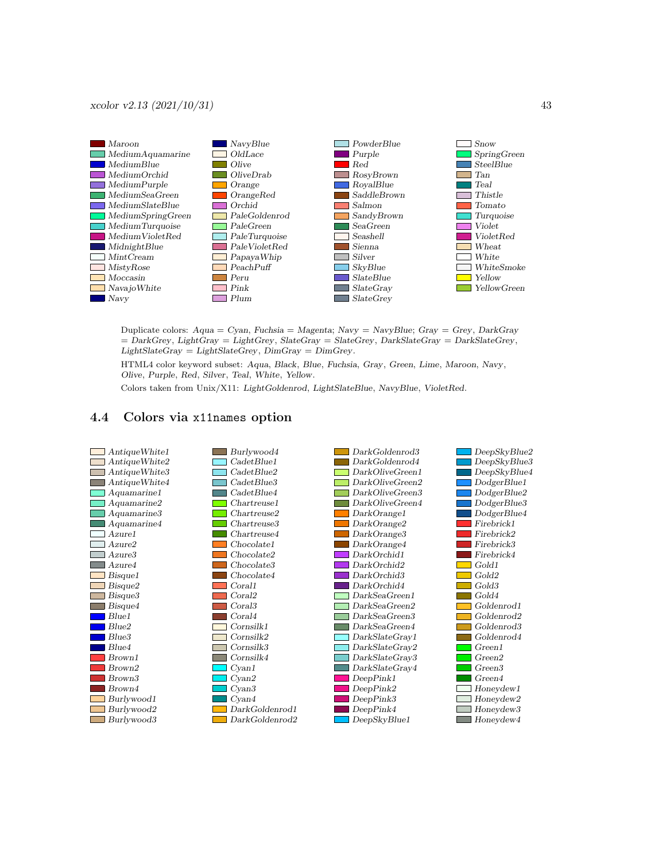

Duplicate colors: Aqua = Cyan, Fuchsia = Magenta; Navy = NavyBlue; Gray = Grey, DarkGray  $=$  DarkGrey, LightGray  $=$  LightGrey, SlateGray  $=$  SlateGrey, DarkSlateGray  $=$  DarkSlateGrey,  $LightStateGray = LightStateGrey, DimGray = DimGrey.$ 

HTML4 color keyword subset: Aqua, Black, Blue, Fuchsia, Gray, Green, Lime, Maroon, Navy, Olive, Purple, Red, Silver, Teal, White, Yellow.

<span id="page-42-0"></span>Colors taken from Unix/X11: LightGoldenrod, LightSlateBlue, NavyBlue, VioletRed.

### 4.4 Colors via x11names option

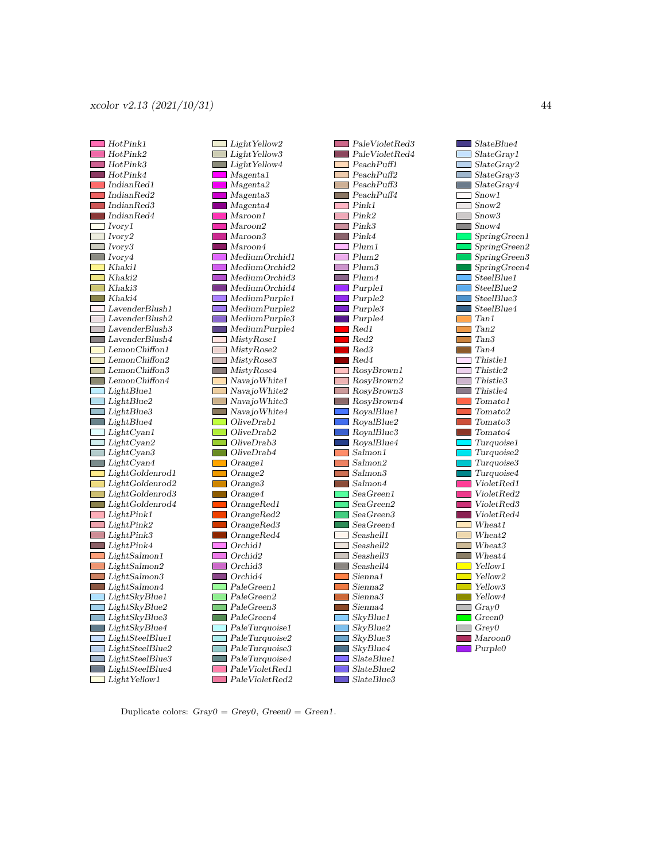



SlateBlue4 SlateGray1  $\Box$  SlateGrav2 SlateGray3 SlateGray4 Snow1  $\Box$  Snow2 Snow3 Snow4 SpringGreen1 SpringGreen2 SpringGreen3 ■ SpringGreen4 SteelBlue1 SteelBlue2 SteelBlue3 SteelBlue4 **Tan1 Tan2** Tan3 Tan4  $\Box$  Thistle1 Thistle2  $\Box$  Thistle3  $\blacksquare$  Thistle4 г  $\Box$  Tomato1 **The State**  $\Box$  Tomato2 ■ Tomato3  $\Box$  Tomato4 **Turquoise2**  $\Box$  Turquoise3 Turquoise4 ■ VioletRed1 ■ VioletRed2 VioletRed3 ■ VioletRed4 Wheat1  $\Box$  Wheat2 Г Wheat<sub>3</sub> **Wheat4 Now** Yellow 1 **T** Yellow<sub>2</sub> Vellow3 Yellow4  $\Box$  Gray0  $\Box$  Green0  $\Box$  Grey $0$ Maroon0  $\Box$  Purple0

Turquoise1

Duplicate colors:  $Gray0 = Grey0$ ,  $Green0 = Green1$ .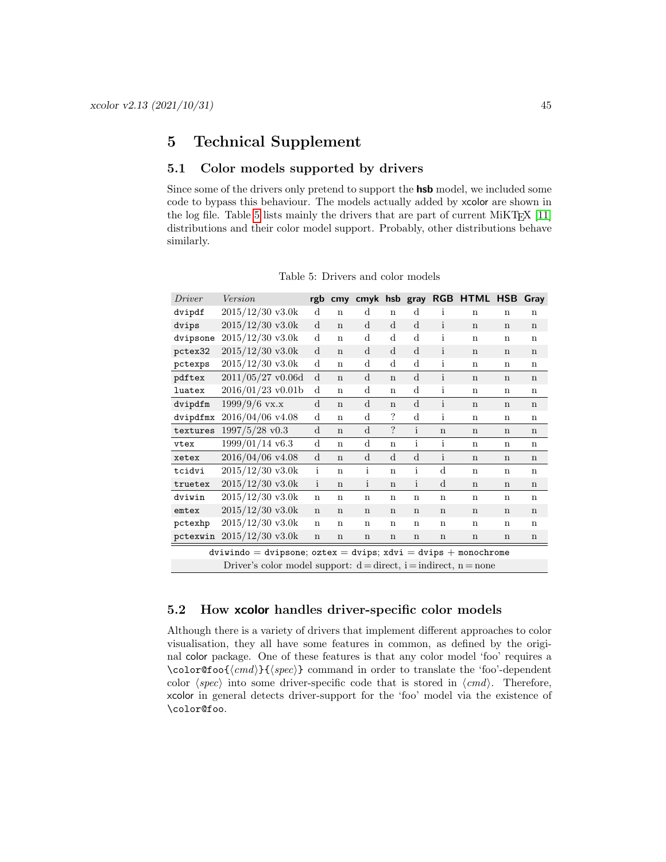### <span id="page-44-0"></span>5 Technical Supplement

### <span id="page-44-1"></span>5.1 Color models supported by drivers

Since some of the drivers only pretend to support the **hsb** model, we included some code to bypass this behaviour. The models actually added by xcolor are shown in the log file. Table [5](#page-44-3) lists mainly the drivers that are part of current MiKT<sub>E</sub>X  $[11]$ distributions and their color model support. Probably, other distributions behave similarly.

| Driver   | Version                                                                  | rgb          | cmv         | cmyk         |             | hsb gray     |              | <b>RGB HTML</b> | <b>HSB</b>  | Gray        |  |
|----------|--------------------------------------------------------------------------|--------------|-------------|--------------|-------------|--------------|--------------|-----------------|-------------|-------------|--|
| dvipdf   | $2015/12/30$ v3.0k                                                       | $\mathbf d$  | $\mathbf n$ | $\mathbf d$  | $\mathbf n$ | $\mathbf d$  | i            | $\mathbf n$     | $\mathbf n$ | $\mathbf n$ |  |
| dvips    | $2015/12/30$ v3.0k                                                       | $\mathbf d$  | $\mathbf n$ | $\mathbf d$  | $\mathbf d$ | d            | i            | $\mathbf n$     | n           | n           |  |
| dvipsone | $2015/12/30$ v3.0k                                                       | $\mathbf d$  | $\mathbf n$ | $\mathbf d$  | $\mathbf d$ | $\rm d$      | i            | $\mathbf n$     | n           | $\mathbf n$ |  |
| pctex32  | $2015/12/30$ v3.0k                                                       | d            | $\mathbf n$ | $\mathbf d$  | $\mathbf d$ | $\mathbf d$  | i            | $\mathbf n$     | $\mathbf n$ | $\mathbf n$ |  |
| pctexps  | $2015/12/30$ v3.0k                                                       | $\mathbf d$  | $\mathbf n$ | $\mathbf d$  | $\mathbf d$ | $\rm d$      | i            | $\mathbf n$     | $\mathbf n$ | $\mathbf n$ |  |
| pdftex   | $2011/05/27$ v0.06d                                                      | d            | $\mathbf n$ | $\mathbf d$  | $\mathbf n$ | $\mathbf d$  | $\mathbf{i}$ | $\mathbf n$     | $\mathbf n$ | $\mathbf n$ |  |
| luatex   | $2016/01/23$ v0.01b                                                      | $\mathbf d$  | $\mathbf n$ | $\mathbf d$  | $\mathbf n$ | $\rm d$      | $\mathbf{i}$ | n               | $\mathbf n$ | $\mathbf n$ |  |
| dvipdfm  | $1999/9/6$ vx.x                                                          | d            | $\mathbf n$ | $\mathbf d$  | $\mathbf n$ | $\mathbf d$  | $\mathbf{i}$ | $\mathbf n$     | $\mathbf n$ | $\mathbf n$ |  |
| dvipdfmx | 2016/04/06 v4.08                                                         | $\mathbf d$  | $\mathbf n$ | $\mathbf d$  | ?           | d            | i            | $\mathbf n$     | $\mathbf n$ | $\mathbf n$ |  |
| textures | $1997/5/28$ v $0.3$                                                      | d            | $\mathbf n$ | $\mathbf d$  | ?           | $\mathbf{i}$ | $\mathbf n$  | $\mathbf n$     | n           | n           |  |
| vtex     | $1999/01/14$ v6.3                                                        | d            | n           | $\mathbf d$  | $\mathbf n$ | i            | $\mathbf{i}$ | $\mathbf n$     | $\mathbf n$ | $\mathbf n$ |  |
| xetex    | 2016/04/06 v4.08                                                         | d            | $\mathbf n$ | $\mathbf d$  | $\mathbf d$ | $\mathbf d$  | $\mathbf{i}$ | $\mathbf n$     | n           | $\mathbf n$ |  |
| tcidvi   | $2015/12/30$ v3.0k                                                       | $\mathbf{i}$ | $\mathbf n$ | i            | $\mathbf n$ | $\mathbf{i}$ | d            | n               | n           | $\mathbf n$ |  |
| truetex  | $2015/12/30$ v3.0k                                                       | $\mathbf{i}$ | $\mathbf n$ | $\mathbf{i}$ | $\mathbf n$ | $\mathbf{i}$ | $\mathbf d$  | $\mathbf n$     | n           | $\mathbf n$ |  |
| dviwin   | $2015/12/30$ v3.0k                                                       | $\mathbf n$  | $\mathbf n$ | $\mathbf n$  | $\mathbf n$ | $\mathbf n$  | $\mathbf n$  | n               | n           | $\mathbf n$ |  |
| emtex    | $2015/12/30$ v3.0k                                                       | $\mathbf n$  | $\mathbf n$ | $\mathbf n$  | $\mathbf n$ | $\mathbf n$  | $\mathbf n$  | $\mathbf n$     | n           | $\mathbf n$ |  |
| pctexhp  | $2015/12/30$ v3.0k                                                       | $\mathbf n$  | n           | $\mathbf n$  | $\mathbf n$ | $\mathbf n$  | $\mathbf n$  | n               | n           | n           |  |
| pctexwin | $2015/12/30$ v3.0k                                                       | $\mathbf n$  | $\mathbf n$ | $\mathbf n$  | n           | n            | n            | $\mathbf n$     | $\mathbf n$ | $\mathbf n$ |  |
|          | dviwindo = dvipsone; oztex = dvips; xdvi = dvips + monochrome            |              |             |              |             |              |              |                 |             |             |  |
|          | Driver's color model support: $d = direct$ , $i = indirect$ , $n = none$ |              |             |              |             |              |              |                 |             |             |  |

<span id="page-44-3"></span>Table 5: Drivers and color models

### <span id="page-44-2"></span>5.2 How xcolor handles driver-specific color models

Although there is a variety of drivers that implement different approaches to color visualisation, they all have some features in common, as defined by the original color package. One of these features is that any color model 'foo' requires a \color@foo{⟨cmd⟩}{⟨spec⟩} command in order to translate the 'foo'-dependent color  $\langle spec \rangle$  into some driver-specific code that is stored in  $\langle cmd \rangle$ . Therefore, xcolor in general detects driver-support for the 'foo' model via the existence of \color@foo.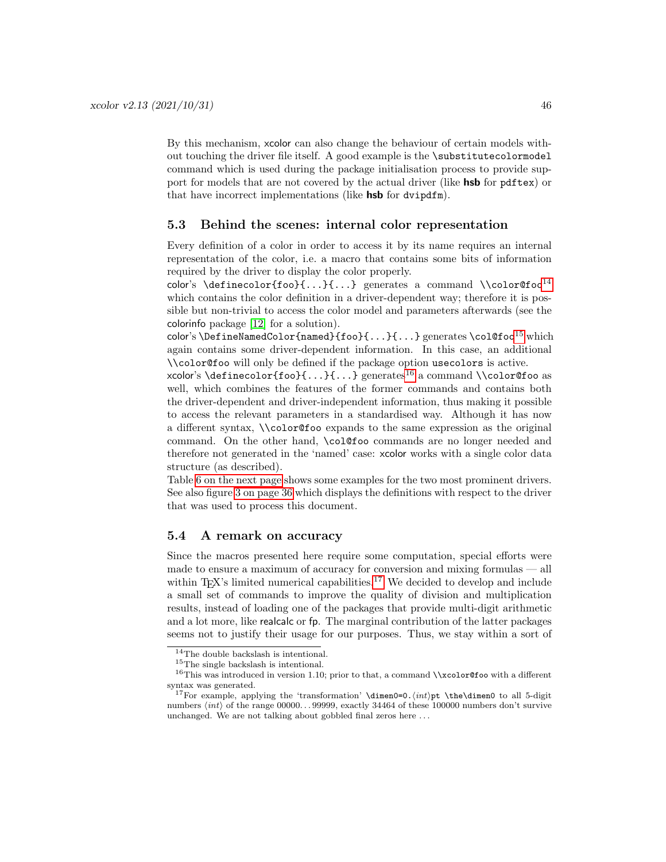By this mechanism, xcolor can also change the behaviour of certain models without touching the driver file itself. A good example is the \substitutecolormodel command which is used during the package initialisation process to provide support for models that are not covered by the actual driver (like **hsb** for pdftex) or that have incorrect implementations (like **hsb** for dvipdfm).

### <span id="page-45-0"></span>5.3 Behind the scenes: internal color representation

Every definition of a color in order to access it by its name requires an internal representation of the color, i.e. a macro that contains some bits of information required by the driver to display the color properly.

color's \definecolor{foo}{...}{...} generates a command \\color@foo<sup>[14](#page-45-2)</sup> which contains the color definition in a driver-dependent way; therefore it is possible but non-trivial to access the color model and parameters afterwards (see the colorinfo package [\[12\]](#page-61-12) for a solution).

color's \DefineNamedColor{named}{foo}{...}{...} generates \col@foo<sup>[15](#page-45-3)</sup> which again contains some driver-dependent information. In this case, an additional \\color@foo will only be defined if the package option usecolors is active.

xcolor's \definecolor{foo}{...}{...} generates<sup>[16](#page-45-4)</sup> a command \\color@foo as well, which combines the features of the former commands and contains both the driver-dependent and driver-independent information, thus making it possible to access the relevant parameters in a standardised way. Although it has now a different syntax, \\color@foo expands to the same expression as the original command. On the other hand, \col@foo commands are no longer needed and therefore not generated in the 'named' case: xcolor works with a single color data structure (as described).

Table [6 on the next page](#page-46-0) shows some examples for the two most prominent drivers. See also figure [3 on page 36](#page-35-0) which displays the definitions with respect to the driver that was used to process this document.

### <span id="page-45-1"></span>5.4 A remark on accuracy

Since the macros presented here require some computation, special efforts were made to ensure a maximum of accuracy for conversion and mixing formulas — all within T<sub>E</sub>X's limited numerical capabilities.<sup>[17](#page-45-5)</sup> We decided to develop and include a small set of commands to improve the quality of division and multiplication results, instead of loading one of the packages that provide multi-digit arithmetic and a lot more, like realcalc or fp. The marginal contribution of the latter packages seems not to justify their usage for our purposes. Thus, we stay within a sort of

<span id="page-45-2"></span> $\rm ^{14}The$  double backslash is intentional.

<span id="page-45-4"></span><span id="page-45-3"></span><sup>15</sup>The single backslash is intentional.

<sup>&</sup>lt;sup>16</sup>This was introduced in version 1.10; prior to that, a command  $\xccos$  ovith a different syntax was generated.

<span id="page-45-5"></span><sup>&</sup>lt;sup>17</sup>For example, applying the 'transformation' \dimen0=0. $\int$ the\dimen0 to all 5-digit numbers  $\langle int \rangle$  of the range 00000...99999, exactly 34464 of these 100000 numbers don't survive unchanged. We are not talking about gobbled final zeros here . . .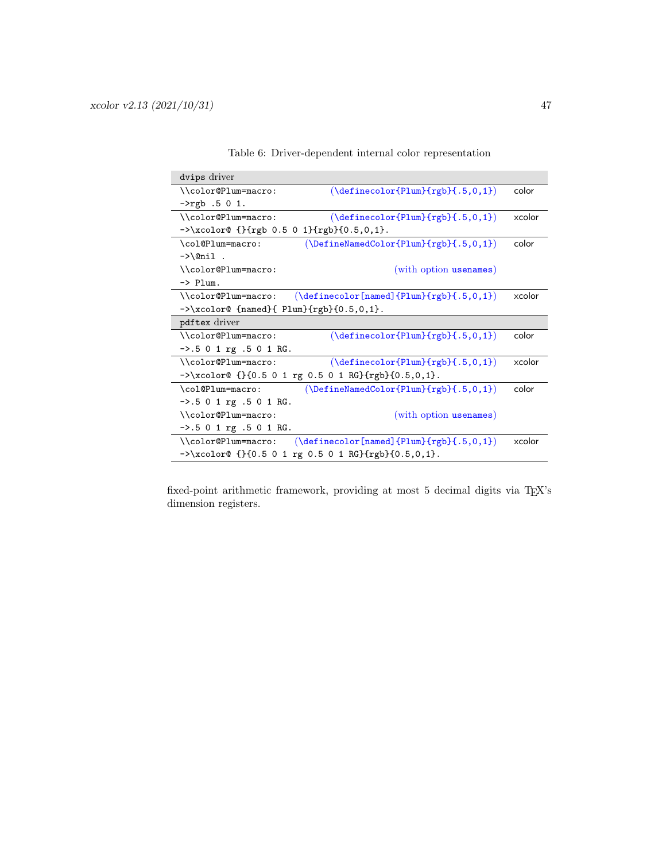| dvips driver                                                                            |                                                                                                                           |        |
|-----------------------------------------------------------------------------------------|---------------------------------------------------------------------------------------------------------------------------|--------|
| \\color@Plum=macro:                                                                     | $(\definecolor{Plum}{rgb}{.5,0,1})$                                                                                       | color  |
| $->rgb .5 0 1.$                                                                         |                                                                                                                           |        |
| \\color@Plum=macro:                                                                     | $(\definecolor{Plum}{rgb}{.5,0,1})$                                                                                       | xcolor |
| $-\lambda x \cdot 0 \cdot 0 \cdot {\text{rgb } 0.5 0 1} {\text{rgb}} \cdot 0.5, 0, 1}.$ |                                                                                                                           |        |
| \col@Plum=macro:                                                                        | $(\Delta)$ (\DefineNamedColor{Plum}{rgb}{.5,0,1})                                                                         | color  |
| $\rightarrow$ \@nil.                                                                    |                                                                                                                           |        |
| \\color@Plum=macro:                                                                     | (with option usenames)                                                                                                    |        |
| $\rightarrow$ Plum.                                                                     |                                                                                                                           |        |
| \\color@Plum=macro:                                                                     | $(\definecolor[named]{\text{Plum}}{rgb}{.5,0,1})$                                                                         | xcolor |
| $-\lambda x \cdot 0$ {named}{ Plum}{rgb}{0.5,0,1}.                                      |                                                                                                                           |        |
| pdftex driver                                                                           |                                                                                                                           |        |
| \\color@Plum=macro:                                                                     | $(\definecolor{Plum}{rgb}{.5,0,1})$                                                                                       | color  |
| $-$ >.5 0 1 rg .5 0 1 RG.                                                               |                                                                                                                           |        |
| \\color@Plum=macro:                                                                     | $(\definecolor{Plum}{rgb}{.5,0,1})$                                                                                       | xcolor |
|                                                                                         | $-\lambda x \cdot 0$ or ( $\{0.5 \ 0 \ 1 \ r g \ 0.5 \ 0 \ 1 \ R G\}$ {rgb}{0.5,0,1}.                                     |        |
| \col@Plum=macro:                                                                        | $(\Delta)$ ( $\Delta$ ) $\{rgh\}$ ( $rgh$ ) $\{.5, 0, 1\}$                                                                | color  |
| $-5.501$ rg $.501$ RG.                                                                  |                                                                                                                           |        |
| \\color@Plum=macro:                                                                     | (with option usenames)                                                                                                    |        |
| $-$ >.5 0 1 rg .5 0 1 RG.                                                               |                                                                                                                           |        |
| \\color@Plum=macro:                                                                     | $(\definecolor[named]{[Plum}{rgb}{.5,0,1})$                                                                               | xcolor |
|                                                                                         | $-\frac{\sqrt{2}}{3}$ . (1990) - $\frac{1}{6}$ . (1990) - $\frac{1}{2}$ (1990) - $\frac{1}{6}$ . (1990) - $\frac{1}{6}$ . |        |

<span id="page-46-0"></span>Table 6: Driver-dependent internal color representation

fixed-point arithmetic framework, providing at most  $5$  decimal digits via T<sub>E</sub>X's dimension registers.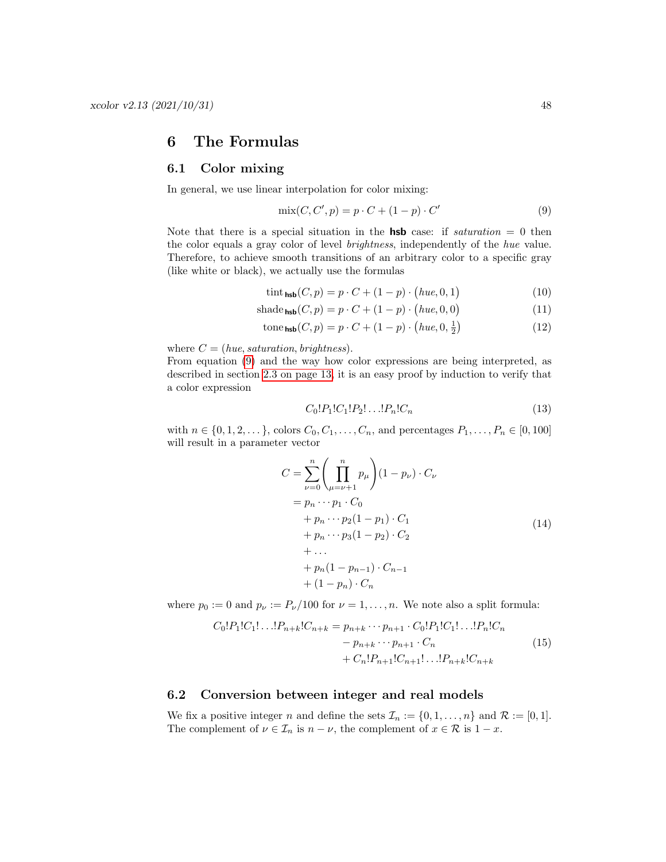### <span id="page-47-0"></span>6 The Formulas

### <span id="page-47-1"></span>6.1 Color mixing

In general, we use linear interpolation for color mixing:

<span id="page-47-3"></span>
$$
\text{mix}(C, C', p) = p \cdot C + (1 - p) \cdot C'
$$
\n<sup>(9)</sup>

Note that there is a special situation in the **hsb** case: if *saturation* = 0 then the color equals a gray color of level brightness, independently of the hue value. Therefore, to achieve smooth transitions of an arbitrary color to a specific gray (like white or black), we actually use the formulas

$$
\operatorname{tint}_{\text{hsb}}(C, p) = p \cdot C + (1 - p) \cdot \left( hue, 0, 1 \right) \tag{10}
$$

$$
\text{shade}_{\text{hsb}}(C, p) = p \cdot C + (1 - p) \cdot \left( hue, 0, 0 \right) \tag{11}
$$

$$
\text{tone}_{\text{hsb}}(C, p) = p \cdot C + (1 - p) \cdot \left( hue, 0, \frac{1}{2} \right) \tag{12}
$$

where  $C = (hue, saturation, brightness)$ .

From equation [\(9\)](#page-47-3) and the way how color expressions are being interpreted, as described in section [2.3 on page 13,](#page-12-1) it is an easy proof by induction to verify that a color expression

$$
C_0!P_1!C_1!P_2!\dots!P_n!C_n\tag{13}
$$

with  $n \in \{0, 1, 2, \dots\}$ , colors  $C_0, C_1, \dots, C_n$ , and percentages  $P_1, \dots, P_n \in [0, 100]$ will result in a parameter vector

$$
C = \sum_{\nu=0}^{n} \left( \prod_{\mu=\nu+1}^{n} p_{\mu} \right) (1 - p_{\nu}) \cdot C_{\nu}
$$
  
=  $p_n \cdots p_1 \cdot C_0$   
+  $p_n \cdots p_2 (1 - p_1) \cdot C_1$   
+  $p_n \cdots p_3 (1 - p_2) \cdot C_2$   
+ ...  
+  $p_n (1 - p_{n-1}) \cdot C_{n-1}$   
+  $(1 - p_n) \cdot C_n$  (14)

where  $p_0 := 0$  and  $p_\nu := P_\nu/100$  for  $\nu = 1, \ldots, n$ . We note also a split formula:

$$
C_0!P_1!C_1!\dots!P_{n+k}!C_{n+k} = p_{n+k}\cdots p_{n+1} \cdot C_0!P_1!C_1!\dots!P_n!C_n
$$
  

$$
- p_{n+k}\cdots p_{n+1} \cdot C_n
$$
  

$$
+ C_n!P_{n+1}!C_{n+1}!\dots!P_{n+k}!C_{n+k}
$$
  
(15)

### <span id="page-47-2"></span>6.2 Conversion between integer and real models

We fix a positive integer n and define the sets  $\mathcal{I}_n := \{0, 1, \ldots, n\}$  and  $\mathcal{R} := [0, 1].$ The complement of  $\nu \in \mathcal{I}_n$  is  $n - \nu$ , the complement of  $x \in \mathcal{R}$  is  $1 - x$ .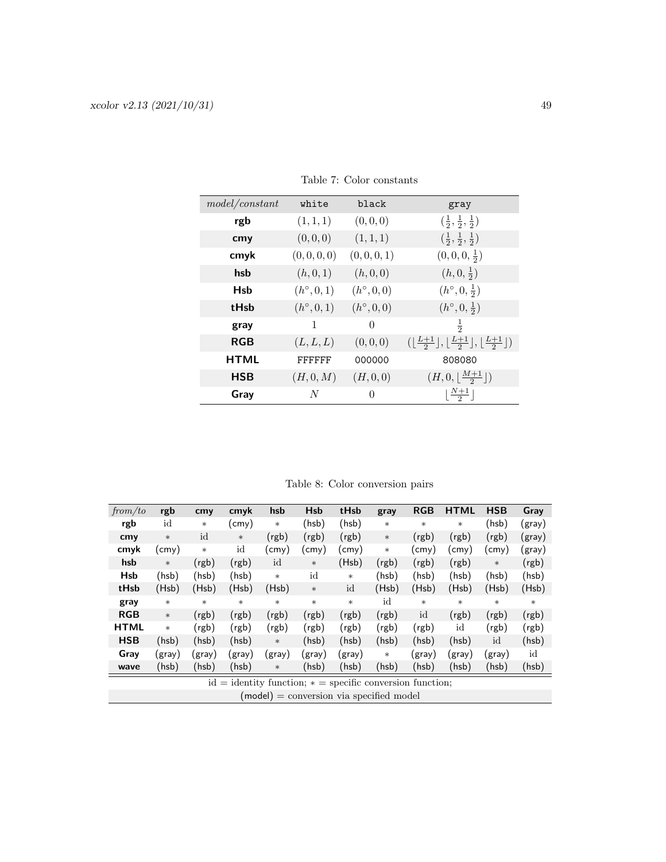| model/constant | white               | black               | gray                                                                                         |
|----------------|---------------------|---------------------|----------------------------------------------------------------------------------------------|
| rgb            | (1, 1, 1)           | (0,0,0)             | $(\frac{1}{2}, \frac{1}{2}, \frac{1}{2})$                                                    |
| cmy            | (0,0,0)             | (1, 1, 1)           | $(\frac{1}{2}, \frac{1}{2}, \frac{1}{2})$                                                    |
| cmyk           | (0, 0, 0, 0)        | (0, 0, 0, 1)        | $(0,0,0,\frac{1}{2})$                                                                        |
| hsb            | (h, 0, 1)           | (h, 0, 0)           | $(h, 0, \frac{1}{2})$                                                                        |
| <b>Hsb</b>     | $(h^{\circ}, 0, 1)$ | $(h^{\circ}, 0, 0)$ | $(h^{\circ}, 0, \frac{1}{2})$                                                                |
| tHsb           | $(h^{\circ}, 0, 1)$ | $(h^{\circ}, 0, 0)$ | $(h^{\circ}, 0, \frac{1}{2})$                                                                |
| gray           | 1                   | $\Omega$            | $\frac{1}{2}$                                                                                |
| <b>RGB</b>     | (L, L, L)           | (0,0,0)             | $(\lfloor \frac{L+1}{2}\rfloor, \lfloor \frac{L+1}{2}\rfloor, \lfloor \frac{L+1}{2}\rfloor)$ |
| <b>HTML</b>    | FFFFFF              | 000000              | 808080                                                                                       |
| <b>HSB</b>     | (H, 0, M)           | (H, 0, 0)           | $(H,0,\lfloor \frac{M+1}{2}\rfloor)$                                                         |
| Gray           | N                   | 0                   | $\lfloor \frac{N+1}{2} \rfloor$                                                              |

<span id="page-48-0"></span>Table 7: Color constants

<span id="page-48-1"></span>Table 8: Color conversion pairs

| from/to     | rgb    | cmy    | cmyk   | hsb    | <b>Hsb</b> | tHsb                                                        | gray   | <b>RGB</b>     | <b>HTML</b> | <b>HSB</b> | Gray   |
|-------------|--------|--------|--------|--------|------------|-------------------------------------------------------------|--------|----------------|-------------|------------|--------|
| rgb         | id     | $\ast$ | (cmy)  | $\ast$ | (hsb)      | (hsb)                                                       | $\ast$ | $\ast$         | $\ast$      | (hsb)      | (gray) |
| cmy         | $\ast$ | id     | $\ast$ | (rgb)  | (rgb)      | (rgb)                                                       | $\ast$ | (rgb)          | (rgb)       | (rgb)      | (gray) |
| cmyk        | (cmy)  | $\ast$ | id     | (cmy)  | (cmy)      | (cmy)                                                       | $\ast$ | $\text{cm}$ y) | (cmy)       | (cmy)      | (gray) |
| hsb         | $\ast$ | (rgb)  | (rgb)  | id     | $\ast$     | (Hsb)                                                       | (rgb)  | (rgb)          | (rgb)       | $\ast$     | (rgb)  |
| <b>Hsb</b>  | (hsb)  | (hsb)  | (hsb)  | $\ast$ | id         | $\ast$                                                      | (hsb)  | (hsb)          | (hsb)       | (hsb)      | (hsb)  |
| tHsb        | (Hsb)  | (Hsb)  | (Hsb)  | (Hsb)  | $\ast$     | id                                                          | (Hsb)  | (Hsb)          | (Hsb)       | (Hsb)      | (Hsb)  |
| gray        | $\ast$ | $\ast$ | $\ast$ | $\ast$ | $\ast$     | $\ast$                                                      | id     | $\ast$         | $\ast$      | $\ast$     | $\ast$ |
| <b>RGB</b>  | $\ast$ | (rgb)  | (rgb)  | (rgb)  | (rgb)      | (rgb)                                                       | (rgb)  | id             | (rgb)       | (rgb)      | (rgb)  |
| <b>HTML</b> | $\ast$ | (rgb)  | (rgb)  | (rgb)  | (rgb)      | (rgb)                                                       | (rgb)  | (rgb)          | id          | (rgb)      | (rgb)  |
| <b>HSB</b>  | (hsb)  | (hsb)  | (hsb)  | $\ast$ | (hsb)      | (hsb)                                                       | (hsb)  | (hsb)          | (hsb)       | id         | (hsb)  |
| Gray        | (gray) | (gray) | (gray) | (gray) | (gray)     | (gray)                                                      | $\ast$ | (gray)         | (gray)      | (gray)     | id     |
| wave        | (hsb)  | (hsb)  | (hsb)  | $\ast$ | (hsb)      | (hsb)                                                       | (hsb)  | (hsb)          | (hsb)       | (hsb)      | (hsb)  |
|             |        |        |        |        |            | $id = identity function; * = specific conversion function;$ |        |                |             |            |        |
|             |        |        |        |        |            | $(model) = conversion via specified model$                  |        |                |             |            |        |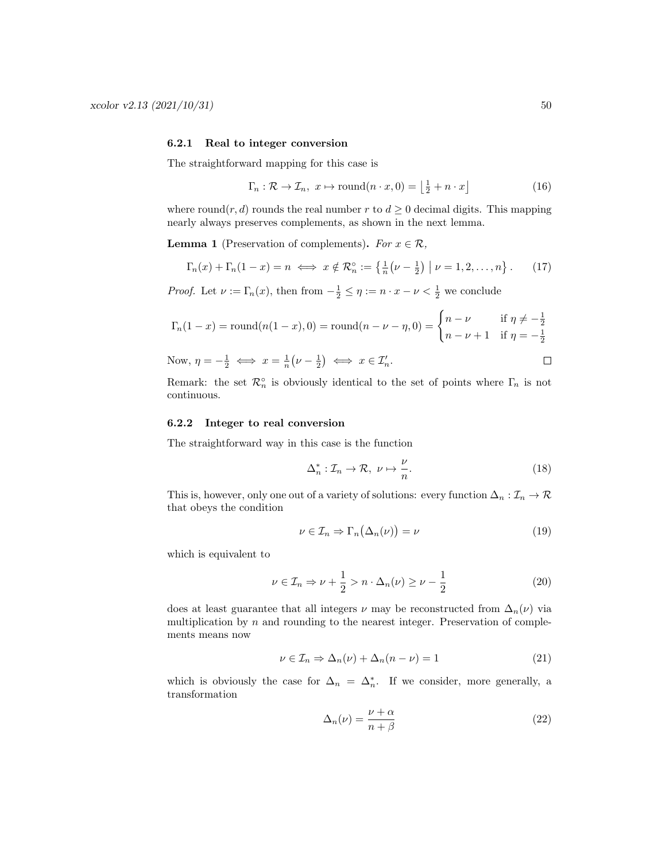### <span id="page-49-0"></span>6.2.1 Real to integer conversion

The straightforward mapping for this case is

$$
\Gamma_n : \mathcal{R} \to \mathcal{I}_n, \ x \mapsto \text{round}(n \cdot x, 0) = \left\lfloor \frac{1}{2} + n \cdot x \right\rfloor \tag{16}
$$

where round(r, d) rounds the real number r to  $d \geq 0$  decimal digits. This mapping nearly always preserves complements, as shown in the next lemma.

**Lemma 1** (Preservation of complements). For  $x \in \mathcal{R}$ ,

$$
\Gamma_n(x) + \Gamma_n(1-x) = n \iff x \notin \mathcal{R}_n^\circ := \left\{ \frac{1}{n} \left( \nu - \frac{1}{2} \right) \middle| \nu = 1, 2, \dots, n \right\}.
$$
 (17)

*Proof.* Let  $\nu := \Gamma_n(x)$ , then from  $-\frac{1}{2} \leq \eta := n \cdot x - \nu < \frac{1}{2}$  we conclude

$$
\Gamma_n(1-x) = \text{round}(n(1-x), 0) = \text{round}(n - \nu - \eta, 0) = \begin{cases} n - \nu & \text{if } \eta \neq -\frac{1}{2} \\ n - \nu + 1 & \text{if } \eta = -\frac{1}{2} \end{cases}
$$

Now, 
$$
\eta = -\frac{1}{2} \iff x = \frac{1}{n}(\nu - \frac{1}{2}) \iff x \in \mathcal{I}'_n
$$
.

Remark: the set  $\mathcal{R}_n^{\circ}$  is obviously identical to the set of points where  $\Gamma_n$  is not continuous.

### <span id="page-49-1"></span>6.2.2 Integer to real conversion

The straightforward way in this case is the function

$$
\Delta_n^* : \mathcal{I}_n \to \mathcal{R}, \ \nu \mapsto \frac{\nu}{n}.\tag{18}
$$

This is, however, only one out of a variety of solutions: every function  $\Delta_n : \mathcal{I}_n \to \mathcal{R}$ that obeys the condition

<span id="page-49-2"></span>
$$
\nu \in \mathcal{I}_n \Rightarrow \Gamma_n(\Delta_n(\nu)) = \nu \tag{19}
$$

which is equivalent to

$$
\nu \in \mathcal{I}_n \Rightarrow \nu + \frac{1}{2} > n \cdot \Delta_n(\nu) \ge \nu - \frac{1}{2}
$$
 (20)

does at least guarantee that all integers  $\nu$  may be reconstructed from  $\Delta_n(\nu)$  via multiplication by  $n$  and rounding to the nearest integer. Preservation of complements means now

$$
\nu \in \mathcal{I}_n \Rightarrow \Delta_n(\nu) + \Delta_n(n - \nu) = 1 \tag{21}
$$

which is obviously the case for  $\Delta_n = \Delta_n^*$ . If we consider, more generally, a transformation

$$
\Delta_n(\nu) = \frac{\nu + \alpha}{n + \beta} \tag{22}
$$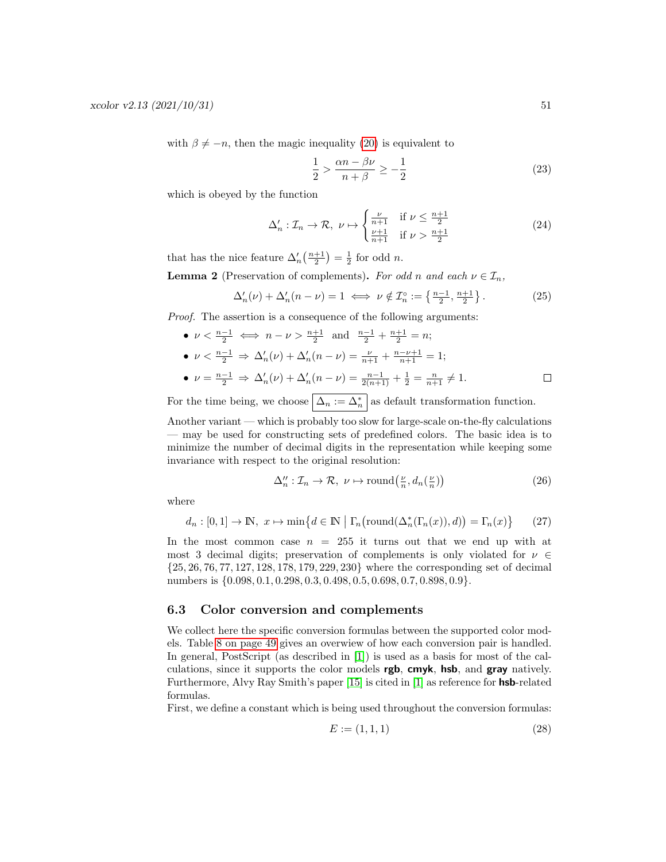with  $\beta \neq -n$ , then the magic inequality [\(20\)](#page-49-2) is equivalent to

$$
\frac{1}{2} > \frac{\alpha n - \beta \nu}{n + \beta} \ge -\frac{1}{2} \tag{23}
$$

which is obeyed by the function

$$
\Delta'_n: \mathcal{I}_n \to \mathcal{R}, \ \nu \mapsto \begin{cases} \frac{\nu}{n+1} & \text{if } \nu \le \frac{n+1}{2} \\ \frac{\nu+1}{n+1} & \text{if } \nu > \frac{n+1}{2} \end{cases} \tag{24}
$$

that has the nice feature  $\Delta'_n\left(\frac{n+1}{2}\right) = \frac{1}{2}$  for odd *n*.

**Lemma 2** (Preservation of complements). For odd n and each  $\nu \in \mathcal{I}_n$ ,

$$
\Delta'_n(\nu) + \Delta'_n(n-\nu) = 1 \iff \nu \notin \mathcal{I}_n^\circ := \left\{ \frac{n-1}{2}, \frac{n+1}{2} \right\}. \tag{25}
$$

Proof. The assertion is a consequence of the following arguments:

- $\nu < \frac{n-1}{2} \iff n \nu > \frac{n+1}{2}$  and  $\frac{n-1}{2} + \frac{n+1}{2} = n$ ; •  $\nu < \frac{n-1}{2} \Rightarrow \Delta'_n(\nu) + \Delta'_n(n-\nu) = \frac{\nu}{n+1} + \frac{n-\nu+1}{n+1} = 1;$
- $\nu = \frac{n-1}{2} \Rightarrow \Delta'_n(\nu) + \Delta'_n(n-\nu) = \frac{n-1}{2(n+1)} + \frac{1}{2} = \frac{n}{n+1} \neq 1.$  $\Box$

For the time being, we choose  $\left|\Delta_n := \Delta_n^*\right|$  as default transformation function.

Another variant — which is probably too slow for large-scale on-the-fly calculations — may be used for constructing sets of predefined colors. The basic idea is to minimize the number of decimal digits in the representation while keeping some invariance with respect to the original resolution:

$$
\Delta_n'' : \mathcal{I}_n \to \mathcal{R}, \ \nu \mapsto \text{round}\left(\frac{\nu}{n}, d_n\left(\frac{\nu}{n}\right)\right) \tag{26}
$$

where

$$
d_n: [0,1] \to \mathbb{N}, \ x \mapsto \min\{d \in \mathbb{N} \mid \Gamma_n(\text{round}(\Delta_n^*(\Gamma_n(x)), d)) = \Gamma_n(x)\} \tag{27}
$$

In the most common case  $n = 255$  it turns out that we end up with at most 3 decimal digits; preservation of complements is only violated for  $\nu \in$ {25, 26, 76, 77, 127, 128, 178, 179, 229, 230} where the corresponding set of decimal numbers is  $\{0.098, 0.1, 0.298, 0.3, 0.498, 0.5, 0.698, 0.7, 0.898, 0.9\}.$ 

### <span id="page-50-0"></span>6.3 Color conversion and complements

We collect here the specific conversion formulas between the supported color models. Table [8 on page 49](#page-48-1) gives an overwiew of how each conversion pair is handled. In general, PostScript (as described in [\[1\]](#page-61-4)) is used as a basis for most of the calculations, since it supports the color models **rgb, cmyk, hsb,** and **gray** natively. Furthermore, Alvy Ray Smith's paper [\[15\]](#page-61-1) is cited in [\[1\]](#page-61-4) as reference for hsb-related formulas.

First, we define a constant which is being used throughout the conversion formulas:

$$
E := (1, 1, 1) \tag{28}
$$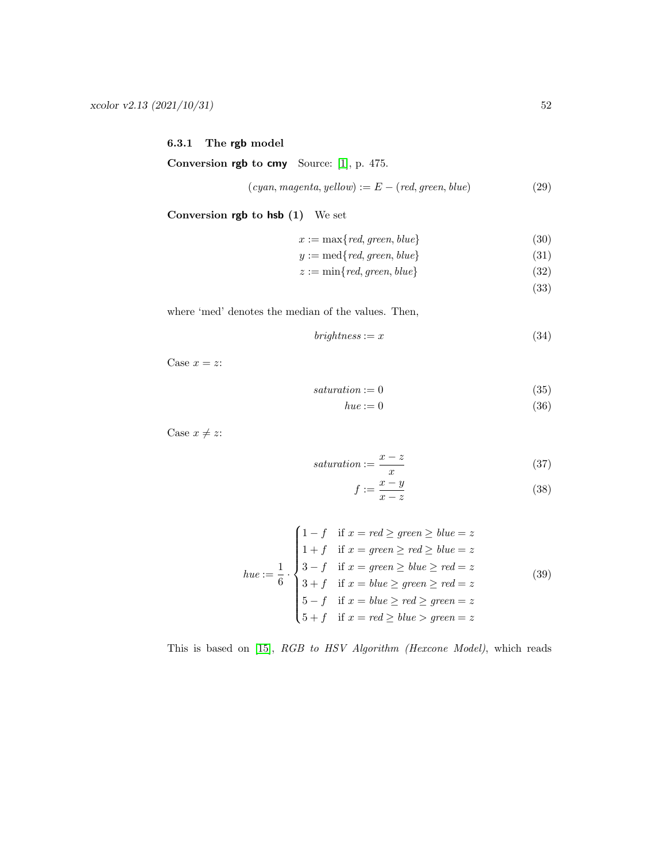### <span id="page-51-0"></span>6.3.1 The rgb model

<span id="page-51-2"></span>Conversion rgb to cmy Source: [\[1\]](#page-61-4), p. 475.

$$
(cyan, magenta, yellow) := E - (red, green, blue)
$$
\n
$$
(29)
$$

Conversion rgb to hsb (1) We set

 $x := \max\{red, green, blue\}$  (30)

$$
y := \text{med}\lbrace \text{red}, \text{green}, \text{blue}\rbrace \tag{31}
$$

$$
z := \min\{red, green, blue\} \tag{32}
$$

(33)

where 'med' denotes the median of the values. Then,

$$
brightness := x \tag{34}
$$

Case  $x = z$ :

 $saturation := 0$  (35)

$$
hue := 0 \tag{36}
$$

Case  $x \neq z$ :

$$
saturation := \frac{x - z}{x} \tag{37}
$$

<span id="page-51-1"></span>
$$
f := \frac{x - y}{x - z} \tag{38}
$$

$$
hue := \frac{1}{6} \cdot \begin{cases} 1 - f & \text{if } x = red \ge green \ge blue = z \\ 1 + f & \text{if } x = green \ge red \ge blue = z \\ 3 - f & \text{if } x = green \ge blue \ge red = z \\ 3 + f & \text{if } x = blue \ge green \ge red = z \\ 5 - f & \text{if } x = blue \ge red \ge green = z \\ 5 + f & \text{if } x = red \ge blue > green = z \end{cases} \tag{39}
$$

This is based on [\[15\]](#page-61-1), RGB to HSV Algorithm (Hexcone Model), which reads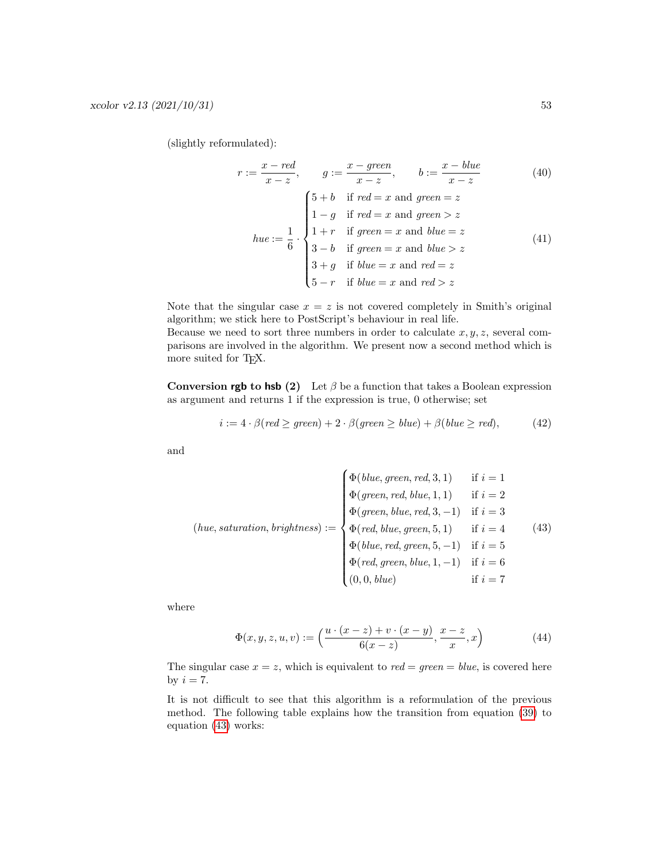(slightly reformulated):

$$
r := \frac{x - red}{x - z}, \qquad g := \frac{x - green}{x - z}, \qquad b := \frac{x - blue}{x - z}
$$
(40)  

$$
\begin{cases} 5 + b & \text{if } red = x \text{ and green} = z \\ 1 - g & \text{if } red = x \text{ and green} > z \end{cases}
$$
  
have :=  $\frac{1}{6}$ .  

$$
\begin{cases} 1 + r & \text{if } green = x \text{ and blue} = z \\ 3 - b & \text{if } green = x \text{ and blue} > z \\ 3 + g & \text{if blue} = x \text{ and red} = z \\ 5 - r & \text{if blue} = x \text{ and red} > z \end{cases}
$$
(41)

Note that the singular case  $x = z$  is not covered completely in Smith's original algorithm; we stick here to PostScript's behaviour in real life.

Because we need to sort three numbers in order to calculate  $x, y, z$ , several comparisons are involved in the algorithm. We present now a second method which is more suited for TEX.

Conversion rgb to hsb (2) Let  $\beta$  be a function that takes a Boolean expression as argument and returns 1 if the expression is true, 0 otherwise; set

$$
i := 4 \cdot \beta (red \ge green) + 2 \cdot \beta (green \ge blue) + \beta (blue \ge red), \tag{42}
$$

and

$$
(hue, saturation, brightness) := \begin{cases} \Phi(blue, green, red, 3, 1) & \text{if } i = 1 \\ \Phi(green, red, blue, 1, 1) & \text{if } i = 2 \\ \Phi(green, blue, red, 3, -1) & \text{if } i = 3 \\ \Phi(\text{red, blue, green, 5, 1}) & \text{if } i = 4 \\ \Phi(blue, red, green, 5, -1) & \text{if } i = 5 \\ \Phi(\text{red, green, blue, 1, -1}) & \text{if } i = 6 \\ (0, 0, blue) & \text{if } i = 7 \end{cases}
$$
(43)

where

<span id="page-52-0"></span>
$$
\Phi(x, y, z, u, v) := \left(\frac{u \cdot (x - z) + v \cdot (x - y)}{6(x - z)}, \frac{x - z}{x}, x\right)
$$
(44)

The singular case  $x = z$ , which is equivalent to  $red = green = blue$ , is covered here by  $i = 7$ .

It is not difficult to see that this algorithm is a reformulation of the previous method. The following table explains how the transition from equation [\(39\)](#page-51-1) to equation [\(43\)](#page-52-0) works: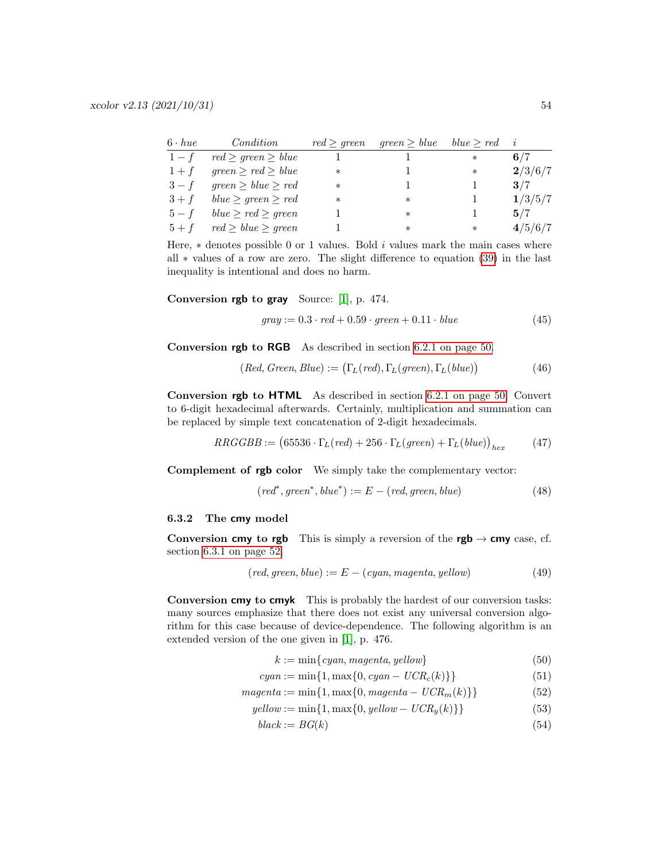| $6 \cdot hue$ | Condition                | red > green | $green \geq blue$ | blue > red | j,      |
|---------------|--------------------------|-------------|-------------------|------------|---------|
| $1-f$         | $red \ge green \ge blue$ |             |                   | $\ast$     | 6/7     |
| $1+f$         | $green \ge red \ge blue$ | $\ast$      |                   | $\ast$     | 2/3/6/7 |
| $3-f$         | $green \ge blue \ge red$ | $\ast$      |                   |            | 3/7     |
| $3+f$         | $blue \ge green \ge red$ | $\ast$      | $\ast$            |            | 1/3/5/7 |
| $5-f$         | $blue \ge red \ge green$ |             | $\ast$            |            | 5/7     |
| $5 + f$       | $red \ge blue \ge green$ |             | $^\ast$           | $\ast$     | 4/5/6/7 |

Here,  $*$  denotes possible 0 or 1 values. Bold i values mark the main cases where all ∗ values of a row are zero. The slight difference to equation [\(39\)](#page-51-1) in the last inequality is intentional and does no harm.

Conversion rgb to gray Source: [\[1\]](#page-61-4), p. 474.

$$
gray := 0.3 \cdot red + 0.59 \cdot green + 0.11 \cdot blue \tag{45}
$$

Conversion rgb to RGB As described in section [6.2.1 on page 50.](#page-49-0)

$$
(Red, Green, Blue) := (\Gamma_L (red), \Gamma_L (green), \Gamma_L (blue)) \tag{46}
$$

Conversion rgb to HTML As described in section [6.2.1 on page 50.](#page-49-0) Convert to 6-digit hexadecimal afterwards. Certainly, multiplication and summation can be replaced by simple text concatenation of 2-digit hexadecimals.

$$
RRGGBB := (65536 \cdot \Gamma_L (red) + 256 \cdot \Gamma_L (green) + \Gamma_L (blue))_{hex}
$$
 (47)

Complement of rgb color We simply take the complementary vector:

$$
(red^*, green^*, blue^*) := E - (red, green, blue)
$$
\n
$$
(48)
$$

#### <span id="page-53-0"></span>6.3.2 The cmy model

Conversion cmy to rgb This is simply a reversion of the rgb  $\rightarrow$  cmy case, cf. section [6.3.1 on page 52.](#page-51-2)

$$
(red, green, blue) := E - (cyan, magenta, yellow)
$$
\n
$$
(49)
$$

<span id="page-53-1"></span>Conversion cmy to cmyk This is probably the hardest of our conversion tasks: many sources emphasize that there does not exist any universal conversion algorithm for this case because of device-dependence. The following algorithm is an extended version of the one given in [\[1\]](#page-61-4), p. 476.

$$
k := \min\{cyan, magenta, yellow\} \tag{50}
$$

$$
cyan := \min\{1, \max\{0, cyan - UCR_c(k)\}\}\tag{51}
$$

$$
magenta := \min\{1, \max\{0, \text{magenta} - UCR_m(k)\}\}\tag{52}
$$

$$
yellow := \min\{1, \max\{0, yellow - UCR_y(k)\}\}\tag{53}
$$

$$
black := BG(k) \tag{54}
$$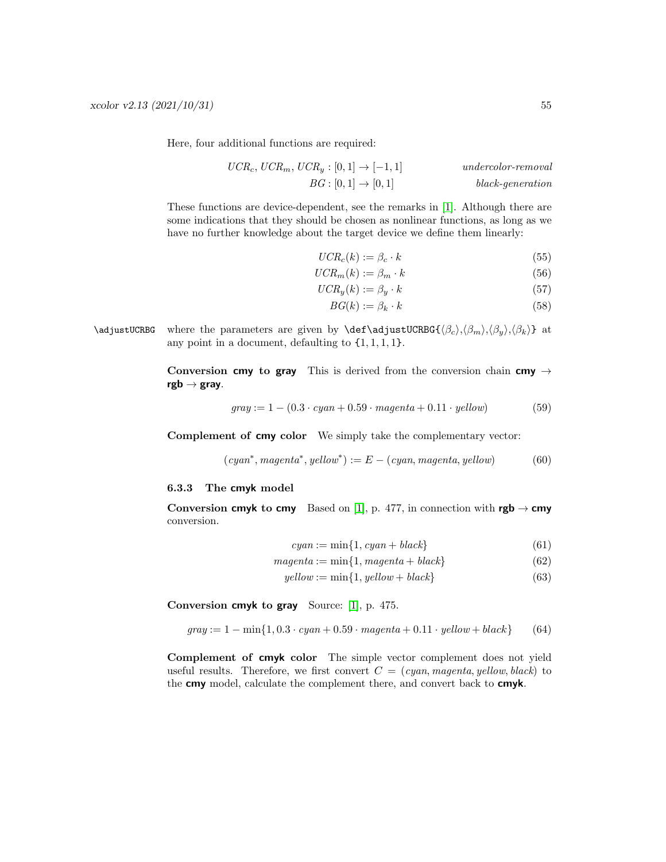Here, four additional functions are required:

$$
UCR_c, \, UCR_m, \, UCR_y : [0, 1] \rightarrow [-1, 1] \qquad \qquad undercolor-removalBG : [0, 1] \rightarrow [0, 1] \qquad \qquad black-generation
$$

These functions are device-dependent, see the remarks in [\[1\]](#page-61-4). Although there are some indications that they should be chosen as nonlinear functions, as long as we have no further knowledge about the target device we define them linearly:

$$
UCR_c(k) := \beta_c \cdot k \tag{55}
$$

$$
UCR_m(k) := \beta_m \cdot k \tag{56}
$$

$$
UCR_y(k) := \beta_y \cdot k \tag{57}
$$

$$
BG(k) := \beta_k \cdot k \tag{58}
$$

\adjustUCRBG where the parameters are given by \def\adjustUCRBG{ $\langle \beta_c \rangle$ , $\langle \beta_w \rangle$ , $\langle \beta_k \rangle$ } at any point in a document, defaulting to  $\{1, 1, 1, 1\}$ .

> Conversion cmy to gray This is derived from the conversion chain cmy  $\rightarrow$  $rgb \rightarrow gray.$

$$
gray := 1 - (0.3 \cdot cyan + 0.59 \cdot magenta + 0.11 \cdot yellow)
$$
 (59)

Complement of cmy color We simply take the complementary vector:

$$
(cyan*, magenta*, yellow*) := E - (cyan, magenta, yellow)
$$
 (60)

#### <span id="page-54-0"></span>6.3.3 The cmyk model

Conversion cmyk to cmy Based on [\[1\]](#page-61-4), p. 477, in connection with  $rgb \rightarrow cmy$ conversion.

$$
cyan := \min\{1, cyan + black\} \tag{61}
$$

$$
magenta := \min\{1, magenta + black\} \tag{62}
$$

$$
yellow := \min\{1, yellow + black\}
$$
\n(63)

Conversion cmyk to gray Source: [\[1\]](#page-61-4), p. 475.

$$
gray := 1 - \min\{1, 0.3 \cdot cyan + 0.59 \cdot magenta + 0.11 \cdot yellow + black\}
$$
 (64)

Complement of cmyk color The simple vector complement does not yield useful results. Therefore, we first convert  $C = (cyan, magenta, yellow, black)$  to the cmy model, calculate the complement there, and convert back to cmyk.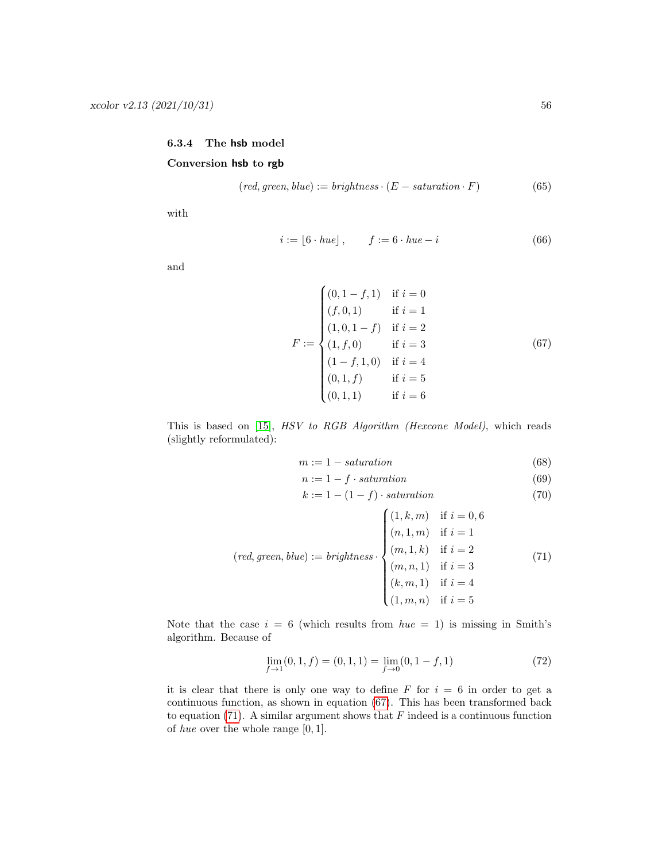### <span id="page-55-0"></span>6.3.4 The hsb model Conversion hsb to rgb

$$
(red, green, blue) := brightness \cdot (E - saturation \cdot F) \tag{65}
$$

with

$$
i := |6 \cdot hue|, \qquad f := 6 \cdot hue - i \tag{66}
$$

and

$$
F := \begin{cases} (0, 1 - f, 1) & \text{if } i = 0 \\ (f, 0, 1) & \text{if } i = 1 \\ (1, 0, 1 - f) & \text{if } i = 2 \\ (1, f, 0) & \text{if } i = 3 \\ (1 - f, 1, 0) & \text{if } i = 4 \\ (0, 1, f) & \text{if } i = 5 \\ (0, 1, 1) & \text{if } i = 6 \end{cases}
$$
(67)

This is based on [\[15\]](#page-61-1), HSV to RGB Algorithm (Hexcone Model), which reads (slightly reformulated):

<span id="page-55-1"></span> $\overline{\phantom{a}}$ 

$$
m := 1 - saturation \tag{68}
$$

$$
n := 1 - f \cdot saturation \tag{69}
$$

<span id="page-55-2"></span>
$$
k := 1 - (1 - f) \cdot saturation \tag{70}
$$

$$
(red, green, blue) := brightness \cdot \begin{cases} (1, k, m) & \text{if } i = 0, 6 \\ (n, 1, m) & \text{if } i = 1 \\ (m, 1, k) & \text{if } i = 2 \\ (m, n, 1) & \text{if } i = 3 \\ (k, m, 1) & \text{if } i = 4 \\ (1, m, n) & \text{if } i = 5 \end{cases} \tag{71}
$$

Note that the case  $i = 6$  (which results from  $hue = 1$ ) is missing in Smith's algorithm. Because of

$$
\lim_{f \to 1} (0, 1, f) = (0, 1, 1) = \lim_{f \to 0} (0, 1 - f, 1)
$$
\n(72)

it is clear that there is only one way to define  $F$  for  $i = 6$  in order to get a continuous function, as shown in equation [\(67\)](#page-55-1). This has been transformed back to equation [\(71\)](#page-55-2). A similar argument shows that  $F$  indeed is a continuous function of hue over the whole range  $[0, 1]$ .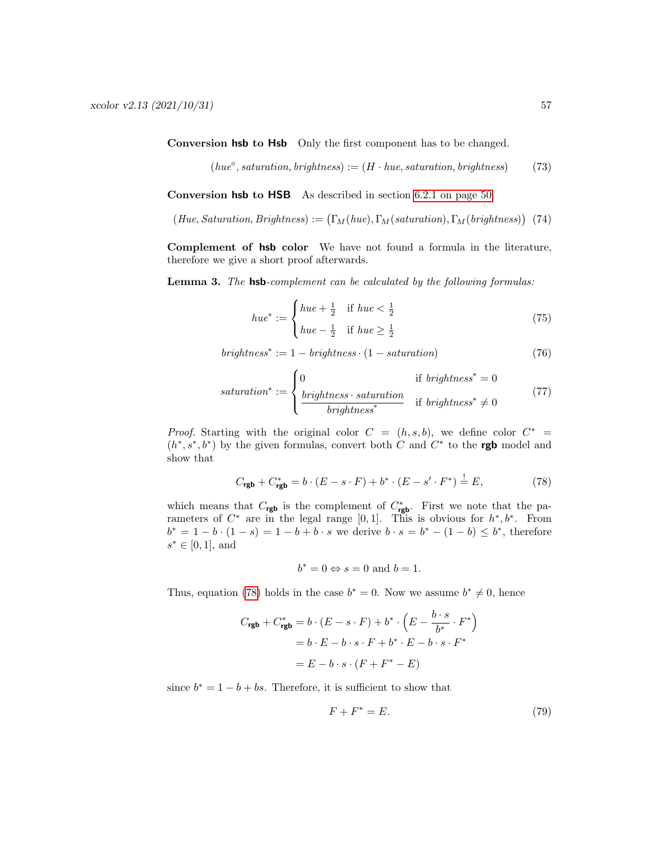Conversion hsb to Hsb Only the first component has to be changed.

$$
(hue^{\circ}, saturation, brightness) := (H \cdot hue, saturation, brightness)
$$
 (73)

Conversion hsb to HSB As described in section [6.2.1 on page 50.](#page-49-0)

$$
(Hue, Saturation, Brightness) := (\Gamma_M(hue), \Gamma_M(saturation), \Gamma_M(brightness)) \tag{74}
$$

Complement of hsb color We have not found a formula in the literature, therefore we give a short proof afterwards.

Lemma 3. The hsb-complement can be calculated by the following formulas:

$$
hue^* := \begin{cases} hue + \frac{1}{2} & \text{if } hue < \frac{1}{2} \\ hue - \frac{1}{2} & \text{if } hue \ge \frac{1}{2} \end{cases}
$$
(75)

$$
brightness^* := 1 - brightness \cdot (1 - saturation)
$$
\n(76)

$$
saturation^* := \begin{cases} 0 & \text{if } brightness^* = 0\\ \frac{brightness \cdot saturation}{brightness^*} & \text{if } brightness^* \neq 0 \end{cases}
$$
(77)

*Proof.* Starting with the original color  $C = (h, s, b)$ , we define color  $C^* =$  $(h^*, s^*, b^*)$  by the given formulas, convert both C and C<sup>\*</sup> to the **rgb** model and show that

$$
C_{\text{rgb}} + C_{\text{rgb}}^{*} = b \cdot (E - s \cdot F) + b^{*} \cdot (E - s' \cdot F^{*}) \stackrel{!}{=} E,
$$
\n(78)

which means that  $C_{\text{rgb}}$  is the complement of  $C_{\text{rgb}}^*$ . First we note that the parameters of  $C^*$  are in the legal range [0,1]. This is obvious for  $h^*, b^*$ . From  $b^* = 1 - b \cdot (1 - s) = 1 - b + b \cdot s$  we derive  $b \cdot s = b^* - (1 - b) \leq b^*$ , therefore  $s^* \in [0, 1]$ , and

<span id="page-56-0"></span>
$$
b^* = 0 \Leftrightarrow s = 0
$$
 and  $b = 1$ .

Thus, equation [\(78\)](#page-56-0) holds in the case  $b^* = 0$ . Now we assume  $b^* \neq 0$ , hence

$$
C_{\text{rgb}} + C_{\text{rgb}}^{*} = b \cdot (E - s \cdot F) + b^{*} \cdot \left(E - \frac{b \cdot s}{b^{*}} \cdot F^{*}\right)
$$

$$
= b \cdot E - b \cdot s \cdot F + b^{*} \cdot E - b \cdot s \cdot F^{*}
$$

$$
= E - b \cdot s \cdot (F + F^{*} - E)
$$

since  $b^* = 1 - b + bs$ . Therefore, it is sufficient to show that

<span id="page-56-1"></span>
$$
F + F^* = E. \tag{79}
$$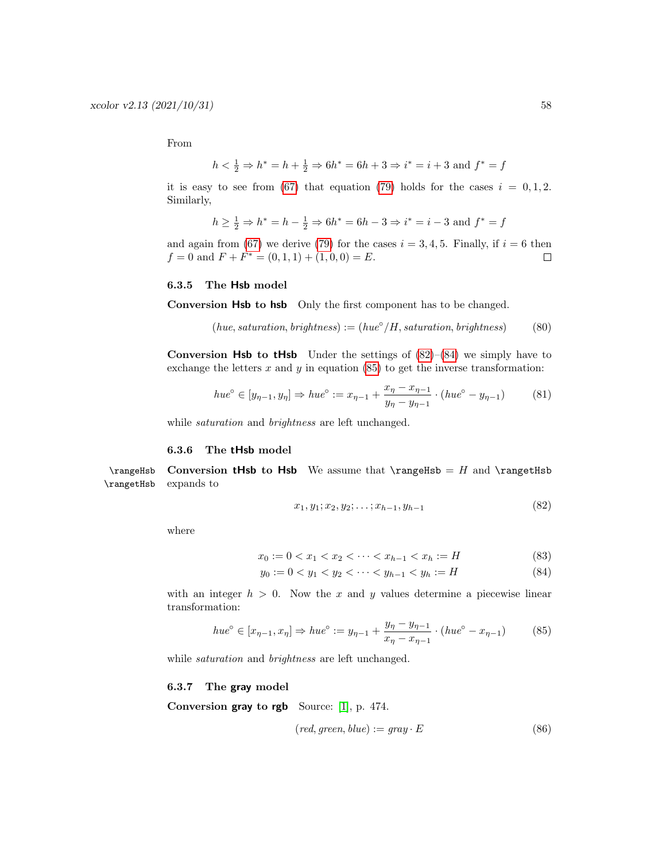From

$$
h < \frac{1}{2} \Rightarrow h^* = h + \frac{1}{2} \Rightarrow 6h^* = 6h + 3 \Rightarrow i^* = i + 3
$$
 and  $f^* = f$ 

it is easy to see from [\(67\)](#page-55-1) that equation [\(79\)](#page-56-1) holds for the cases  $i = 0, 1, 2$ . Similarly,

$$
h\geq \frac{1}{2} \Rightarrow h^*=h-\frac{1}{2} \Rightarrow 6h^*=6h-3 \Rightarrow i^*=i-3
$$
 and  $f^*=f$ 

and again from [\(67\)](#page-55-1) we derive [\(79\)](#page-56-1) for the cases  $i = 3, 4, 5$ . Finally, if  $i = 6$  then  $f = 0$  and  $F + F^* = (0, 1, 1) + (1, 0, 0) = E$ .  $\Box$ 

#### <span id="page-57-0"></span>6.3.5 The Hsb model

Conversion Hsb to hsb Only the first component has to be changed.

$$
(hue, saturation, brightness) := (hue^{\circ}/H, saturation, brightness)
$$
 (80)

**Conversion Hsb to tHsb** Under the settings of  $(82)$ – $(84)$  we simply have to exchange the letters  $x$  and  $y$  in equation [\(85\)](#page-57-6) to get the inverse transformation:

$$
hue^{\circ} \in [y_{\eta-1}, y_{\eta}] \Rightarrow hue^{\circ} := x_{\eta-1} + \frac{x_{\eta} - x_{\eta-1}}{y_{\eta} - y_{\eta-1}} \cdot (hue^{\circ} - y_{\eta-1})
$$
(81)

while *saturation* and *brightness* are left unchanged.

#### <span id="page-57-3"></span><span id="page-57-1"></span>6.3.6 The tHsb model

\rangeHsb Conversion tHsb to Hsb We assume that \rangeHsb = H and \rangetHsb \rangetHsb expands to

<span id="page-57-5"></span><span id="page-57-4"></span>
$$
x_1, y_1; x_2, y_2; \dots; x_{h-1}, y_{h-1} \tag{82}
$$

where

$$
x_0 := 0 < x_1 < x_2 < \dots < x_{h-1} < x_h := H \tag{83}
$$

$$
y_0 := 0 < y_1 < y_2 < \dots < y_{h-1} < y_h := H \tag{84}
$$

with an integer  $h > 0$ . Now the x and y values determine a piecewise linear transformation:

$$
hue^{\circ} \in [x_{\eta-1}, x_{\eta}] \Rightarrow hue^{\circ} := y_{\eta-1} + \frac{y_{\eta} - y_{\eta-1}}{x_{\eta} - x_{\eta-1}} \cdot (hue^{\circ} - x_{\eta-1})
$$
(85)

while saturation and brightness are left unchanged.

#### <span id="page-57-2"></span>6.3.7 The gray model

Conversion gray to rgb Source: [\[1\]](#page-61-4), p. 474.

<span id="page-57-6"></span>
$$
(red, green, blue) := gray \cdot E \tag{86}
$$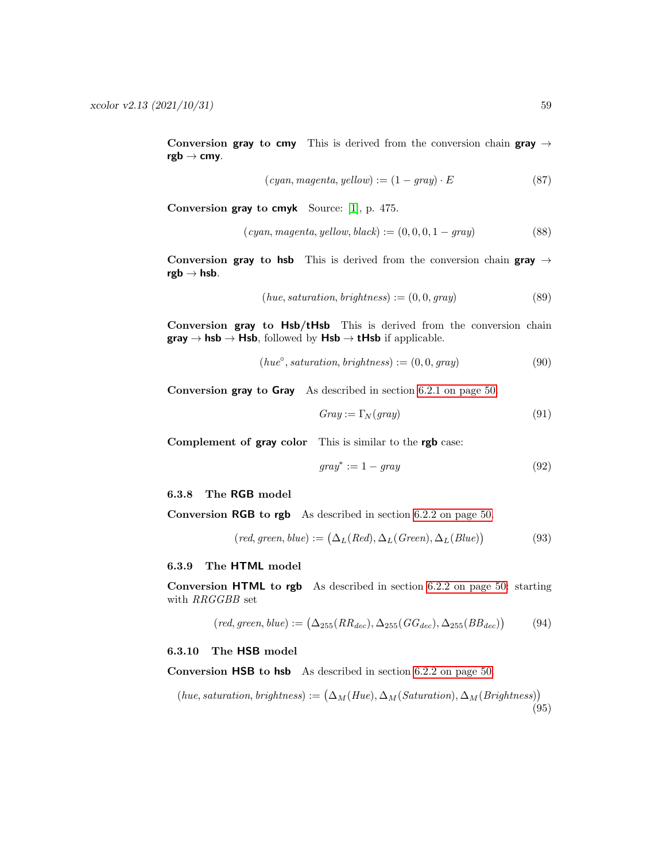Conversion gray to cmy This is derived from the conversion chain gray  $\rightarrow$  $rgb \rightarrow cmy.$ 

$$
(cyan, magenta, yellow) := (1 - gray) \cdot E \tag{87}
$$

Conversion gray to cmyk Source: [\[1\]](#page-61-4), p. 475.

$$
(cyan, magenta, yellow, black) := (0, 0, 0, 1 - gray)
$$
\n
$$
(88)
$$

Conversion gray to hsb This is derived from the conversion chain gray  $\rightarrow$  $rgb \rightarrow hsb.$ 

$$
(hue, saturation, brightness) := (0, 0, gray)
$$
\n
$$
(89)
$$

Conversion gray to Hsb/tHsb This is derived from the conversion chain  $gray \rightarrow hsb \rightarrow Hsb$ , followed by  $Hsb \rightarrow tHsb$  if applicable.

$$
(hue^{\circ}, saturation, brightness) := (0, 0, gray)
$$
\n
$$
(90)
$$

Conversion gray to Gray As described in section [6.2.1 on page 50.](#page-49-0)

$$
Gray := \Gamma_N(gray) \tag{91}
$$

Complement of gray color This is similar to the rgb case:

$$
gray^* := 1 - gray \tag{92}
$$

<span id="page-58-0"></span>6.3.8 The RGB model

Conversion RGB to rgb As described in section [6.2.2 on page 50.](#page-49-1)

$$
(red, green, blue) := (\Delta_L (Red), \Delta_L (Green), \Delta_L (Blue))
$$
\n(93)

### <span id="page-58-1"></span>6.3.9 The HTML model

Conversion HTML to rgb As described in section [6.2.2 on page 50:](#page-49-1) starting with RRGGBB set

$$
(\text{red}, \text{green}, \text{blue}) := (\Delta_{255}(RR_{dec}), \Delta_{255}(GG_{dec}), \Delta_{255}(BB_{dec})) \tag{94}
$$

#### <span id="page-58-2"></span>6.3.10 The HSB model

Conversion HSB to hsb As described in section [6.2.2 on page 50.](#page-49-1)

(hue, saturation, brightness) := 
$$
(\Delta_M(Hue), \Delta_M(Saturation), \Delta_M(Brightness))
$$
 (95)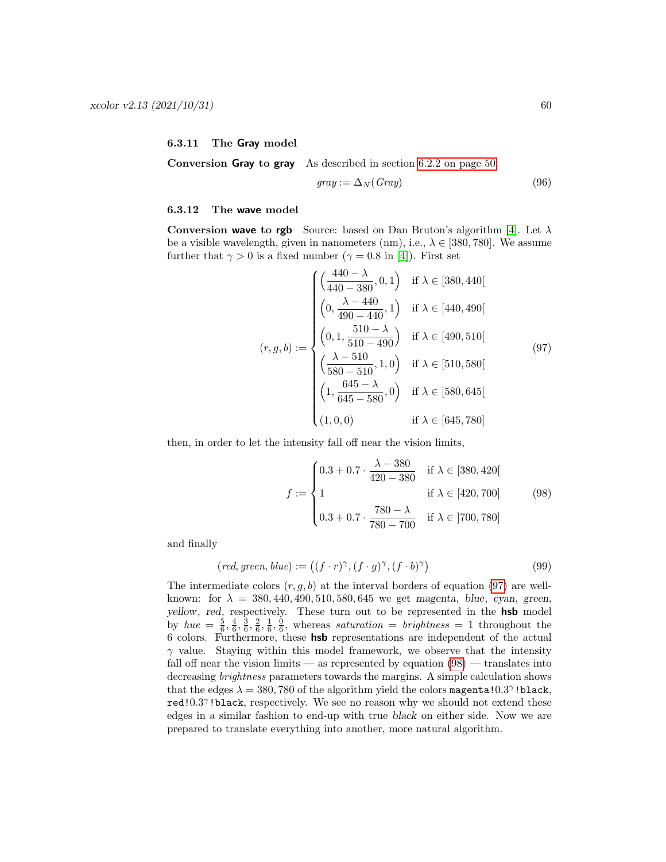### <span id="page-59-0"></span>6.3.11 The Gray model

Conversion Gray to gray As described in section [6.2.2 on page 50.](#page-49-1)

<span id="page-59-2"></span>
$$
gray := \Delta_N(Gray) \tag{96}
$$

#### <span id="page-59-1"></span>6.3.12 The wave model

Conversion wave to rgb Source: based on Dan Bruton's algorithm [\[4\]](#page-61-13). Let  $\lambda$ be a visible wavelength, given in nanometers (nm), i.e.,  $\lambda \in [380, 780]$ . We assume further that  $\gamma > 0$  is a fixed number ( $\gamma = 0.8$  in [\[4\]](#page-61-13)). First set

$$
(r, g, b) := \begin{cases} \left(\frac{440 - \lambda}{440 - 380}, 0, 1\right) & \text{if } \lambda \in [380, 440[\\ \left(0, \frac{\lambda - 440}{490 - 440}, 1\right) & \text{if } \lambda \in [440, 490[\\ \left(0, 1, \frac{510 - \lambda}{510 - 490}\right) & \text{if } \lambda \in [490, 510[\\ \left(\frac{\lambda - 510}{580 - 510}, 1, 0\right) & \text{if } \lambda \in [510, 580[\\ \left(1, \frac{645 - \lambda}{645 - 580}, 0\right) & \text{if } \lambda \in [580, 645[\\ \left(1, 0, 0\right) & \text{if } \lambda \in [645, 780] \end{cases}
$$

then, in order to let the intensity fall off near the vision limits,

<span id="page-59-3"></span>
$$
f := \begin{cases} 0.3 + 0.7 \cdot \frac{\lambda - 380}{420 - 380} & \text{if } \lambda \in [380, 420[ \\ 1 & \text{if } \lambda \in [420, 700] \\ 0.3 + 0.7 \cdot \frac{780 - \lambda}{780 - 700} & \text{if } \lambda \in [700, 780] \end{cases}
$$
(98)

and finally

$$
(\text{red}, \text{green}, \text{blue}) := ((f \cdot r)^{\gamma}, (f \cdot g)^{\gamma}, (f \cdot b)^{\gamma}) \tag{99}
$$

The intermediate colors  $(r, g, b)$  at the interval borders of equation [\(97\)](#page-59-2) are wellknown: for  $\lambda = 380, 440, 490, 510, 580, 645$  we get magenta, blue, cyan, green, yellow, red, respectively. These turn out to be represented in the **hsb** model by  $hue = \frac{5}{6}, \frac{4}{6}, \frac{3}{6}, \frac{2}{6}, \frac{1}{6}, \frac{0}{6}$ , whereas saturation = brightness = 1 throughout the 6 colors. Furthermore, these hsb representations are independent of the actual  $\gamma$  value. Staying within this model framework, we observe that the intensity fall off near the vision limits — as represented by equation  $(98)$  — translates into decreasing brightness parameters towards the margins. A simple calculation shows that the edges  $\lambda = 380, 780$  of the algorithm yield the colors magenta! $0.3^{\gamma}$ !black, red!0.3<sup>7</sup>!black, respectively. We see no reason why we should not extend these edges in a similar fashion to end-up with true black on either side. Now we are prepared to translate everything into another, more natural algorithm.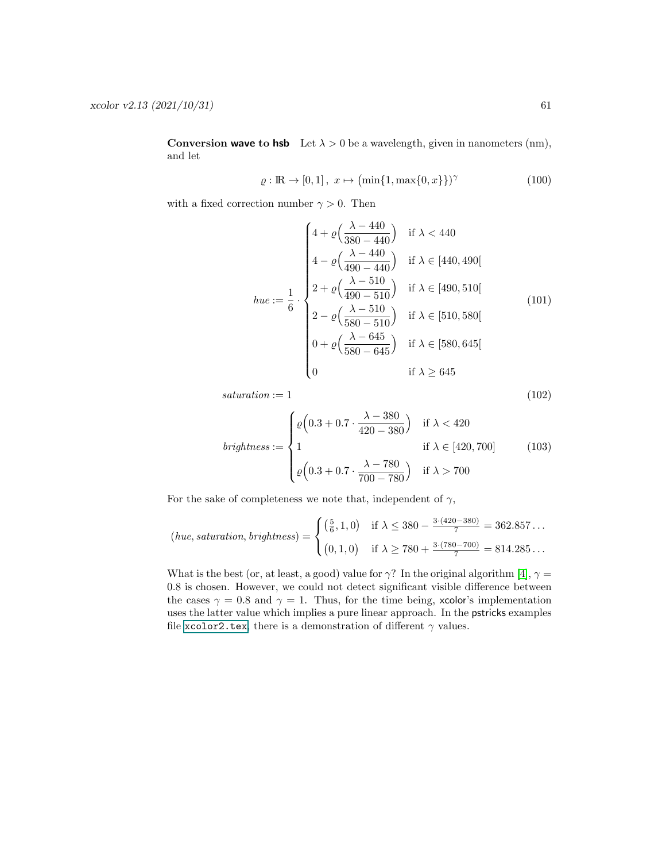**Conversion wave to hsb** Let  $\lambda > 0$  be a wavelength, given in nanometers (nm), and let

$$
\varrho : \mathbb{R} \to [0, 1], \ x \mapsto \left( \min\{1, \max\{0, x\} \} \right)^{\gamma} \tag{100}
$$

with a fixed correction number  $\gamma > 0$ . Then

$$
hue := \frac{1}{6} \cdot \begin{cases} 4 + \varrho \left( \frac{\lambda - 440}{380 - 440} \right) & \text{if } \lambda < 440 \\ 4 - \varrho \left( \frac{\lambda - 440}{490 - 440} \right) & \text{if } \lambda \in [440, 490[ \\ 2 + \varrho \left( \frac{\lambda - 510}{490 - 510} \right) & \text{if } \lambda \in [490, 510[ \\ 2 - \varrho \left( \frac{\lambda - 510}{580 - 510} \right) & \text{if } \lambda \in [510, 580[ \\ 0 + \varrho \left( \frac{\lambda - 645}{580 - 645} \right) & \text{if } \lambda \in [580, 645[ \\ 0 & \text{if } \lambda \geq 645 \end{cases}
$$
 (101)

 $saturation := 1$  (102)

$$
brightness := \begin{cases} \n\varrho \left( 0.3 + 0.7 \cdot \frac{\lambda - 380}{420 - 380} \right) & \text{if } \lambda < 420 \\ \n1 & \text{if } \lambda \in [420, 700] \\ \n\varrho \left( 0.3 + 0.7 \cdot \frac{\lambda - 780}{700 - 780} \right) & \text{if } \lambda > 700 \n\end{cases} \tag{103}
$$

For the sake of completeness we note that, independent of  $\gamma$ ,

$$
(hue, saturation, brightness) = \begin{cases} \left(\frac{5}{6}, 1, 0\right) & \text{if } \lambda \le 380 - \frac{3 \cdot (420 - 380)}{7} = 362.857 \dots \\ \left(0, 1, 0\right) & \text{if } \lambda \ge 780 + \frac{3 \cdot (780 - 700)}{7} = 814.285 \dots \end{cases}
$$

What is the best (or, at least, a good) value for  $\gamma$ ? In the original algorithm [\[4\]](#page-61-13),  $\gamma$  = 0.8 is chosen. However, we could not detect significant visible difference between the cases  $\gamma = 0.8$  and  $\gamma = 1$ . Thus, for the time being, xcolor's implementation uses the latter value which implies a pure linear approach. In the pstricks examples file [xcolor2.tex](#page-0-0), there is a demonstration of different  $\gamma$  values.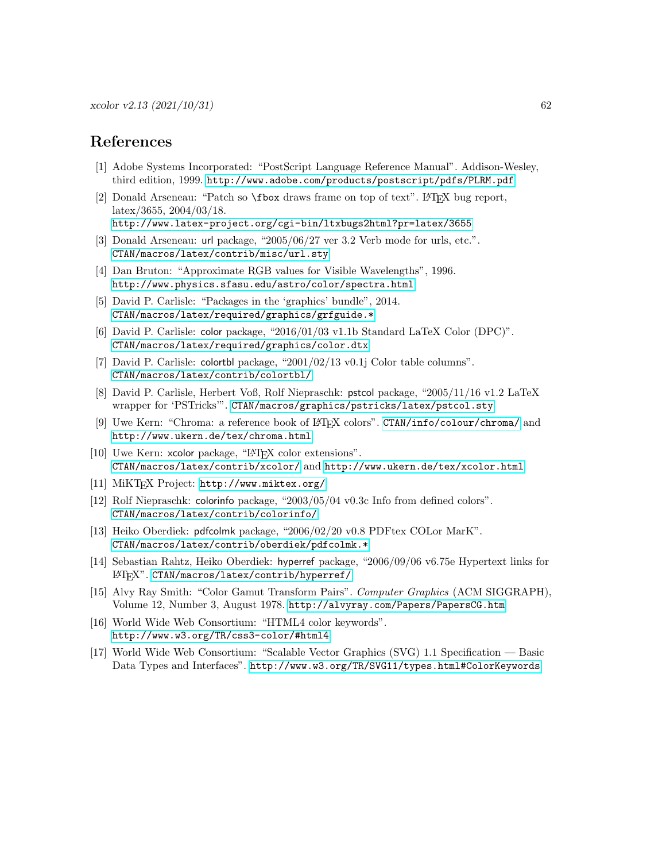### <span id="page-61-0"></span>References

- <span id="page-61-4"></span>[1] Adobe Systems Incorporated: "PostScript Language Reference Manual". Addison-Wesley, third edition, 1999. <http://www.adobe.com/products/postscript/pdfs/PLRM.pdf>
- [2] Donald Arseneau: "Patch so \fbox draws frame on top of text". LATEX bug report, latex/3655, 2004/03/18.

<span id="page-61-13"></span><span id="page-61-8"></span><http://www.latex-project.org/cgi-bin/ltxbugs2html?pr=latex/3655>

- [3] Donald Arseneau: url package, "2005/06/27 ver 3.2 Verb mode for urls, etc.". [CTAN/macros/latex/contrib/misc/url.sty](http://www.ctan.org/tex-archive/macros/latex/contrib/misc/)
- [4] Dan Bruton: "Approximate RGB values for Visible Wavelengths", 1996. <http://www.physics.sfasu.edu/astro/color/spectra.html>
- <span id="page-61-2"></span>[5] David P. Carlisle: "Packages in the 'graphics' bundle", 2014. [CTAN/macros/latex/required/graphics/grfguide.\\*](http://www.ctan.org/tex-archive/macros/latex/required/graphics/)
- <span id="page-61-3"></span>[6] David P. Carlisle: color package, "2016/01/03 v1.1b Standard LaTeX Color (DPC)". [CTAN/macros/latex/required/graphics/color.dtx](http://www.ctan.org/tex-archive/macros/latex/required/graphics/)
- [7] David P. Carlisle: colortbl package, "2001/02/13 v0.1j Color table columns". [CTAN/macros/latex/contrib/colortbl/](http://www.ctan.org/tex-archive/macros/latex/contrib/colortbl/)
- [8] David P. Carlisle, Herbert Voß, Rolf Niepraschk: pstcol package, "2005/11/16 v1.2 LaTeX wrapper for 'PSTricks'". [CTAN/macros/graphics/pstricks/latex/pstcol.sty](http://www.ctan.org/tex-archive/macros/graphics/pstricks/latex/)
- <span id="page-61-5"></span>[9] Uwe Kern: "Chroma: a reference book of LATEX colors". [CTAN/info/colour/chroma/](http://www.ctan.org/tex-archive/info/colour/chroma/) and <http://www.ukern.de/tex/chroma.html>
- [10] Uwe Kern: xcolor package, "LAT<sub>EX</sub> color extensions". [CTAN/macros/latex/contrib/xcolor/](http://www.ctan.org/tex-archive/macros/latex/contrib/xcolor/) and <http://www.ukern.de/tex/xcolor.html>
- <span id="page-61-11"></span>[11] MiKTEX Project: <http://www.miktex.org/>
- <span id="page-61-12"></span>[12] Rolf Niepraschk: colorinfo package, "2003/05/04 v0.3c Info from defined colors". [CTAN/macros/latex/contrib/colorinfo/](http://www.ctan.org/tex-archive/macros/latex/contrib/colorinfo/)
- <span id="page-61-10"></span>[13] Heiko Oberdiek: pdfcolmk package, "2006/02/20 v0.8 PDFtex COLor MarK". [CTAN/macros/latex/contrib/oberdiek/pdfcolmk.\\*](http://www.ctan.org/tex-archive/macros/latex/contrib/oberdiek/)
- <span id="page-61-9"></span>[14] Sebastian Rahtz, Heiko Oberdiek: hyperref package, "2006/09/06 v6.75e Hypertext links for LATEX". [CTAN/macros/latex/contrib/hyperref/](http://www.ctan.org/tex-archive/macros/latex/contrib/hyperref/)
- <span id="page-61-1"></span>[15] Alvy Ray Smith: "Color Gamut Transform Pairs". Computer Graphics (ACM SIGGRAPH), Volume 12, Number 3, August 1978. <http://alvyray.com/Papers/PapersCG.htm>
- <span id="page-61-7"></span>[16] World Wide Web Consortium: "HTML4 color keywords". <http://www.w3.org/TR/css3-color/#html4>
- <span id="page-61-6"></span>[17] World Wide Web Consortium: "Scalable Vector Graphics (SVG) 1.1 Specification — Basic Data Types and Interfaces". <http://www.w3.org/TR/SVG11/types.html#ColorKeywords>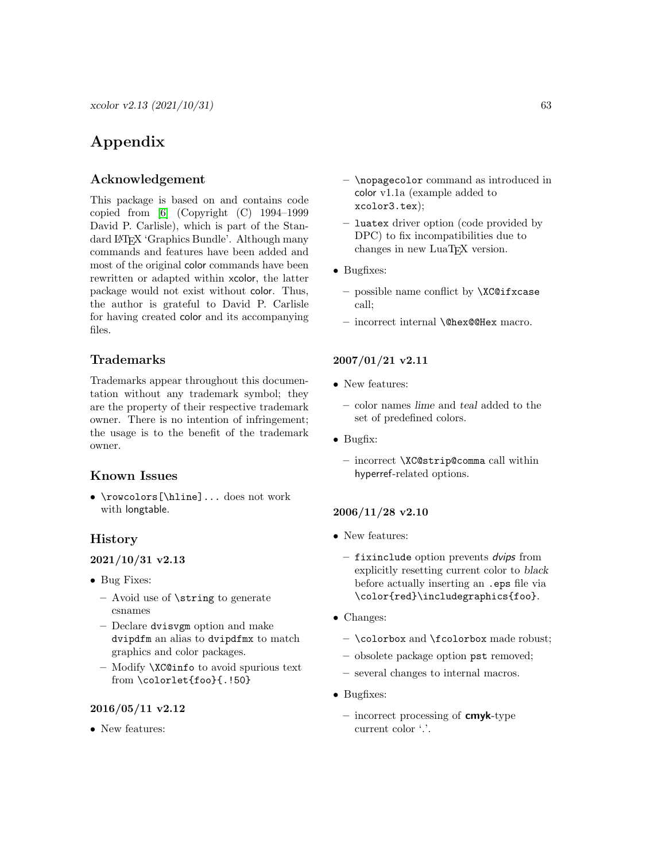$xcolor y2.13 (2021/10/31)$  63

### <span id="page-62-0"></span>Appendix

### <span id="page-62-1"></span>Acknowledgement

This package is based on and contains code copied from [\[6\]](#page-61-3) (Copyright (C) 1994–1999 David P. Carlisle), which is part of the Standard LATEX 'Graphics Bundle'. Although many commands and features have been added and most of the original color commands have been rewritten or adapted within xcolor, the latter package would not exist without color. Thus, the author is grateful to David P. Carlisle for having created color and its accompanying files.

### <span id="page-62-2"></span>Trademarks

Trademarks appear throughout this documentation without any trademark symbol; they are the property of their respective trademark owner. There is no intention of infringement; the usage is to the benefit of the trademark owner.

### <span id="page-62-3"></span>Known Issues

• \rowcolors[\hline]... does not work with longtable.

### <span id="page-62-4"></span>History

### 2021/10/31 v2.13

- Bug Fixes:
	- Avoid use of \string to generate csnames
	- Declare dvisvgm option and make dvipdfm an alias to dvipdfmx to match graphics and color packages.
	- Modify \XC@info to avoid spurious text from \colorlet{foo}{.!50}

### 2016/05/11 v2.12

• New features:

- \nopagecolor command as introduced in color v1.1a (example added to xcolor3.tex);
- luatex driver option (code provided by DPC) to fix incompatibilities due to changes in new LuaT<sub>EX</sub> version.
- Bugfixes:
	- possible name conflict by \XC@ifxcase call;
	- incorrect internal \@hex@@Hex macro.

### 2007/01/21 v2.11

- New features:
	- color names lime and teal added to the set of predefined colors.
- Bugfix:
	- incorrect \XC@strip@comma call within hyperref-related options.

### 2006/11/28 v2.10

- New features:
	- fixinclude option prevents dvips from explicitly resetting current color to black before actually inserting an .eps file via \color{red}\includegraphics{foo}.
- Changes:
	- \colorbox and \fcolorbox made robust;
	- obsolete package option pst removed;
	- several changes to internal macros.
- Bugfixes:
	- incorrect processing of  $\mathsf{cm}$ yk-type current color '.'.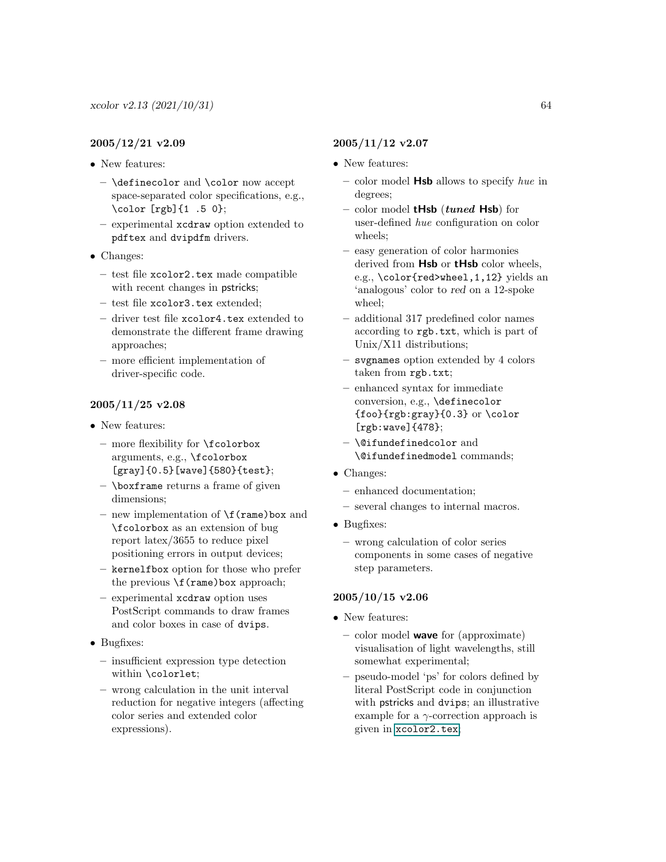### 2005/12/21 v2.09

- New features:
	- \definecolor and \color now accept space-separated color specifications, e.g., \color [rgb]{1 .5 0};
	- experimental xcdraw option extended to pdftex and dvipdfm drivers.
- Changes:
	- test file xcolor2.tex made compatible with recent changes in pstricks;
	- test file xcolor3.tex extended;
	- driver test file xcolor4.tex extended to demonstrate the different frame drawing approaches;
	- more efficient implementation of driver-specific code.

### 2005/11/25 v2.08

- New features:
	- more flexibility for \fcolorbox arguments, e.g., \fcolorbox [gray]{0.5}[wave]{580}{test};
	- $-$  \boxframe returns a frame of given dimensions;
	- new implementation of \f(rame)box and \fcolorbox as an extension of bug report latex/3655 to reduce pixel positioning errors in output devices;
	- kernelfbox option for those who prefer the previous  $\mathcal{f}(\text{rame})$  box approach;
	- experimental xcdraw option uses PostScript commands to draw frames and color boxes in case of dvips.
- Bugfixes:
	- insufficient expression type detection within \colorlet;
	- wrong calculation in the unit interval reduction for negative integers (affecting color series and extended color expressions).

### 2005/11/12 v2.07

- New features:
	- color model  $\mathsf{Hsb}$  allows to specify hue in degrees;
	- color model  $tHsb$  (tuned Hsb) for user-defined hue configuration on color wheels;
	- easy generation of color harmonies derived from Hsb or tHsb color wheels, e.g., \color{red>wheel,1,12} yields an 'analogous' color to red on a 12-spoke wheel;
	- additional 317 predefined color names according to rgb.txt, which is part of Unix/X11 distributions;
	- svgnames option extended by 4 colors taken from rgb.txt;
	- enhanced syntax for immediate conversion, e.g., \definecolor {foo}{rgb:gray}{0.3} or \color [rgb:wave]{478};
	- \@ifundefinedcolor and \@ifundefinedmodel commands;
- Changes:
	- enhanced documentation;
	- several changes to internal macros.
- Bugfixes:
	- wrong calculation of color series components in some cases of negative step parameters.

### 2005/10/15 v2.06

- New features:
	- $-$  color model **wave** for (approximate) visualisation of light wavelengths, still somewhat experimental;
	- pseudo-model 'ps' for colors defined by literal PostScript code in conjunction with pstricks and dvips; an illustrative example for a  $\gamma$ -correction approach is given in [xcolor2.tex](#page-0-0);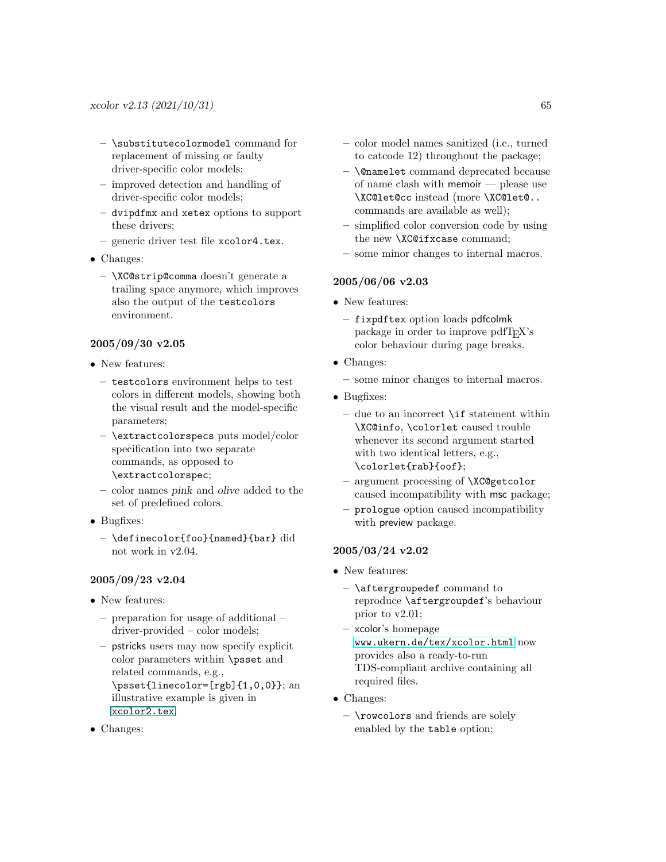- \substitutecolormodel command for replacement of missing or faulty driver-specific color models;
- improved detection and handling of driver-specific color models;
- dvipdfmx and xetex options to support these drivers;
- generic driver test file xcolor4.tex.
- Changes:
	- \XC@strip@comma doesn't generate a trailing space anymore, which improves also the output of the testcolors environment.

### 2005/09/30 v2.05

- New features:
	- testcolors environment helps to test colors in different models, showing both the visual result and the model-specific parameters;
	- \extractcolorspecs puts model/color specification into two separate commands, as opposed to \extractcolorspec;
	- color names pink and olive added to the set of predefined colors.
- Bugfixes:
	- \definecolor{foo}{named}{bar} did not work in v2.04.

### 2005/09/23 v2.04

- New features:
	- preparation for usage of additional driver-provided – color models;
	- pstricks users may now specify explicit color parameters within \psset and related commands, e.g., \psset{linecolor=[rgb]{1,0,0}}; an illustrative example is given in [xcolor2.tex](#page-0-0).
- Changes:
- color model names sanitized (i.e., turned to catcode 12) throughout the package;
- \@namelet command deprecated because of name clash with memoir — please use \XC@let@cc instead (more \XC@let@.. commands are available as well);
- simplified color conversion code by using the new \XC@ifxcase command;
- some minor changes to internal macros.

### 2005/06/06 v2.03

- New features:
	- fixpdftex option loads pdfcolmk package in order to improve pdfTEX's color behaviour during page breaks.
- Changes:
	- some minor changes to internal macros.
- Bugfixes:
	- due to an incorrect  $\iota$  if statement within \XC@info, \colorlet caused trouble whenever its second argument started with two identical letters, e.g., \colorlet{rab}{oof};
	- argument processing of \XC@getcolor caused incompatibility with msc package;
	- prologue option caused incompatibility with preview package.

### 2005/03/24 v2.02

- New features:
	- \aftergroupedef command to reproduce \aftergroupdef's behaviour prior to v2.01;
	- xcolor's homepage [www.ukern.de/tex/xcolor.html](http://www.ukern.de/tex/xcolor.html) now provides also a ready-to-run TDS-compliant archive containing all required files.
- Changes:
	- \rowcolors and friends are solely enabled by the table option;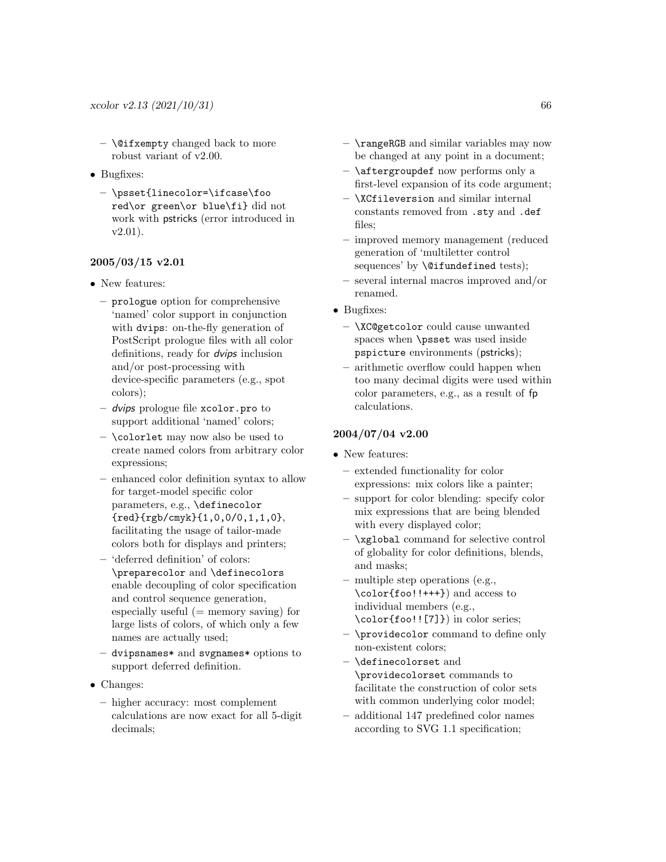- $-$  \@ifxempty changed back to more robust variant of v2.00.
- Bugfixes:
	- \psset{linecolor=\ifcase\foo red\or green\or blue\fi} did not work with pstricks (error introduced in v2.01).

### 2005/03/15 v2.01

- New features:
	- prologue option for comprehensive 'named' color support in conjunction with dvips: on-the-fly generation of PostScript prologue files with all color definitions, ready for dvips inclusion and/or post-processing with device-specific parameters (e.g., spot colors);
	- dvips prologue file xcolor.pro to support additional 'named' colors;
	- \colorlet may now also be used to create named colors from arbitrary color expressions;
	- enhanced color definition syntax to allow for target-model specific color parameters, e.g., \definecolor {red}{rgb/cmyk}{1,0,0/0,1,1,0}, facilitating the usage of tailor-made colors both for displays and printers;
	- 'deferred definition' of colors: \preparecolor and \definecolors enable decoupling of color specification and control sequence generation, especially useful  $(=$  memory saving) for large lists of colors, of which only a few names are actually used;
	- dvipsnames\* and svgnames\* options to support deferred definition.
- Changes:
	- higher accuracy: most complement calculations are now exact for all 5-digit decimals;
- \rangeRGB and similar variables may now be changed at any point in a document;
- \aftergroupdef now performs only a first-level expansion of its code argument;
- \XCfileversion and similar internal constants removed from .sty and .def files;
- improved memory management (reduced generation of 'multiletter control sequences' by  $\setminus$  @ifundefined tests);
- several internal macros improved and/or renamed.
- Bugfixes:
	- \XC@getcolor could cause unwanted spaces when \psset was used inside pspicture environments (pstricks);
	- arithmetic overflow could happen when too many decimal digits were used within color parameters, e.g., as a result of fp calculations.

### 2004/07/04 v2.00

- New features:
	- extended functionality for color expressions: mix colors like a painter;
	- support for color blending: specify color mix expressions that are being blended with every displayed color;
	- \xglobal command for selective control of globality for color definitions, blends, and masks;
	- multiple step operations (e.g., \color{foo!!+++}) and access to individual members (e.g., \color{foo!![7]}) in color series;
	- \providecolor command to define only non-existent colors;
	- \definecolorset and \providecolorset commands to facilitate the construction of color sets with common underlying color model;
	- additional 147 predefined color names according to SVG 1.1 specification;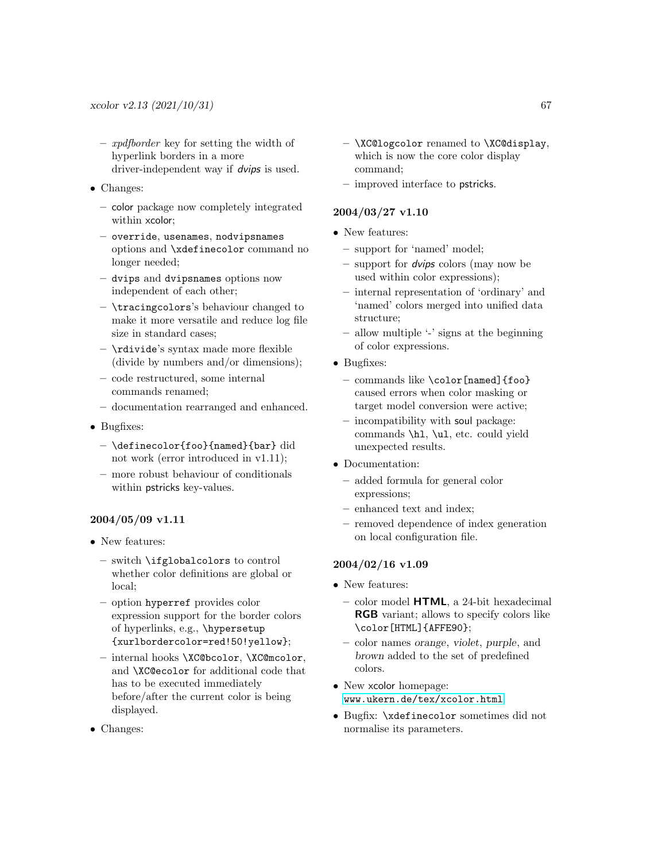- xpdfborder key for setting the width of hyperlink borders in a more driver-independent way if dvips is used.
- Changes:
	- color package now completely integrated within xcolor;
	- override, usenames, nodvipsnames options and \xdefinecolor command no longer needed;
	- dvips and dvipsnames options now independent of each other;
	- \tracingcolors's behaviour changed to make it more versatile and reduce log file size in standard cases;
	- \rdivide's syntax made more flexible (divide by numbers and/or dimensions);
	- code restructured, some internal commands renamed;
	- documentation rearranged and enhanced.
- Bugfixes:
	- \definecolor{foo}{named}{bar} did not work (error introduced in v1.11);
	- more robust behaviour of conditionals within pstricks key-values.

### 2004/05/09 v1.11

- New features:
	- switch \ifglobalcolors to control whether color definitions are global or local;
	- option hyperref provides color expression support for the border colors of hyperlinks, e.g., \hypersetup {xurlbordercolor=red!50!yellow};
	- internal hooks \XC@bcolor, \XC@mcolor, and \XC@ecolor for additional code that has to be executed immediately before/after the current color is being displayed.
- Changes:
- \XC@logcolor renamed to \XC@display, which is now the core color display command;
- improved interface to pstricks.

### 2004/03/27 v1.10

- New features:
	- support for 'named' model;
	- support for dvips colors (may now be used within color expressions);
	- internal representation of 'ordinary' and 'named' colors merged into unified data structure;
	- allow multiple '-' signs at the beginning of color expressions.
- Bugfixes:
	- commands like \color[named]{foo} caused errors when color masking or target model conversion were active;
	- incompatibility with soul package: commands \hl, \ul, etc. could yield unexpected results.
- Documentation:
	- added formula for general color expressions;
	- enhanced text and index;
	- removed dependence of index generation on local configuration file.

### 2004/02/16 v1.09

- New features:
	- color model HTML, a 24-bit hexadecimal RGB variant; allows to specify colors like \color[HTML]{AFFE90};
	- color names orange, violet, purple, and brown added to the set of predefined colors.
- New xcolor homepage: [www.ukern.de/tex/xcolor.html](http://www.ukern.de/tex/xcolor.html)
- Bugfix: \xdefinecolor sometimes did not normalise its parameters.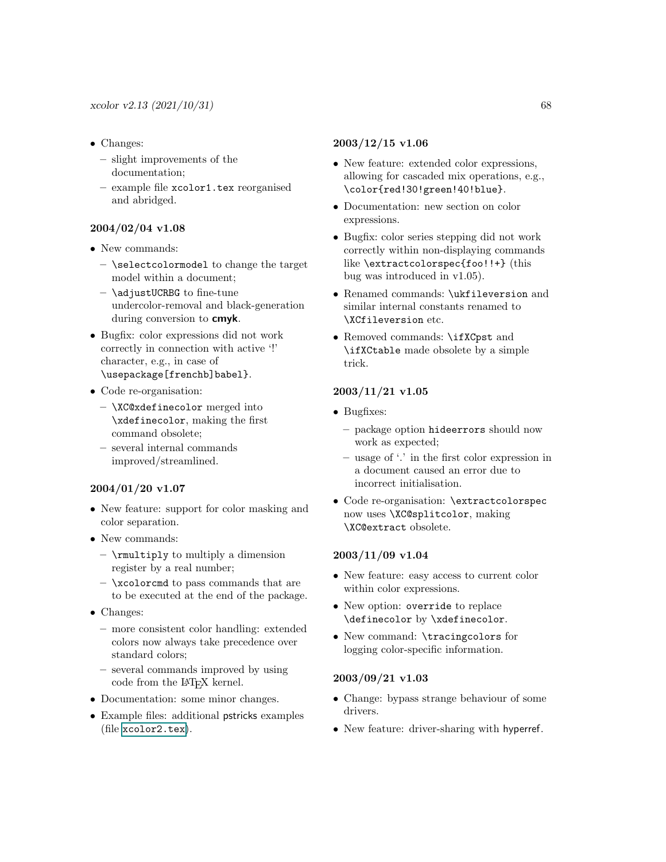- Changes:
	- slight improvements of the documentation;
	- example file xcolor1.tex reorganised and abridged.

### 2004/02/04 v1.08

- New commands:
	- \selectcolormodel to change the target model within a document;
	- $-$  \adjustUCRBG to fine-tune undercolor-removal and black-generation during conversion to **cmyk**.
- Bugfix: color expressions did not work correctly in connection with active '!' character, e.g., in case of \usepackage[frenchb]babel}.
- Code re-organisation:
	- \XC@xdefinecolor merged into \xdefinecolor, making the first command obsolete;
	- several internal commands improved/streamlined.

### 2004/01/20 v1.07

- New feature: support for color masking and color separation.
- New commands:
	- \rmultiply to multiply a dimension register by a real number;
	- $-$  \xcolorcmd to pass commands that are to be executed at the end of the package.
- Changes:
	- more consistent color handling: extended colors now always take precedence over standard colors;
	- several commands improved by using code from the LAT<sub>EX</sub> kernel.
- Documentation: some minor changes.
- Example files: additional pstricks examples (file [xcolor2.tex](#page-0-0)).

### 2003/12/15 v1.06

- New feature: extended color expressions, allowing for cascaded mix operations, e.g., \color{red!30!green!40!blue}.
- Documentation: new section on color expressions.
- Bugfix: color series stepping did not work correctly within non-displaying commands like \extractcolorspec{foo!!+} (this bug was introduced in v1.05).
- Renamed commands: \ukfileversion and similar internal constants renamed to \XCfileversion etc.
- Removed commands: \ifXCpst and \ifXCtable made obsolete by a simple trick.

### 2003/11/21 v1.05

- Bugfixes:
	- package option hideerrors should now work as expected;
	- usage of '.' in the first color expression in a document caused an error due to incorrect initialisation.
- Code re-organisation: \extractcolorspec now uses \XC@splitcolor, making \XC@extract obsolete.

### 2003/11/09 v1.04

- New feature: easy access to current color within color expressions.
- New option: override to replace \definecolor by \xdefinecolor.
- New command: \tracingcolors for logging color-specific information.

#### 2003/09/21 v1.03

- Change: bypass strange behaviour of some drivers.
- New feature: driver-sharing with hyperref.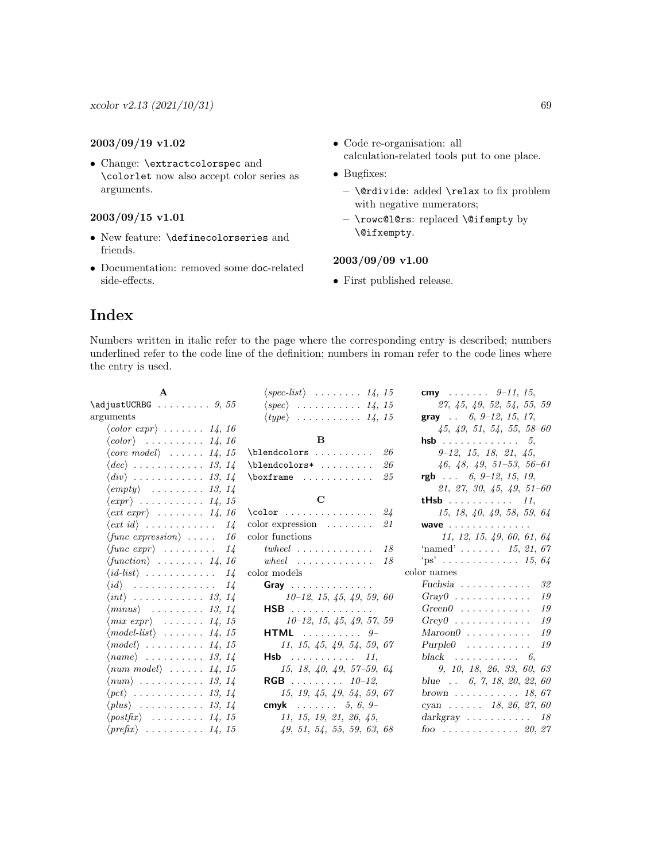### 2003/09/19 v1.02

• Change: \extractcolorspec and \colorlet now also accept color series as arguments.

### 2003/09/15 v1.01

- New feature: \definecolorseries and friends.
- Documentation: removed some doc-related side-effects.
- Code re-organisation: all
- calculation-related tools put to one place.
- Bugfixes:
	- \@rdivide: added \relax to fix problem with negative numerators;
	- \rowc@l@rs: replaced \@ifempty by \@ifxempty.

### 2003/09/09 v1.00

• First published release.

### <span id="page-68-0"></span>Index

Numbers written in italic refer to the page where the corresponding entry is described; numbers underlined refer to the code line of the definition; numbers in roman refer to the code lines where the entry is used.

| $\langle spec-list \rangle$ 14, 15           | cmy $9-11, 15$ ,                         |
|----------------------------------------------|------------------------------------------|
| $\langle spec \rangle$ 14, 15                | 27, 45, 49, 52, 54, 55, 59               |
| $\langle type \rangle$ $14, 15$              | <b>gray</b> 6, 9-12, 15, 17,             |
|                                              | $45, 49, 51, 54, 55, 58-60$              |
| B                                            | <b>hsb</b> 5,                            |
| \blendcolors<br>26                           | $9-12, 15, 18, 21, 45,$                  |
| \blendcolors*<br>26                          | $46, 48, 49, 51-53, 56-61$               |
| $\text{boxframe} \dots \dots \dots$<br>25    | rgb $\ldots$ 6, 9-12, 15, 19,            |
|                                              | $21, 27, 30, 45, 49, 51-60$              |
| $\mathbf C$                                  | <b>tHsb</b> 11,                          |
| \color $24$                                  | 15, 18, 40, 49, 58, 59, 64               |
| $color$ expression $\dots\dots\dots$<br>21   | <b>wave</b>                              |
| color functions                              | 11, 12, 15, 49, 60, 61, 64               |
| $twheel$<br>18                               | 'named' $15, 21, 67$                     |
| $wheel \dots \dots \dots \dots \dots$<br>-18 | $\text{``ps'}$ 15, 64                    |
| color models                                 | color names                              |
| Gray                                         | Fuchsia $\ldots \ldots \ldots \ldots$ 32 |
| $10-12, 15, 45, 49, 59, 60$                  | $Gray0$<br>19                            |
| HSB                                          | $Green0$<br>19                           |
| $10-12, 15, 45, 49, 57, 59$                  | $Grev0$<br>19                            |
| <b>HTML</b> $9-$                             | $Maroon0$<br>19                          |
| 11, 15, 45, 49, 54, 59, 67                   | $Purple0$ 19                             |
| <b>Hsb</b> 11,                               | black $\ldots \ldots \ldots \ldots$ 6,   |
| $15, 18, 40, 49, 57-59, 64$                  | 9, 10, 18, 26, 33, 60, 63                |
| <b>RGB</b> 10-12,                            | blue $\therefore$ 6, 7, 18, 20, 22, 60   |
| 15, 19, 45, 49, 54, 59, 67                   | brown $\ldots \ldots \ldots 18,67$       |
| cmyk $5, 6, 9$                               | cyan $18, 26, 27, 60$                    |
| 11, 15, 19, 21, 26, 45,                      | $darkgray \dots \dots \dots$<br>18       |
| 49, 51, 54, 55, 59, 63, 68                   | foo  20, 27                              |
|                                              |                                          |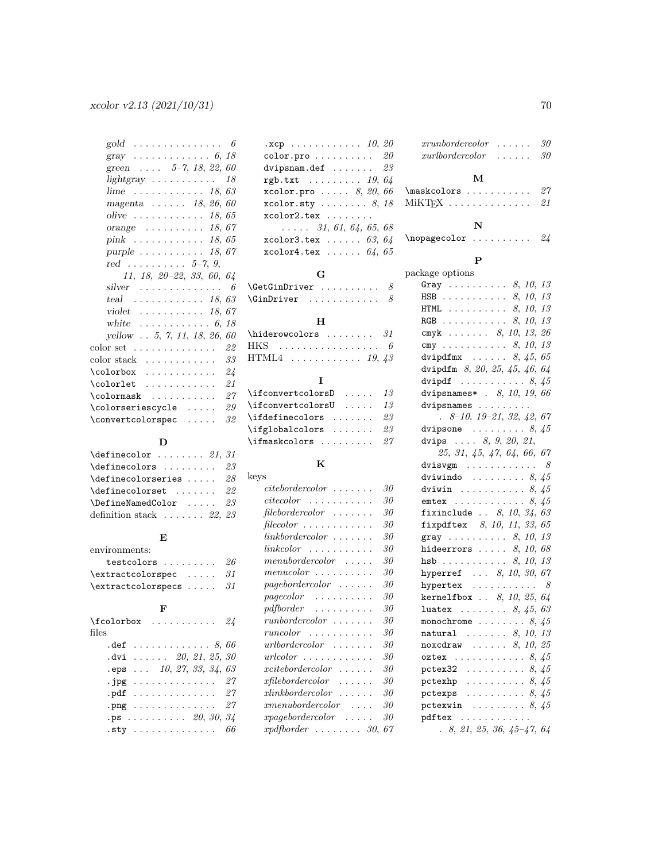| 6<br>gold<br>.                                                |
|---------------------------------------------------------------|
| gray $6, 18$                                                  |
| green $5-7, 18, 22,$<br>60                                    |
| 18<br>$lightgray$                                             |
| . <i>18</i> ,<br>63<br>lime                                   |
| magenta $\ldots$ 18, 26,<br>60                                |
| olive $\dots \dots \dots$<br>18.<br>65                        |
| 18,67<br>$orange \dots \dots \dots$                           |
| 18,65<br>$\text{pink} \quad \ldots \quad \ldots \quad \ldots$ |
| purple $\ldots \ldots \ldots 18, 67$                          |
| red $5-7, 9,$                                                 |
| $11, 18, 20 - 22, 33, 60, 64$                                 |
| 6<br>silver<br>.                                              |
| 63<br>teal $18$ ,                                             |
| violet $\ldots \ldots \ldots 18$ ,<br>67                      |
| white<br>. <i>6</i> ,<br>18                                   |
| yellow 5, 7, 11, 18, 26,<br>60                                |
| 22<br>$color set \dots \dots \dots \dots \dots$               |
| 33<br>color stack                                             |
| 24                                                            |
| 21                                                            |
| 27<br>$\colon$                                                |
| 29<br>\colorseriescycle<br>.                                  |
| 32<br>\convertcolorspec<br>.                                  |

### $\mathbf D$

| $\definecolor 21, 31$                    |  |
|------------------------------------------|--|
| $\definecolors \dots \dots \ 23$         |  |
| $\definecolorseries \ldots 28$           |  |
| $\definecolor = 0.1.1.1.22$              |  |
| $\Delta$ DefineNamedColor  23            |  |
| definition stack $\ldots \ldots 22$ , 23 |  |

### $\mathbf E$

| environments:                      |  |  |  |
|------------------------------------|--|--|--|
| testcolors $26$                    |  |  |  |
| $\text{textcolor}$ 31              |  |  |  |
| $\texttt{textcolorspecs} \dots 31$ |  |  |  |

### F

| \fcolorbox                                                                       |  |  |  |  |  |  | . 24 |
|----------------------------------------------------------------------------------|--|--|--|--|--|--|------|
| files                                                                            |  |  |  |  |  |  |      |
| $\mathbf{.def}$ $\cdots \cdots \cdots \cdots \cdots \cdots \delta, \delta\delta$ |  |  |  |  |  |  |      |
| $.$ dvi $. 20, 21, 25, 30$                                                       |  |  |  |  |  |  |      |
| $eps$ 10, 27, 33, 34, 63                                                         |  |  |  |  |  |  |      |
| .jpg $27$                                                                        |  |  |  |  |  |  |      |
| .pdf $\,\ldots\, \ldots\, \ldots\, \ldots\, 27$                                  |  |  |  |  |  |  |      |
| .png 27                                                                          |  |  |  |  |  |  |      |
| $\mathbf{p}$ s 20, 30, 34.                                                       |  |  |  |  |  |  |      |
| $.$ sty $.$                                                                      |  |  |  |  |  |  | 66   |

| $\texttt{.} \texttt{xcp}$ 10, 20               |
|------------------------------------------------|
| $\verb"color.py"ro"\dots\dots\dots 20$         |
| dvipsnam.def $23$                              |
| rgb.txt $\ldots \ldots \ldots$ 19, 64          |
| xcolor.pro $\ldots$ . 8, 20, 66                |
| $xcolor.sty \ldots \ldots 8, 18$               |
| $xcolor2.tex$                                  |
| $\ldots$ 31, 61, 64, 65, 68                    |
| $x$ color $3.$ tex $\ldots \ldots \ 63$ , $64$ |
| $x$ color $4.$ tex $64, 65$                    |

### G

| $\Set{GetGinDriver   8}$ |  |
|--------------------------|--|
| $\dim$ Driver $8$        |  |
| н                        |  |
|                          |  |

### $\label{thm:1} \texttt{hiderowcolors}\qquad \qquad 31$ HKS . . . . . . . . . . . . . . . . . 6  $HTML4$  . . . . . . . . . . . 19, 43  $\mathbf{r}$

| $\left\{ \right. \left\{ \right. \left. \right\}$ $\left. \right. \left. \right. \left. \right. \left. \right. \left. \right. \left. \right. \left. \right. \left. \right. \left. \right. \left. \right. \left. \right. \left. \right. \right.$ |  |
|-------------------------------------------------------------------------------------------------------------------------------------------------------------------------------------------------------------------------------------------------|--|
| $\left\{ \right.$ $\left. \right\}$ $\left. \right\}$ $\left. \right.$ $\left. \right.$ $\left. \right.$ $\left. \right.$ $\left. \right.$ $\left. \right.$                                                                                     |  |
| $\left\{ \right\}$ $\left\{ 23\right\}$                                                                                                                                                                                                         |  |
| $\left\{ \alpha \right\}$ 23                                                                                                                                                                                                                    |  |
| $\left\{ \lambda: \mathbb{Z}^2 \right\}$ $27$                                                                                                                                                                                                   |  |
|                                                                                                                                                                                                                                                 |  |

### K

| keys                                                                       |    |
|----------------------------------------------------------------------------|----|
| $\it{citebordercolor\_}.$<br>$\sim$ $\sim$ $\sim$                          | 30 |
| $\emph{citecolor}$ $\ldots \ldots \ldots$ .                                | 30 |
| $file bordercolor \dots \dots \dots$                                       | 30 |
| $filecolor \dots \dots \dots$                                              | 30 |
| $linkbordercolor \dots$<br>$\overline{\phantom{a}}$                        | 30 |
| link color<br>.                                                            | 30 |
| $m$ enubor $de{\color{red}recolor}$<br>.                                   | 30 |
| menucolor<br>$\cdots$                                                      | 30 |
| page bordercolor<br>$\ddot{\phantom{0}}$<br>$\cdot$ .                      | 30 |
| $pa\neq color$<br>.                                                        | 30 |
| pdfborder<br>$\cdots$<br>$\sim$ .<br>$\cdot$ .<br>$\overline{\phantom{a}}$ | 30 |
| runbordercolor<br>$\ddot{\phantom{0}}$<br>$\overline{\phantom{a}}$         | 30 |
| $\emph{runcolor}$<br>.<br>$\ddot{\phantom{a}}$<br>$\ddot{\phantom{0}}$     | 30 |
| urlborder color<br>.<br>$\overline{\phantom{a}}$                           | 30 |
| urlcolor<br>$\sim$<br>$\overline{\phantom{a}}$                             | 30 |
| $x\!itebordercolor$<br>.                                                   | 30 |
| $\emph{xtilebordercolor}$<br>.                                             | 30 |
| xlink bordercolor<br>1.1.1.1                                               | 30 |
| x menuborder color                                                         | 30 |
| $\emph{xpagebordercolor}$                                                  | 30 |
| rndthorder<br>ବନ                                                           | 67 |

| $xrunbordercolor \dots \dots$<br>$xurbordercolor \dots \dots$ |  |  |  | 30<br>30 |
|---------------------------------------------------------------|--|--|--|----------|
| M                                                             |  |  |  |          |
| $\texttt{\textbackcolors}\ \dots\ \dots\ \ 27$                |  |  |  |          |
| MiKTFX                                                        |  |  |  | 21       |

### N

 $\n\begin{bmatrix}\n\text{inopagecolor}\n\cdots\n\end{bmatrix}$ 

### P

### package options

| Gray $8, 10, 13$                                              |                             |
|---------------------------------------------------------------|-----------------------------|
| HSB 8, 10, 13                                                 |                             |
| <b>HTML</b> 8, 10, 13                                         |                             |
| RGB 8, 10, 13                                                 |                             |
| cmyk 8, 10, 13, 26                                            |                             |
| cmy 8, 10, 13                                                 |                             |
| dvipdfmx $\ldots \ldots \ldots \ldots$ 8, 45, 65              |                             |
| dvipdfm 8, 20, 25, 45, 46, 64                                 |                             |
| dvipdf $\ldots \ldots \ldots \ldots \ldots$ 8, 45             |                             |
| dvipsnames* . 8, 10, 19, 66                                   |                             |
| dvipsnames                                                    |                             |
| $8-10$ , $19-21$ , $32$ , $42$ , $67$                         |                             |
| dvipsone $\ldots \ldots \ldots \ldots \ldots$                 |                             |
| dvips  8, 9, 20, 21,                                          |                             |
| 25, 31, 45, 47, 64, 66, 67                                    |                             |
| dvisvgm                                                       | 8                           |
| dviwindo $8, 45$                                              |                             |
| dviwin $8, 45$                                                |                             |
| . 8, 45<br>emtex.                                             |                             |
| fixinclude $8, 10, 34, 63$                                    |                             |
| fixpdftex $8, 10, 11, 33, 65$                                 |                             |
| gray  8, 10, 13                                               |                             |
| 8, 10, 68<br>hideerrors $\dots$ .                             |                             |
| 8, 10, 13<br>$hsb \ldots \ldots \ldots$                       |                             |
| hyperref  8, 10, 30, 67                                       |                             |
| hypertex                                                      | $\mathcal{S}_{\mathcal{S}}$ |
| <b>kernelfbox</b> $8, 10, 25, 64$                             |                             |
| <b>luatex</b> $8, 45, 63$                                     |                             |
| monochrome $\ldots \ldots \ldots 8, 45$                       |                             |
| natural $\ldots \ldots 8, 10, 13$                             |                             |
| $\ldots$ $8, 10, 25$<br>noxcdraw                              |                             |
| oztex $\ldots \ldots \ldots \ldots 8, 45$                     |                             |
| pctex32<br>$\ldots \ldots \ldots 8, 45$                       |                             |
| $\cdots \cdots \cdots \cdots \cdots \cdots \cdots$<br>pctexhp |                             |
| pctexps $\ldots \ldots \ldots 8, 45$                          |                             |
| pctexwin $\ldots \ldots \ldots 8, 45$                         |                             |
| pdftex                                                        |                             |
| 8010596151761                                                 |                             |

xpdfborder . . . . . . . . 30, 67 . 8, 21, 25, 36, 45–47, 64